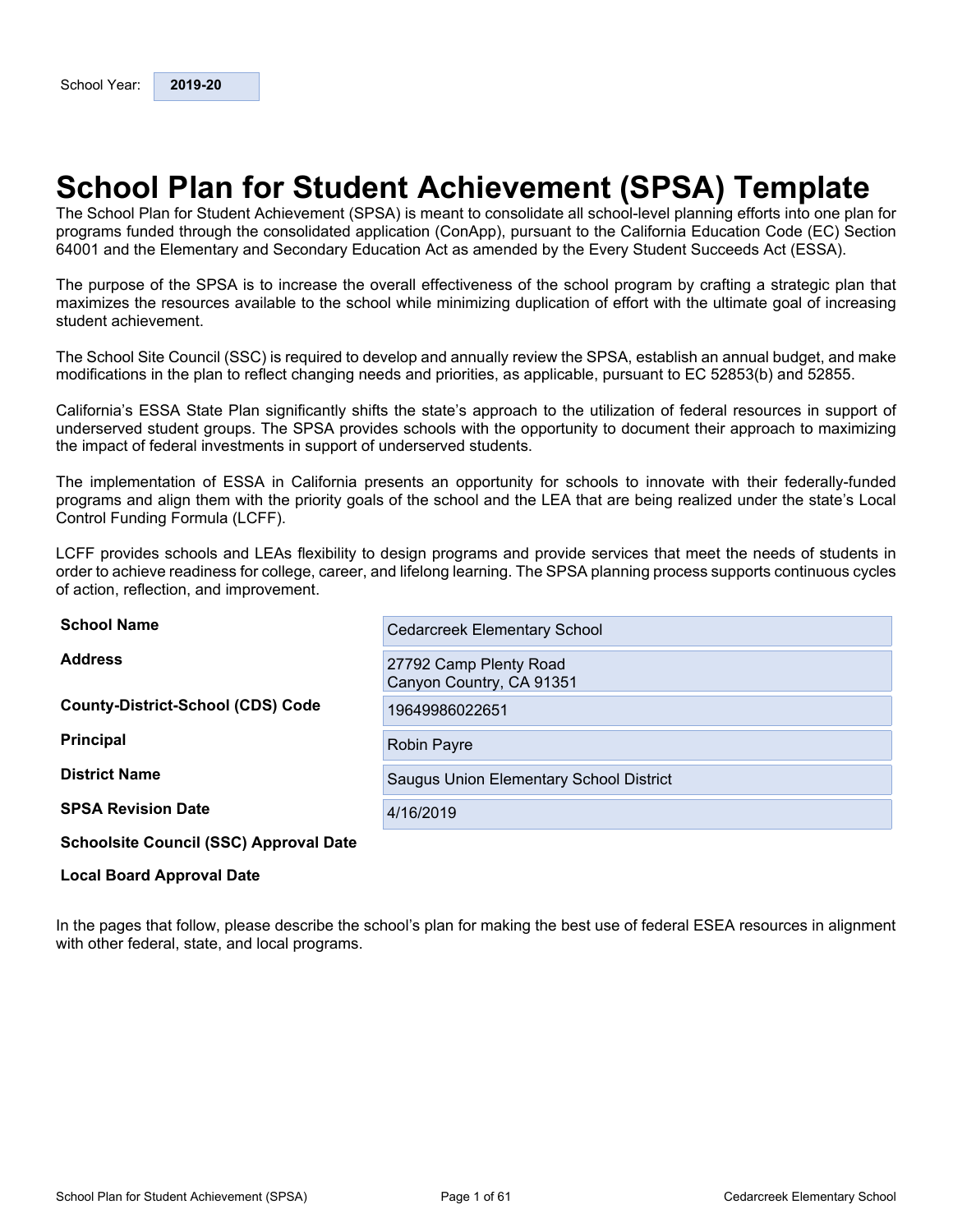## <span id="page-0-0"></span>**School Plan for Student Achievement (SPSA) Template**

The School Plan for Student Achievement (SPSA) is meant to consolidate all school-level planning efforts into one plan for programs funded through the consolidated application (ConApp), pursuant to the California Education Code (EC) Section 64001 and the Elementary and Secondary Education Act as amended by the Every Student Succeeds Act (ESSA).

The purpose of the SPSA is to increase the overall effectiveness of the school program by crafting a strategic plan that maximizes the resources available to the school while minimizing duplication of effort with the ultimate goal of increasing student achievement.

The School Site Council (SSC) is required to develop and annually review the SPSA, establish an annual budget, and make modifications in the plan to reflect changing needs and priorities, as applicable, pursuant to EC 52853(b) and 52855.

California's ESSA State Plan significantly shifts the state's approach to the utilization of federal resources in support of underserved student groups. The SPSA provides schools with the opportunity to document their approach to maximizing the impact of federal investments in support of underserved students.

The implementation of ESSA in California presents an opportunity for schools to innovate with their federally-funded programs and align them with the priority goals of the school and the LEA that are being realized under the state's Local Control Funding Formula (LCFF).

LCFF provides schools and LEAs flexibility to design programs and provide services that meet the needs of students in order to achieve readiness for college, career, and lifelong learning. The SPSA planning process supports continuous cycles of action, reflection, and improvement.

| <b>School Name</b>                            | <b>Cedarcreek Elementary School</b>                |
|-----------------------------------------------|----------------------------------------------------|
| <b>Address</b>                                | 27792 Camp Plenty Road<br>Canyon Country, CA 91351 |
| <b>County-District-School (CDS) Code</b>      | 19649986022651                                     |
| <b>Principal</b>                              | <b>Robin Payre</b>                                 |
| <b>District Name</b>                          | Saugus Union Elementary School District            |
| <b>SPSA Revision Date</b>                     | 4/16/2019                                          |
| <b>Schoolsite Council (SSC) Approval Date</b> |                                                    |

#### **Local Board Approval Date**

In the pages that follow, please describe the school's plan for making the best use of federal ESEA resources in alignment with other federal, state, and local programs.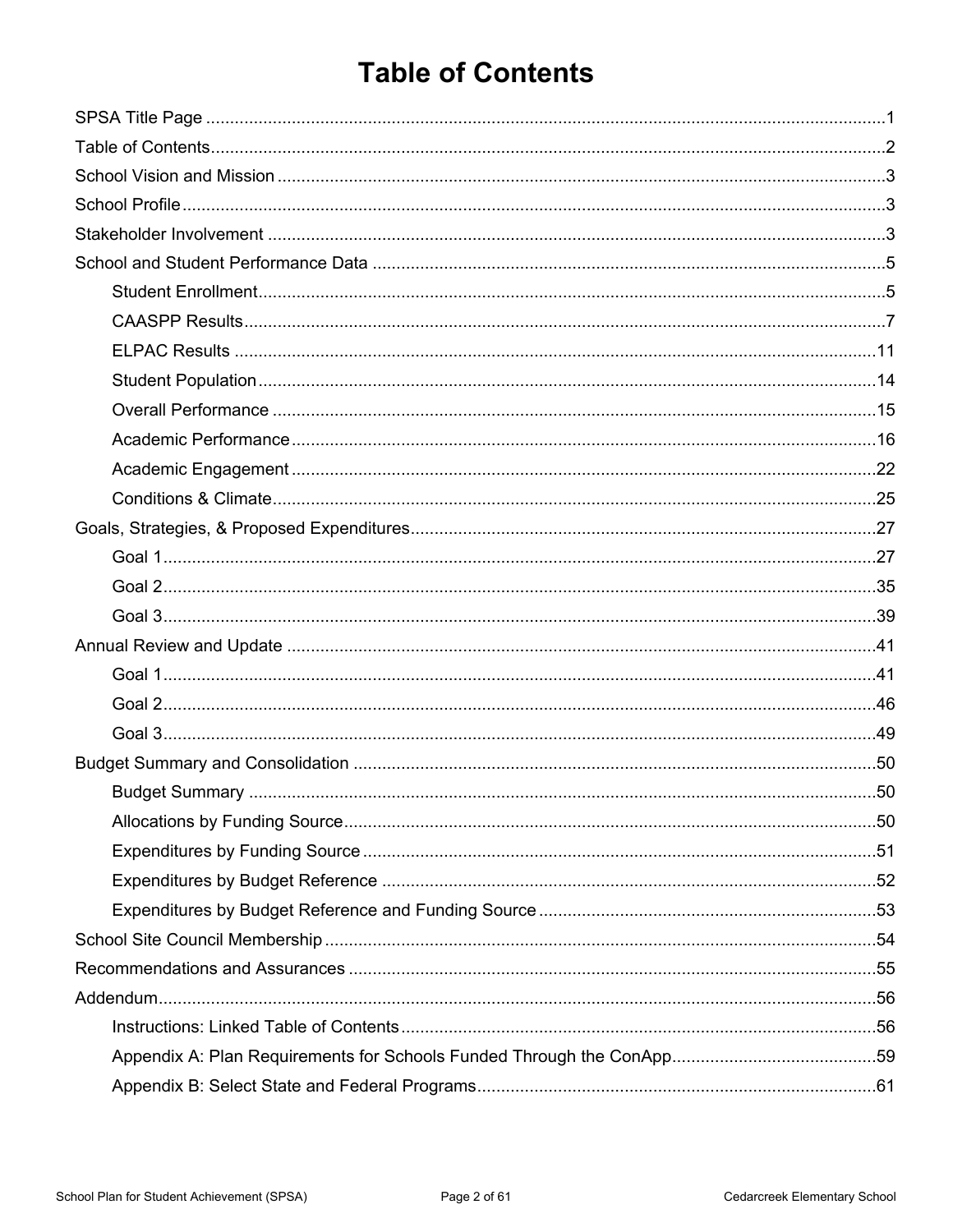## <span id="page-1-0"></span>**Table of Contents**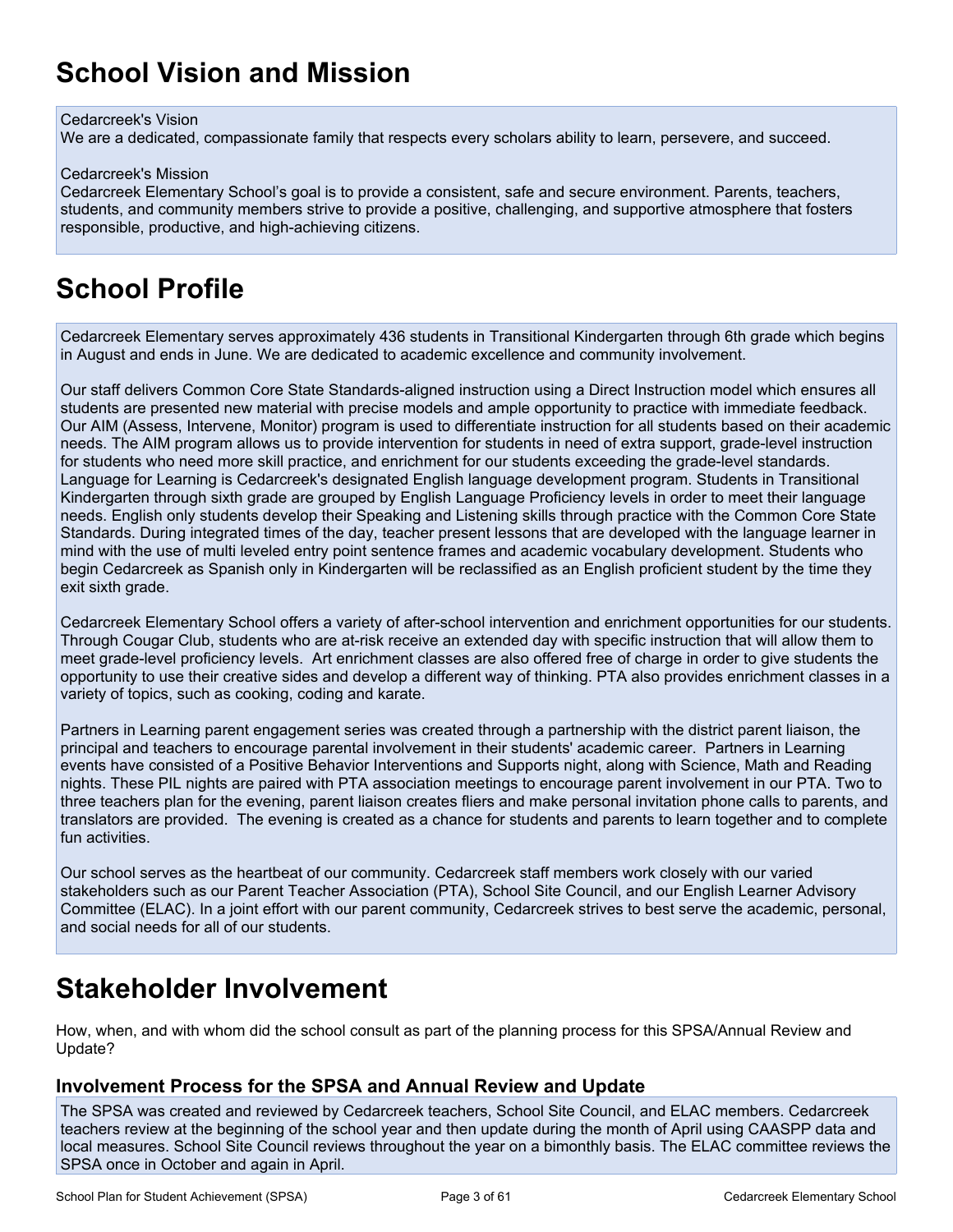## <span id="page-2-0"></span>**School Vision and Mission**

#### Cedarcreek's Vision

We are a dedicated, compassionate family that respects every scholars ability to learn, persevere, and succeed.

#### Cedarcreek's Mission

Cedarcreek Elementary School's goal is to provide a consistent, safe and secure environment. Parents, teachers, students, and community members strive to provide a positive, challenging, and supportive atmosphere that fosters responsible, productive, and high-achieving citizens.

## <span id="page-2-1"></span>**School Profile**

Cedarcreek Elementary serves approximately 436 students in Transitional Kindergarten through 6th grade which begins in August and ends in June. We are dedicated to academic excellence and community involvement.

Our staff delivers Common Core State Standards-aligned instruction using a Direct Instruction model which ensures all students are presented new material with precise models and ample opportunity to practice with immediate feedback. Our AIM (Assess, Intervene, Monitor) program is used to differentiate instruction for all students based on their academic needs. The AIM program allows us to provide intervention for students in need of extra support, grade-level instruction for students who need more skill practice, and enrichment for our students exceeding the grade-level standards. Language for Learning is Cedarcreek's designated English language development program. Students in Transitional Kindergarten through sixth grade are grouped by English Language Proficiency levels in order to meet their language needs. English only students develop their Speaking and Listening skills through practice with the Common Core State Standards. During integrated times of the day, teacher present lessons that are developed with the language learner in mind with the use of multi leveled entry point sentence frames and academic vocabulary development. Students who begin Cedarcreek as Spanish only in Kindergarten will be reclassified as an English proficient student by the time they exit sixth grade.

Cedarcreek Elementary School offers a variety of after-school intervention and enrichment opportunities for our students. Through Cougar Club, students who are at-risk receive an extended day with specific instruction that will allow them to meet grade-level proficiency levels. Art enrichment classes are also offered free of charge in order to give students the opportunity to use their creative sides and develop a different way of thinking. PTA also provides enrichment classes in a variety of topics, such as cooking, coding and karate.

Partners in Learning parent engagement series was created through a partnership with the district parent liaison, the principal and teachers to encourage parental involvement in their students' academic career. Partners in Learning events have consisted of a Positive Behavior Interventions and Supports night, along with Science, Math and Reading nights. These PIL nights are paired with PTA association meetings to encourage parent involvement in our PTA. Two to three teachers plan for the evening, parent liaison creates fliers and make personal invitation phone calls to parents, and translators are provided. The evening is created as a chance for students and parents to learn together and to complete fun activities.

Our school serves as the heartbeat of our community. Cedarcreek staff members work closely with our varied stakeholders such as our Parent Teacher Association (PTA), School Site Council, and our English Learner Advisory Committee (ELAC). In a joint effort with our parent community, Cedarcreek strives to best serve the academic, personal, and social needs for all of our students.

## <span id="page-2-2"></span>**Stakeholder Involvement**

How, when, and with whom did the school consult as part of the planning process for this SPSA/Annual Review and Update?

#### **Involvement Process for the SPSA and Annual Review and Update**

The SPSA was created and reviewed by Cedarcreek teachers, School Site Council, and ELAC members. Cedarcreek teachers review at the beginning of the school year and then update during the month of April using CAASPP data and local measures. School Site Council reviews throughout the year on a bimonthly basis. The ELAC committee reviews the SPSA once in October and again in April.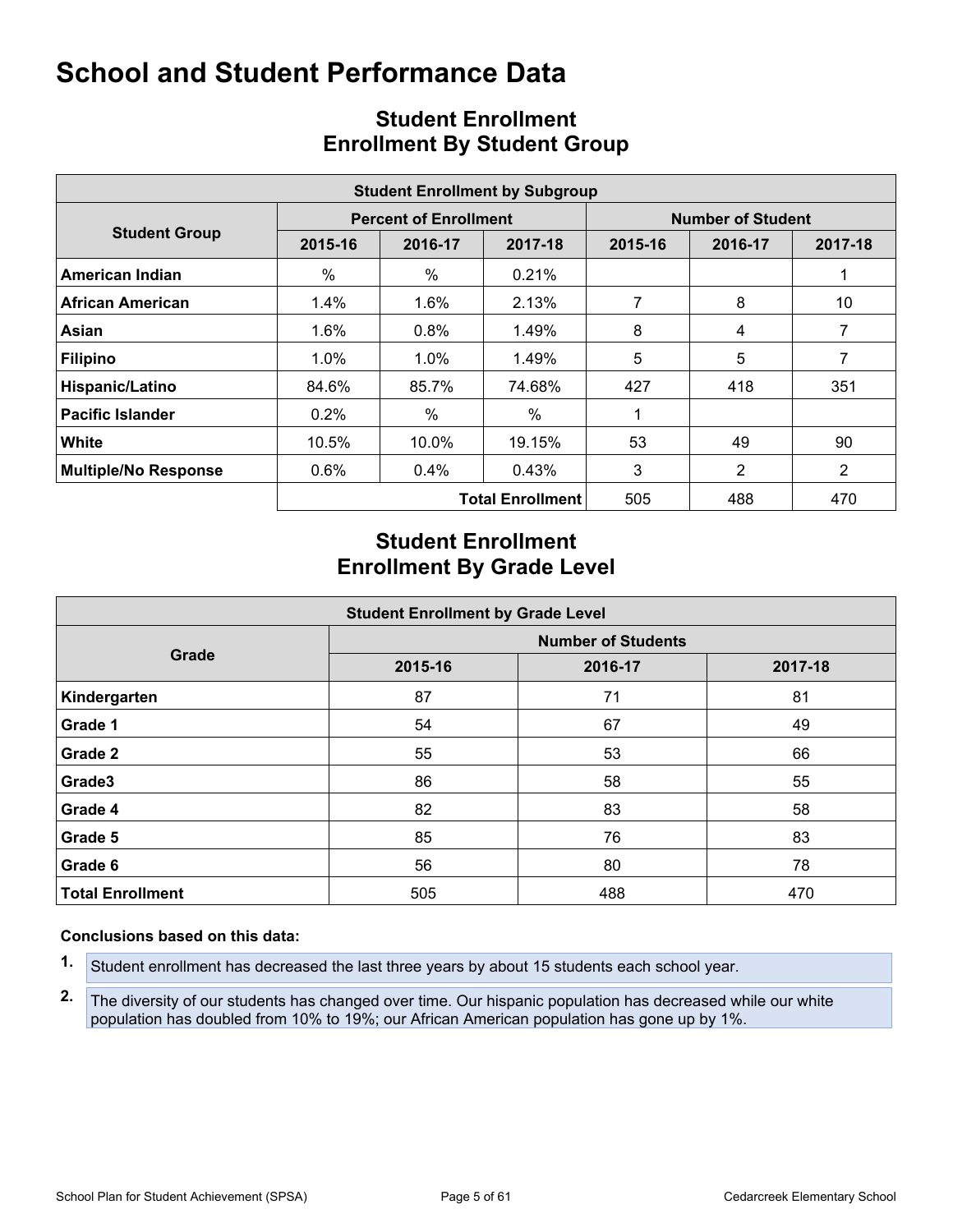<span id="page-4-0"></span>

|                             |         |                              | <b>Student Enrollment by Subgroup</b> |                          |         |         |  |  |
|-----------------------------|---------|------------------------------|---------------------------------------|--------------------------|---------|---------|--|--|
|                             |         | <b>Percent of Enrollment</b> |                                       | <b>Number of Student</b> |         |         |  |  |
| <b>Student Group</b>        | 2015-16 | 2016-17                      | 2017-18                               | 2015-16                  | 2016-17 | 2017-18 |  |  |
| American Indian             | %       | %                            | 0.21%                                 |                          |         |         |  |  |
| <b>African American</b>     | 1.4%    | 1.6%                         | 2.13%                                 | 7                        | 8       | 10      |  |  |
| Asian                       | 1.6%    | 0.8%                         | 1.49%                                 | 8                        | 4       | 7       |  |  |
| <b>Filipino</b>             | $1.0\%$ | $1.0\%$                      | 1.49%                                 | 5                        | 5       | 7       |  |  |
| Hispanic/Latino             | 84.6%   | 85.7%                        | 74.68%                                | 427                      | 418     | 351     |  |  |
| <b>Pacific Islander</b>     | 0.2%    | %                            | $\%$                                  |                          |         |         |  |  |
| White                       | 10.5%   | 10.0%                        | 19.15%                                | 53                       | 49      | 90      |  |  |
| <b>Multiple/No Response</b> | 0.6%    | 0.4%                         | 0.43%                                 | 3                        | 2       | 2       |  |  |
|                             |         |                              | <b>Total Enrollment</b>               | 505                      | 488     | 470     |  |  |

## <span id="page-4-1"></span>**Student Enrollment Enrollment By Student Group**

## **Student Enrollment Enrollment By Grade Level**

| <b>Student Enrollment by Grade Level</b> |                           |         |         |  |  |  |  |  |  |  |
|------------------------------------------|---------------------------|---------|---------|--|--|--|--|--|--|--|
|                                          | <b>Number of Students</b> |         |         |  |  |  |  |  |  |  |
| Grade                                    | 2015-16                   | 2016-17 | 2017-18 |  |  |  |  |  |  |  |
| Kindergarten                             | 87                        | 71      | 81      |  |  |  |  |  |  |  |
| Grade 1                                  | 54                        | 67      | 49      |  |  |  |  |  |  |  |
| Grade 2                                  | 55                        | 53      | 66      |  |  |  |  |  |  |  |
| Grade3                                   | 86                        | 58      | 55      |  |  |  |  |  |  |  |
| Grade 4                                  | 82                        | 83      | 58      |  |  |  |  |  |  |  |
| Grade 5                                  | 85                        | 76      | 83      |  |  |  |  |  |  |  |
| Grade 6                                  | 56                        | 80      | 78      |  |  |  |  |  |  |  |
| <b>Total Enrollment</b>                  | 505                       | 488     | 470     |  |  |  |  |  |  |  |

#### **Conclusions based on this data:**

- **1.** Student enrollment has decreased the last three years by about 15 students each school year.
- **2.** The diversity of our students has changed over time. Our hispanic population has decreased while our white population has doubled from 10% to 19%; our African American population has gone up by 1%.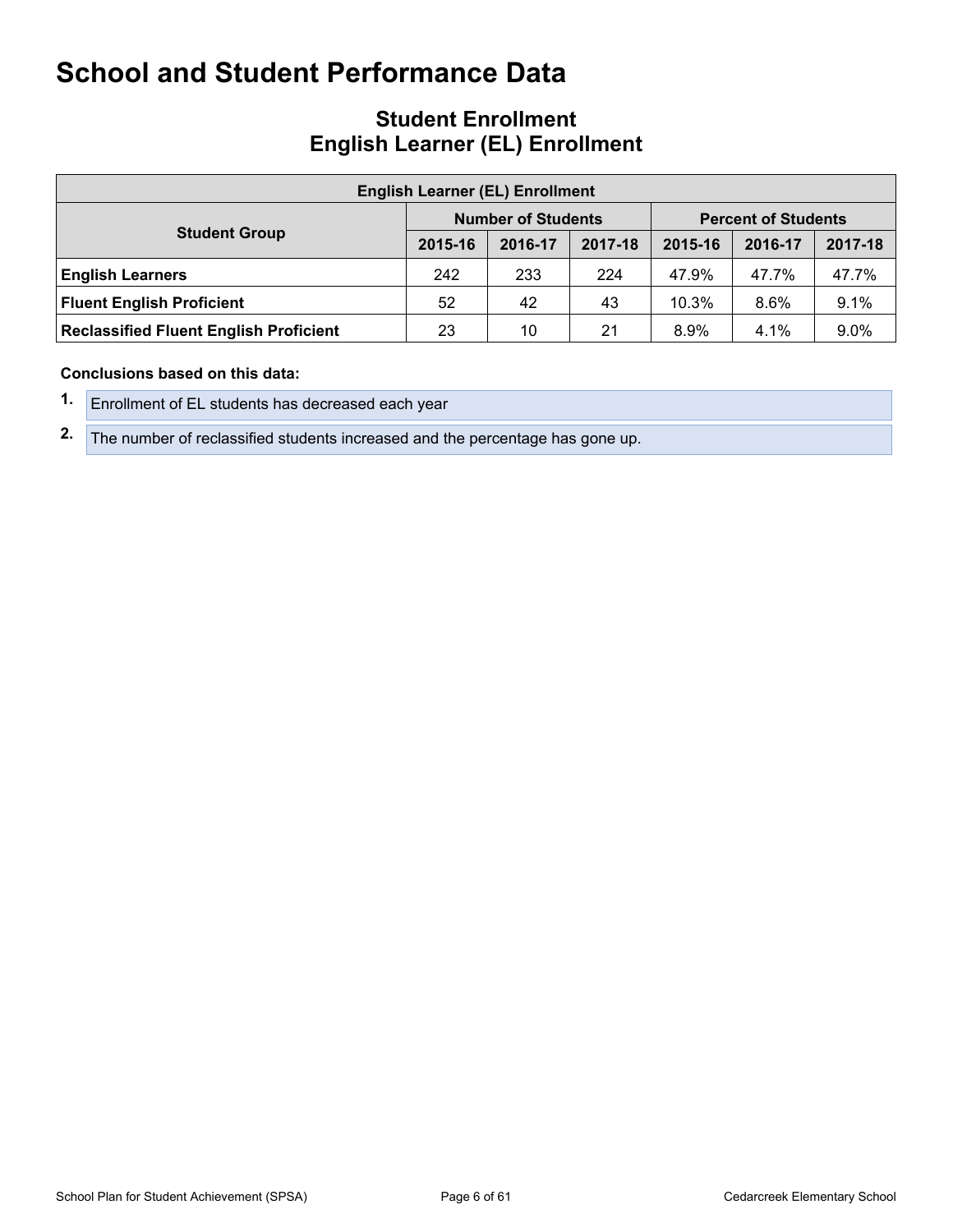### **Student Enrollment English Learner (EL) Enrollment**

| <b>English Learner (EL) Enrollment</b>        |                                                         |         |         |         |         |         |  |  |  |  |  |
|-----------------------------------------------|---------------------------------------------------------|---------|---------|---------|---------|---------|--|--|--|--|--|
|                                               | <b>Number of Students</b><br><b>Percent of Students</b> |         |         |         |         |         |  |  |  |  |  |
| <b>Student Group</b>                          | 2015-16                                                 | 2016-17 | 2017-18 | 2015-16 | 2016-17 | 2017-18 |  |  |  |  |  |
| <b>English Learners</b>                       | 242                                                     | 233     | 224     | 47.9%   | 47.7%   | 47.7%   |  |  |  |  |  |
| <b>Fluent English Proficient</b>              | 52                                                      | 42      | 43      | 10.3%   | 8.6%    | 9.1%    |  |  |  |  |  |
| <b>Reclassified Fluent English Proficient</b> | 23                                                      | 10      | 21      | $8.9\%$ | 4.1%    | 9.0%    |  |  |  |  |  |

#### **Conclusions based on this data:**

- **1.** Enrollment of EL students has decreased each year
- **2.** The number of reclassified students increased and the percentage has gone up.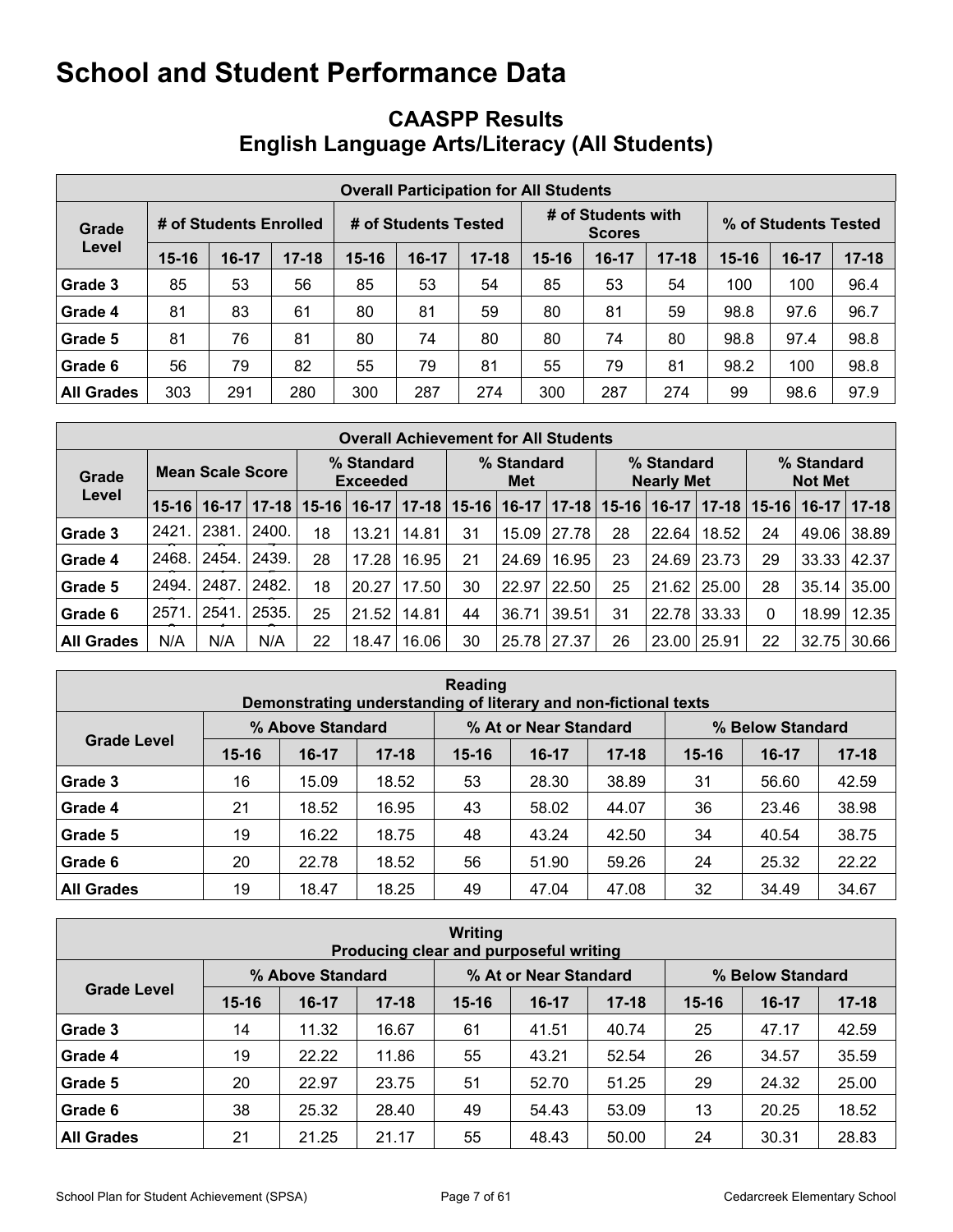## <span id="page-6-0"></span>**CAASPP Results English Language Arts/Literacy (All Students)**

|                   | <b>Overall Participation for All Students</b> |                        |           |           |                      |           |           |                                     |           |                      |       |           |  |
|-------------------|-----------------------------------------------|------------------------|-----------|-----------|----------------------|-----------|-----------|-------------------------------------|-----------|----------------------|-------|-----------|--|
| Grade             |                                               | # of Students Enrolled |           |           | # of Students Tested |           |           | # of Students with<br><b>Scores</b> |           | % of Students Tested |       |           |  |
| Level             | $15 - 16$                                     | $16-17$                | $17 - 18$ | $15 - 16$ | $16-17$              | $17 - 18$ | $15 - 16$ | $16-17$                             | $17 - 18$ | $15 - 16$            | 16-17 | $17 - 18$ |  |
| Grade 3           | 85                                            | 53                     | 56        | 85        | 53                   | 54        | 85        | 53                                  | 54        | 100                  | 100   | 96.4      |  |
| Grade 4           | 81                                            | 83                     | 61        | 80        | 81                   | 59        | 80        | 81                                  | 59        | 98.8                 | 97.6  | 96.7      |  |
| Grade 5           | 81                                            | 76                     | 81        | 80        | 74                   | 80        | 80        | 74                                  | 80        | 98.8                 | 97.4  | 98.8      |  |
| Grade 6           | 56                                            | 79                     | 82        | 55        | 79                   | 81        | 55        | 79                                  | 81        | 98.2                 | 100   | 98.8      |  |
| <b>All Grades</b> | 303                                           | 291                    | 280       | 300       | 287                  | 274       | 300       | 287                                 | 274       | 99                   | 98.6  | 97.9      |  |

|                   | <b>Overall Achievement for All Students</b> |         |       |                               |         |           |                   |         |           |                                 |         |       |                              |         |           |
|-------------------|---------------------------------------------|---------|-------|-------------------------------|---------|-----------|-------------------|---------|-----------|---------------------------------|---------|-------|------------------------------|---------|-----------|
| Grade             | Mean Scale Score                            |         |       | % Standard<br><b>Exceeded</b> |         |           | % Standard<br>Met |         |           | % Standard<br><b>Nearly Met</b> |         |       | % Standard<br><b>Not Met</b> |         |           |
| Level             | $15 - 16$                                   | $16-17$ |       | $17 - 18$   15-16             | $16-17$ | $17 - 18$ | $15 - 16$         | $16-17$ | $17 - 18$ | $15 - 16$                       | $16-17$ |       | $17 - 18$   15-16            | $16-17$ | $ 17-18 $ |
| Grade 3           | 2421                                        | 2381    | 2400. | 18                            | 13.21   | 14.81     | 31                | 15.09   | 27.78     | 28                              | 22.64   | 18.52 | 24                           | 49.06   | 38.89     |
| Grade 4           | 2468.                                       | 2454.   | 2439. | 28                            | 17.28   | 16.95     | 21                | 24.69   | 16.95     | 23                              | 24.69   | 23.73 | 29                           | 33.33   | 42.37     |
| Grade 5           | 2494.                                       | 2487    | 2482. | 18                            | 20.27   | 17.50     | 30                | 22.97   | 22.50     | 25                              | 21.62   | 25.00 | 28                           | 35.14   | 35.00     |
| Grade 6           | 2571                                        | 2541    | 2535. | 25                            | 21.52   | 14.81     | 44                | 36.71   | 39.51     | 31                              | 22.78   | 33.33 | 0                            | 18.99   | 12.35     |
| <b>All Grades</b> | N/A                                         | N/A     | N/A   | 22                            | 18.47   | 16.06     | 30                | 25.78   | 27.37     | 26                              | 23.00   | 25.91 | 22                           | 32.75   | 30.66     |

| Reading<br>Demonstrating understanding of literary and non-fictional texts |           |                  |           |           |                       |           |                  |         |           |  |  |  |
|----------------------------------------------------------------------------|-----------|------------------|-----------|-----------|-----------------------|-----------|------------------|---------|-----------|--|--|--|
|                                                                            |           | % Above Standard |           |           | % At or Near Standard |           | % Below Standard |         |           |  |  |  |
| <b>Grade Level</b>                                                         | $15 - 16$ | $16-17$          | $17 - 18$ | $15 - 16$ | $16-17$               | $17 - 18$ | $15 - 16$        | $16-17$ | $17 - 18$ |  |  |  |
| Grade 3                                                                    | 16        | 15.09            | 18.52     | 53        | 28.30                 | 38.89     | 31               | 56.60   | 42.59     |  |  |  |
| Grade 4                                                                    | 21        | 18.52            | 16.95     | 43        | 58.02                 | 44.07     | 36               | 23.46   | 38.98     |  |  |  |
| Grade 5                                                                    | 19        | 16.22            | 18.75     | 48        | 43.24                 | 42.50     | 34               | 40.54   | 38.75     |  |  |  |
| Grade 6                                                                    | 20        | 22.78            | 18.52     | 56        | 51.90                 | 59.26     | 24               | 25.32   | 22.22     |  |  |  |
| <b>All Grades</b>                                                          | 19        | 18.47            | 18.25     | 49        | 47.04                 | 47.08     | 32               | 34.49   | 34.67     |  |  |  |

| <b>Writing</b><br>Producing clear and purposeful writing |           |                  |           |           |                       |           |           |                  |           |  |  |  |
|----------------------------------------------------------|-----------|------------------|-----------|-----------|-----------------------|-----------|-----------|------------------|-----------|--|--|--|
|                                                          |           | % Above Standard |           |           | % At or Near Standard |           |           | % Below Standard |           |  |  |  |
| <b>Grade Level</b>                                       | $15 - 16$ | $16-17$          | $17 - 18$ | $15 - 16$ | $16-17$               | $17 - 18$ | $15 - 16$ | $16-17$          | $17 - 18$ |  |  |  |
| Grade 3                                                  | 14        | 11.32            | 16.67     | 61        | 41.51                 | 40.74     | 25        | 47.17            | 42.59     |  |  |  |
| Grade 4                                                  | 19        | 22.22            | 11.86     | 55        | 43.21                 | 52.54     | 26        | 34.57            | 35.59     |  |  |  |
| Grade 5                                                  | 20        | 22.97            | 23.75     | 51        | 52.70                 | 51.25     | 29        | 24.32            | 25.00     |  |  |  |
| Grade 6                                                  | 38        | 25.32            | 28.40     | 49        | 54.43                 | 53.09     | 13        | 20.25            | 18.52     |  |  |  |
| <b>All Grades</b>                                        | 21        | 21.25            | 21.17     | 55        | 48.43                 | 50.00     | 24        | 30.31            | 28.83     |  |  |  |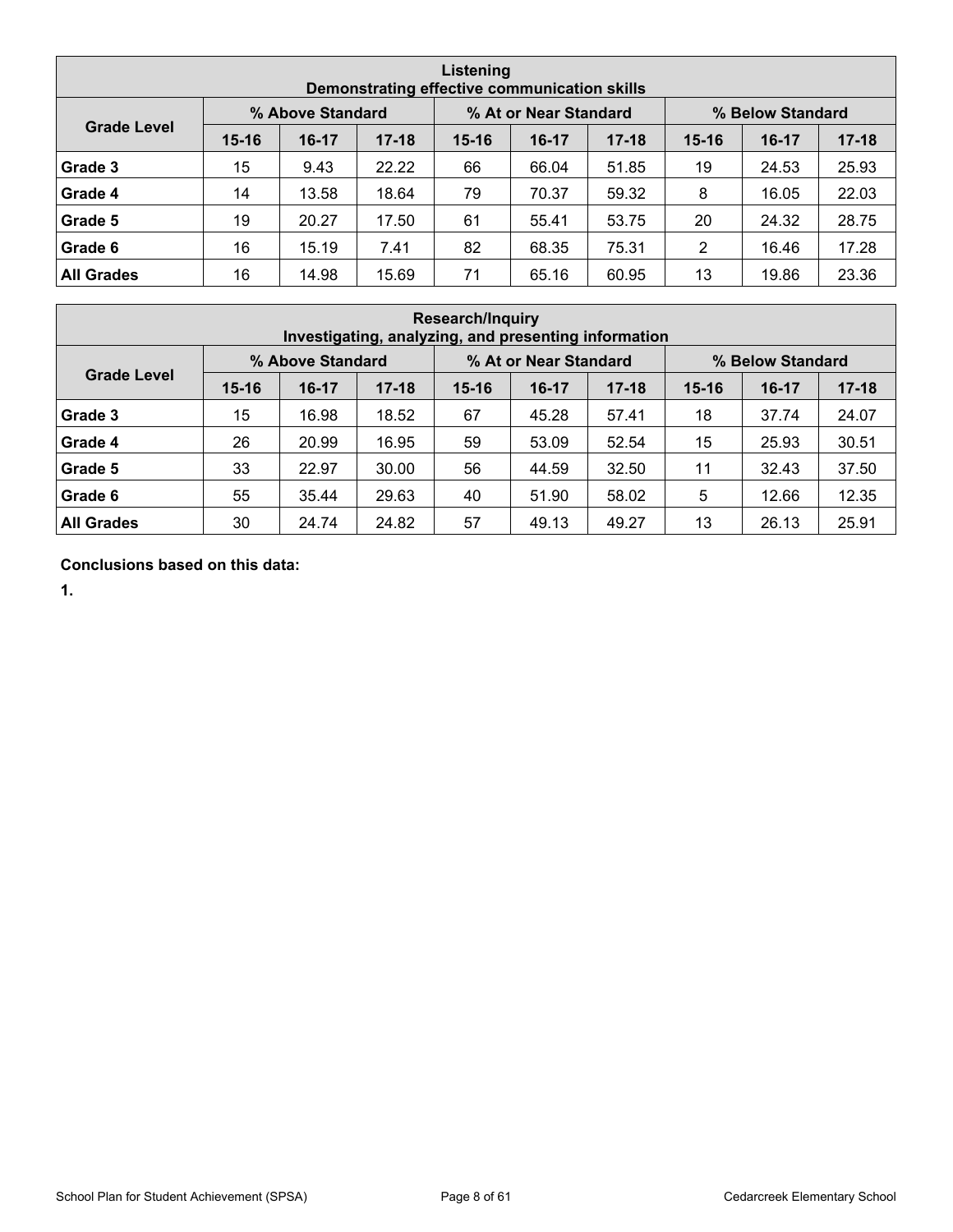| Listening<br>Demonstrating effective communication skills |           |                  |           |           |                       |           |           |                  |           |  |  |  |
|-----------------------------------------------------------|-----------|------------------|-----------|-----------|-----------------------|-----------|-----------|------------------|-----------|--|--|--|
|                                                           |           | % Above Standard |           |           | % At or Near Standard |           |           | % Below Standard |           |  |  |  |
| <b>Grade Level</b>                                        | $15 - 16$ | $16-17$          | $17 - 18$ | $15 - 16$ | $16-17$               | $17 - 18$ | $15 - 16$ | $16-17$          | $17 - 18$ |  |  |  |
| Grade 3                                                   | 15        | 9.43             | 22.22     | 66        | 66.04                 | 51.85     | 19        | 24.53            | 25.93     |  |  |  |
| Grade 4                                                   | 14        | 13.58            | 18.64     | 79        | 70.37                 | 59.32     | 8         | 16.05            | 22.03     |  |  |  |
| Grade 5                                                   | 19        | 20.27            | 17.50     | 61        | 55.41                 | 53.75     | 20        | 24.32            | 28.75     |  |  |  |
| Grade 6                                                   | 16        | 15.19            | 7.41      | 82        | 68.35                 | 75.31     | 2         | 16.46            | 17.28     |  |  |  |
| <b>All Grades</b>                                         | 16        | 14.98            | 15.69     | 71        | 65.16                 | 60.95     | 13        | 19.86            | 23.36     |  |  |  |

| <b>Research/Inquiry</b><br>Investigating, analyzing, and presenting information |           |                  |           |           |                       |           |           |                  |           |  |  |  |
|---------------------------------------------------------------------------------|-----------|------------------|-----------|-----------|-----------------------|-----------|-----------|------------------|-----------|--|--|--|
|                                                                                 |           | % Above Standard |           |           | % At or Near Standard |           |           | % Below Standard |           |  |  |  |
| <b>Grade Level</b>                                                              | $15 - 16$ | $16-17$          | $17 - 18$ | $15 - 16$ | $16-17$               | $17 - 18$ | $15 - 16$ | $16-17$          | $17 - 18$ |  |  |  |
| Grade 3                                                                         | 15        | 16.98            | 18.52     | 67        | 45.28                 | 57.41     | 18        | 37.74            | 24.07     |  |  |  |
| Grade 4                                                                         | 26        | 20.99            | 16.95     | 59        | 53.09                 | 52.54     | 15        | 25.93            | 30.51     |  |  |  |
| Grade 5                                                                         | 33        | 22.97            | 30.00     | 56        | 44.59                 | 32.50     | 11        | 32.43            | 37.50     |  |  |  |
| Grade 6                                                                         | 55        | 35.44            | 29.63     | 40        | 51.90                 | 58.02     | 5         | 12.66            | 12.35     |  |  |  |
| <b>All Grades</b>                                                               | 30        | 24.74            | 24.82     | 57        | 49.13                 | 49.27     | 13        | 26.13            | 25.91     |  |  |  |

**Conclusions based on this data:**

**1.**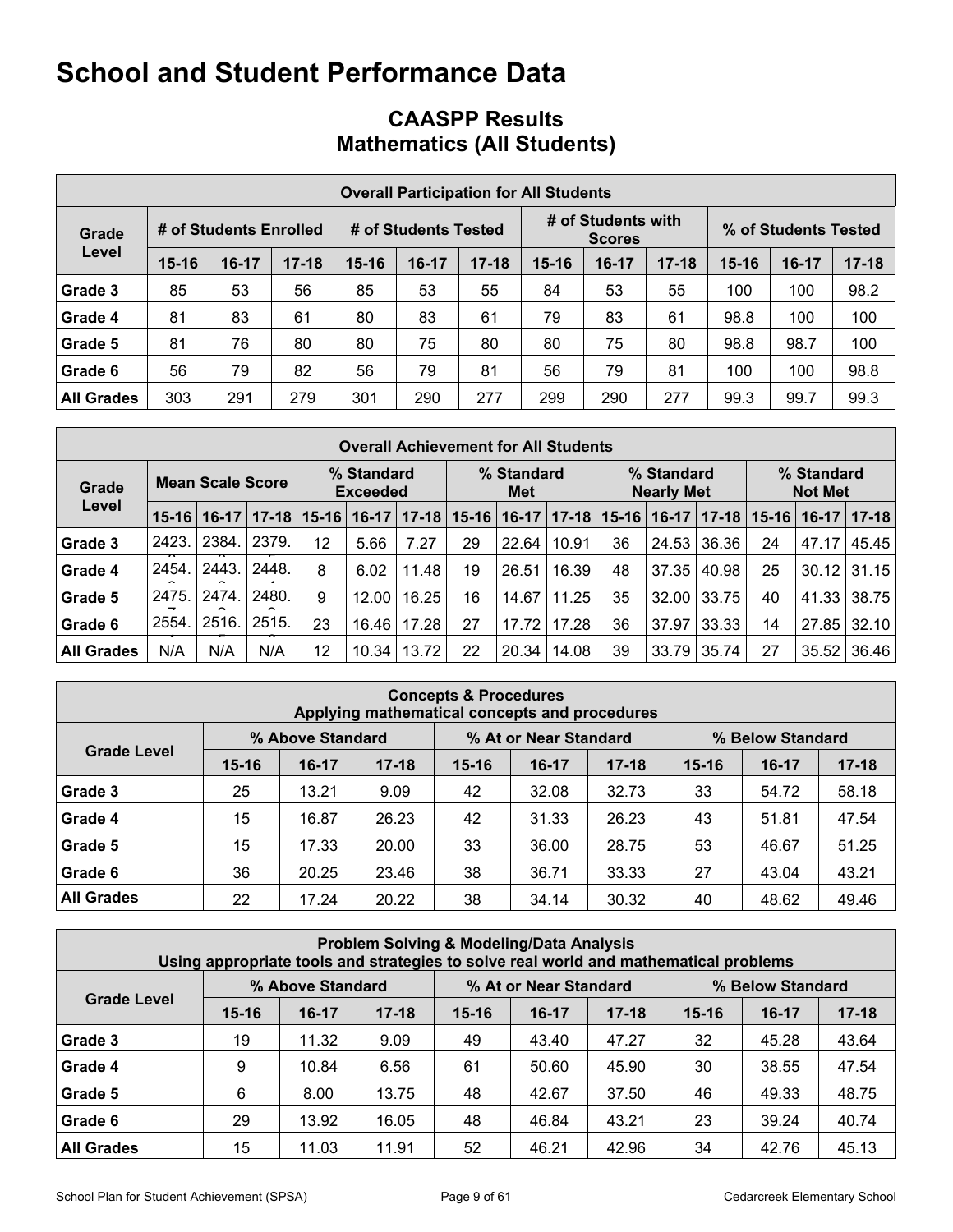## **CAASPP Results Mathematics (All Students)**

|                   | <b>Overall Participation for All Students</b> |                        |           |           |                      |           |           |                                     |           |                      |       |           |  |
|-------------------|-----------------------------------------------|------------------------|-----------|-----------|----------------------|-----------|-----------|-------------------------------------|-----------|----------------------|-------|-----------|--|
| Grade             |                                               | # of Students Enrolled |           |           | # of Students Tested |           |           | # of Students with<br><b>Scores</b> |           | % of Students Tested |       |           |  |
| Level             | $15 - 16$                                     | $16-17$                | $17 - 18$ | $15 - 16$ | $16-17$              | $17 - 18$ | $15 - 16$ | $16-17$                             | $17 - 18$ | $15 - 16$            | 16-17 | $17 - 18$ |  |
| Grade 3           | 85                                            | 53                     | 56        | 85        | 53                   | 55        | 84        | 53                                  | 55        | 100                  | 100   | 98.2      |  |
| Grade 4           | 81                                            | 83                     | 61        | 80        | 83                   | 61        | 79        | 83                                  | 61        | 98.8                 | 100   | 100       |  |
| Grade 5           | 81                                            | 76                     | 80        | 80        | 75                   | 80        | 80        | 75                                  | 80        | 98.8                 | 98.7  | 100       |  |
| Grade 6           | 56                                            | 79                     | 82        | 56        | 79                   | 81        | 56        | 79                                  | 81        | 100                  | 100   | 98.8      |  |
| <b>All Grades</b> | 303                                           | 291                    | 279       | 301       | 290                  | 277       | 299       | 290                                 | 277       | 99.3                 | 99.7  | 99.3      |  |

|                   | <b>Overall Achievement for All Students</b> |                         |           |           |                               |           |           |                   |           |           |                                 |           |           |                              |             |
|-------------------|---------------------------------------------|-------------------------|-----------|-----------|-------------------------------|-----------|-----------|-------------------|-----------|-----------|---------------------------------|-----------|-----------|------------------------------|-------------|
| Grade             |                                             | <b>Mean Scale Score</b> |           |           | % Standard<br><b>Exceeded</b> |           |           | % Standard<br>Met |           |           | % Standard<br><b>Nearly Met</b> |           |           | % Standard<br><b>Not Met</b> |             |
| Level             | $15 - 16$                                   | $16-17$                 | $17 - 18$ | $15 - 16$ | $16-17$                       | $17 - 18$ | $15 - 16$ | $16-17$           | $17 - 18$ | $15 - 16$ | $16-17$                         | $17 - 18$ | $15 - 16$ | $16-17$                      | $ 17 - 18 $ |
| Grade 3           | 2423.                                       | 2384.                   | 2379.     | 12        | 5.66                          | 7.27      | 29        | 22.64             | 10.91     | 36        | 24.53                           | 36.36     | 24        | 47.17                        | 45.45       |
| Grade 4           | 2454.                                       | 2443.                   | 2448.     | 8         | 6.02                          | 11.48     | 19        | 26.51             | 16.39     | 48        | 37.35                           | 40.98     | 25        | 30.12                        | 31.15       |
| Grade 5           | 2475.                                       | 2474.                   | 2480.     | 9         | 12.00                         | 16.25     | 16        | 14.67             | 11.25     | 35        | 32.00                           | 33.75     | 40        | 41.33                        | 38.75       |
| Grade 6           | 2554.                                       | 2516.                   | 2515.     | 23        | 16.46 l                       | 17.28     | 27        | 17.72             | 17.28     | 36        | 37.97                           | 33.33     | 14        | 27.85                        | 32.10       |
| <b>All Grades</b> | N/A                                         | N/A                     | N/A       | 12        | 10.34                         | 13.72     | 22        | 20.34             | 14.08     | 39        | 33.79                           | 35.74     | 27        | 35.52                        | 36.46       |

| <b>Concepts &amp; Procedures</b><br>Applying mathematical concepts and procedures |           |                  |           |           |                       |           |                  |           |           |  |  |  |
|-----------------------------------------------------------------------------------|-----------|------------------|-----------|-----------|-----------------------|-----------|------------------|-----------|-----------|--|--|--|
|                                                                                   |           | % Above Standard |           |           | % At or Near Standard |           | % Below Standard |           |           |  |  |  |
| <b>Grade Level</b>                                                                | $15 - 16$ | $16-17$          | $17 - 18$ | $15 - 16$ | $16-17$               | $17 - 18$ | $15 - 16$        | $16 - 17$ | $17 - 18$ |  |  |  |
| Grade 3                                                                           | 25        | 13.21            | 9.09      | 42        | 32.08                 | 32.73     | 33               | 54.72     | 58.18     |  |  |  |
| Grade 4                                                                           | 15        | 16.87            | 26.23     | 42        | 31.33                 | 26.23     | 43               | 51.81     | 47.54     |  |  |  |
| Grade 5                                                                           | 15        | 17.33            | 20.00     | 33        | 36.00                 | 28.75     | 53               | 46.67     | 51.25     |  |  |  |
| Grade 6                                                                           | 36        | 20.25            | 23.46     | 38        | 36.71                 | 33.33     | 27               | 43.04     | 43.21     |  |  |  |
| <b>All Grades</b>                                                                 | 22        | 17.24            | 20.22     | 38        | 34.14                 | 30.32     | 40               | 48.62     | 49.46     |  |  |  |

| <b>Problem Solving &amp; Modeling/Data Analysis</b><br>Using appropriate tools and strategies to solve real world and mathematical problems |           |                  |           |           |                       |           |           |                  |           |  |  |  |
|---------------------------------------------------------------------------------------------------------------------------------------------|-----------|------------------|-----------|-----------|-----------------------|-----------|-----------|------------------|-----------|--|--|--|
|                                                                                                                                             |           | % Above Standard |           |           | % At or Near Standard |           |           | % Below Standard |           |  |  |  |
| <b>Grade Level</b>                                                                                                                          | $15 - 16$ | $16-17$          | $17 - 18$ | $15 - 16$ | $16-17$               | $17 - 18$ | $15 - 16$ | $16-17$          | $17 - 18$ |  |  |  |
| Grade 3                                                                                                                                     | 19        | 11.32            | 9.09      | 49        | 43.40                 | 47.27     | 32        | 45.28            | 43.64     |  |  |  |
| Grade 4                                                                                                                                     | 9         | 10.84            | 6.56      | 61        | 50.60                 | 45.90     | 30        | 38.55            | 47.54     |  |  |  |
| Grade 5                                                                                                                                     | 6         | 8.00             | 13.75     | 48        | 42.67                 | 37.50     | 46        | 49.33            | 48.75     |  |  |  |
| Grade 6                                                                                                                                     | 29        | 13.92            | 16.05     | 48        | 46.84                 | 43.21     | 23        | 39.24            | 40.74     |  |  |  |
| <b>All Grades</b>                                                                                                                           | 15        | 11.03            | 11.91     | 52        | 46.21                 | 42.96     | 34        | 42.76            | 45.13     |  |  |  |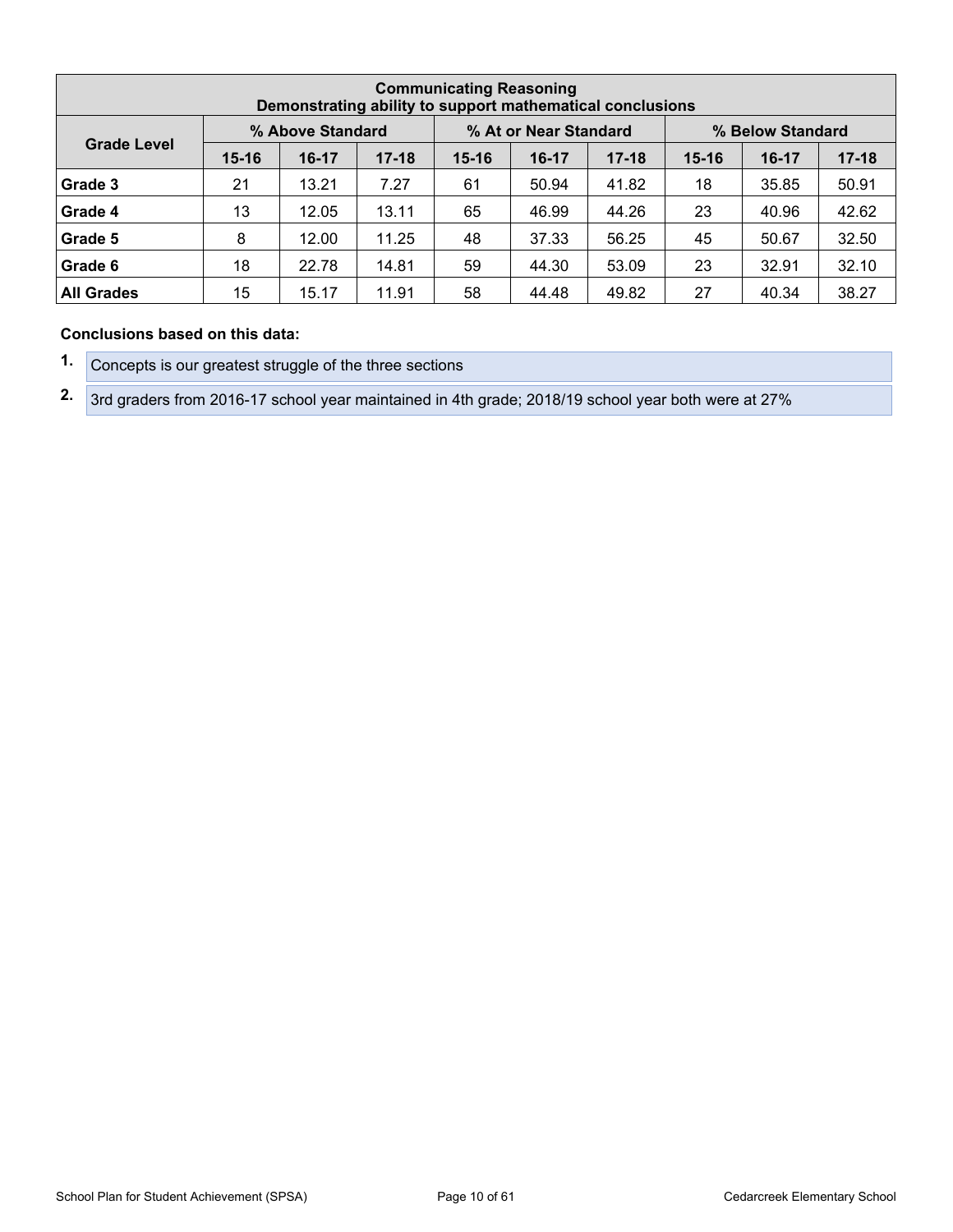| <b>Communicating Reasoning</b><br>Demonstrating ability to support mathematical conclusions |           |                  |           |           |                       |           |                  |         |           |  |  |  |
|---------------------------------------------------------------------------------------------|-----------|------------------|-----------|-----------|-----------------------|-----------|------------------|---------|-----------|--|--|--|
|                                                                                             |           | % Above Standard |           |           | % At or Near Standard |           | % Below Standard |         |           |  |  |  |
| <b>Grade Level</b>                                                                          | $15 - 16$ | $16-17$          | $17 - 18$ | $15 - 16$ | $16-17$               | $17 - 18$ | $15 - 16$        | $16-17$ | $17 - 18$ |  |  |  |
| Grade 3                                                                                     | 21        | 13.21            | 7.27      | 61        | 50.94                 | 41.82     | 18               | 35.85   | 50.91     |  |  |  |
| Grade 4                                                                                     | 13        | 12.05            | 13.11     | 65        | 46.99                 | 44.26     | 23               | 40.96   | 42.62     |  |  |  |
| Grade 5                                                                                     | 8         | 12.00            | 11.25     | 48        | 37.33                 | 56.25     | 45               | 50.67   | 32.50     |  |  |  |
| Grade 6                                                                                     | 18        | 22.78            | 14.81     | 59        | 44.30                 | 53.09     | 23               | 32.91   | 32.10     |  |  |  |
| <b>All Grades</b>                                                                           | 15        | 15.17            | 11.91     | 58        | 44.48                 | 49.82     | 27               | 40.34   | 38.27     |  |  |  |

#### **Conclusions based on this data:**

**1.** Concepts is our greatest struggle of the three sections

**2.** 3rd graders from 2016-17 school year maintained in 4th grade; 2018/19 school year both were at 27%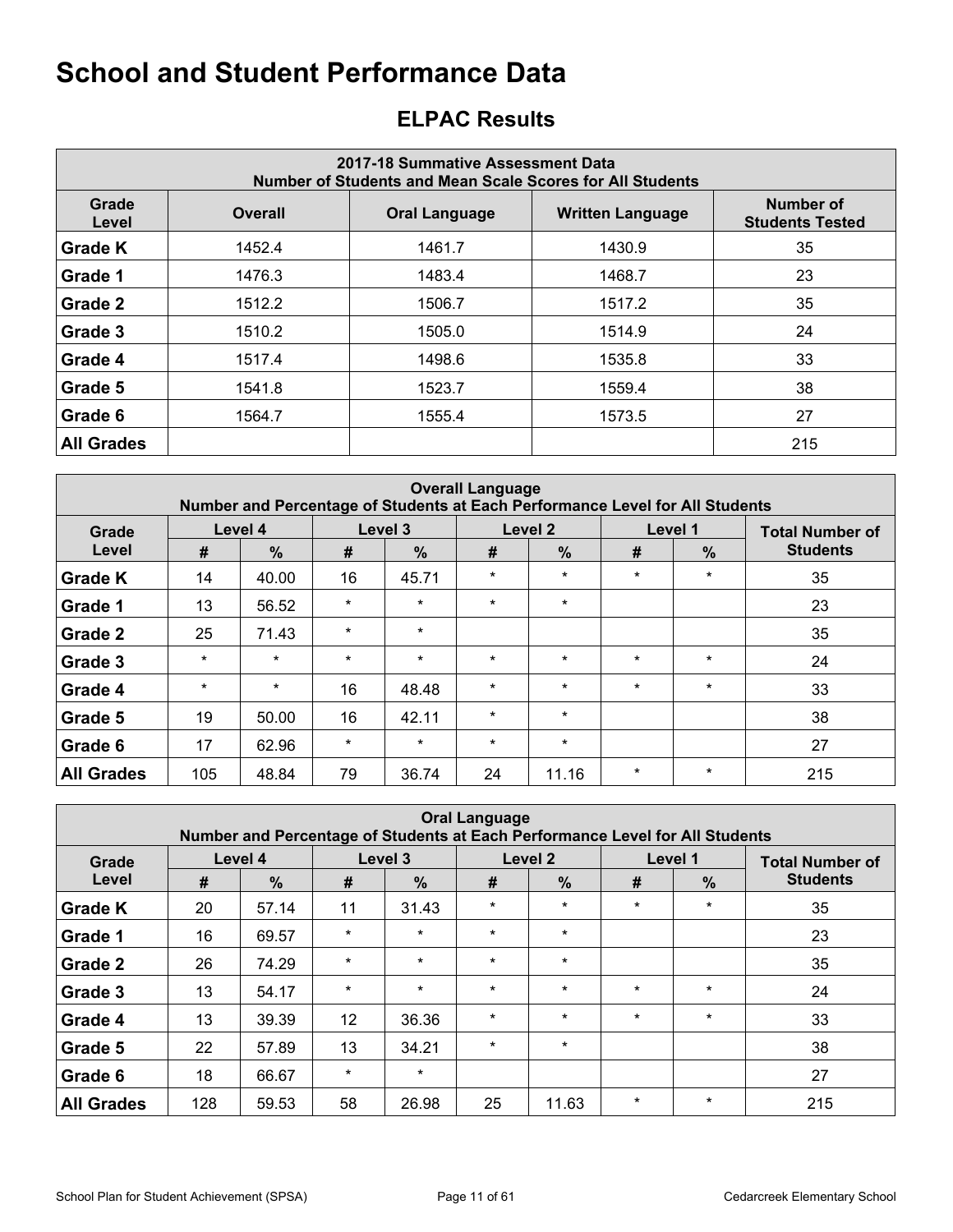## <span id="page-10-0"></span>**ELPAC Results**

| 2017-18 Summative Assessment Data<br>Number of Students and Mean Scale Scores for All Students |                |                         |                                     |     |  |  |  |  |  |  |  |
|------------------------------------------------------------------------------------------------|----------------|-------------------------|-------------------------------------|-----|--|--|--|--|--|--|--|
| Grade<br>Level                                                                                 | <b>Overall</b> | <b>Written Language</b> | Number of<br><b>Students Tested</b> |     |  |  |  |  |  |  |  |
| <b>Grade K</b>                                                                                 | 1452.4         | 1461.7                  | 1430.9                              | 35  |  |  |  |  |  |  |  |
| Grade 1                                                                                        | 1476.3         | 1483.4                  | 1468.7                              | 23  |  |  |  |  |  |  |  |
| Grade 2                                                                                        | 1512.2         | 1506.7                  | 1517.2                              | 35  |  |  |  |  |  |  |  |
| Grade 3                                                                                        | 1510.2         | 1505.0                  | 1514.9                              | 24  |  |  |  |  |  |  |  |
| Grade 4                                                                                        | 1517.4         | 1498.6                  | 1535.8                              | 33  |  |  |  |  |  |  |  |
| Grade 5                                                                                        | 1541.8         | 1523.7                  | 1559.4                              | 38  |  |  |  |  |  |  |  |
| Grade 6                                                                                        | 1564.7         | 1555.4                  | 1573.5                              | 27  |  |  |  |  |  |  |  |
| <b>All Grades</b>                                                                              |                |                         |                                     | 215 |  |  |  |  |  |  |  |

| <b>Overall Language</b><br>Number and Percentage of Students at Each Performance Level for All Students |         |               |         |               |         |               |         |         |                        |  |  |  |
|---------------------------------------------------------------------------------------------------------|---------|---------------|---------|---------------|---------|---------------|---------|---------|------------------------|--|--|--|
| Grade                                                                                                   |         | Level 4       |         | Level 3       |         | Level 2       |         | Level 1 | <b>Total Number of</b> |  |  |  |
| Level                                                                                                   | #       | $\frac{9}{6}$ | #       | $\frac{9}{6}$ | #       | $\frac{0}{0}$ | #       | $\%$    | <b>Students</b>        |  |  |  |
| <b>Grade K</b>                                                                                          | 14      | 40.00         | 16      | 45.71         | $\star$ | $\star$       | $\star$ | $\star$ | 35                     |  |  |  |
| Grade 1                                                                                                 | 13      | 56.52         | $\star$ | $\star$       | $\star$ | $\star$       |         |         | 23                     |  |  |  |
| Grade 2                                                                                                 | 25      | 71.43         | $\star$ | $\star$       |         |               |         |         | 35                     |  |  |  |
| Grade 3                                                                                                 | $\star$ | $\star$       | $\star$ | $\star$       | $\star$ | $\star$       | $\star$ | $\star$ | 24                     |  |  |  |
| Grade 4                                                                                                 | $\star$ | $\star$       | 16      | 48.48         | $\star$ | $\star$       | $\star$ | $\star$ | 33                     |  |  |  |
| Grade 5                                                                                                 | 19      | 50.00         | 16      | 42.11         | $\star$ | $\star$       |         |         | 38                     |  |  |  |
| Grade 6                                                                                                 | 17      | 62.96         | $\star$ | $\star$       | $\star$ | $\star$       |         |         | 27                     |  |  |  |
| <b>All Grades</b>                                                                                       | 105     | 48.84         | 79      | 36.74         | 24      | 11.16         | $\star$ | $\star$ | 215                    |  |  |  |

| <b>Oral Language</b><br>Number and Percentage of Students at Each Performance Level for All Students |     |               |         |               |         |               |         |               |                        |  |  |  |
|------------------------------------------------------------------------------------------------------|-----|---------------|---------|---------------|---------|---------------|---------|---------------|------------------------|--|--|--|
| Grade                                                                                                |     | Level 4       |         | Level 3       |         | Level 2       | Level 1 |               | <b>Total Number of</b> |  |  |  |
| Level                                                                                                | #   | $\frac{0}{0}$ | #       | $\frac{0}{0}$ | #       | $\frac{9}{6}$ | #       | $\frac{9}{6}$ | <b>Students</b>        |  |  |  |
| <b>Grade K</b>                                                                                       | 20  | 57.14         | 11      | 31.43         | $\star$ | $\star$       | $\star$ | $\star$       | 35                     |  |  |  |
| Grade 1                                                                                              | 16  | 69.57         | $\star$ | $\star$       | $\star$ | $\star$       |         |               | 23                     |  |  |  |
| Grade 2                                                                                              | 26  | 74.29         | $\star$ | $\star$       | $\star$ | $\star$       |         |               | 35                     |  |  |  |
| Grade 3                                                                                              | 13  | 54.17         | $\star$ | $\star$       | $\star$ | $\star$       | $\star$ | $\star$       | 24                     |  |  |  |
| Grade 4                                                                                              | 13  | 39.39         | 12      | 36.36         | $\star$ | $\star$       | $\star$ | $\star$       | 33                     |  |  |  |
| Grade 5                                                                                              | 22  | 57.89         | 13      | 34.21         | $\star$ | $\star$       |         |               | 38                     |  |  |  |
| Grade 6                                                                                              | 18  | 66.67         | *       | $\star$       |         |               |         |               | 27                     |  |  |  |
| <b>All Grades</b>                                                                                    | 128 | 59.53         | 58      | 26.98         | 25      | 11.63         | $\star$ | $\star$       | 215                    |  |  |  |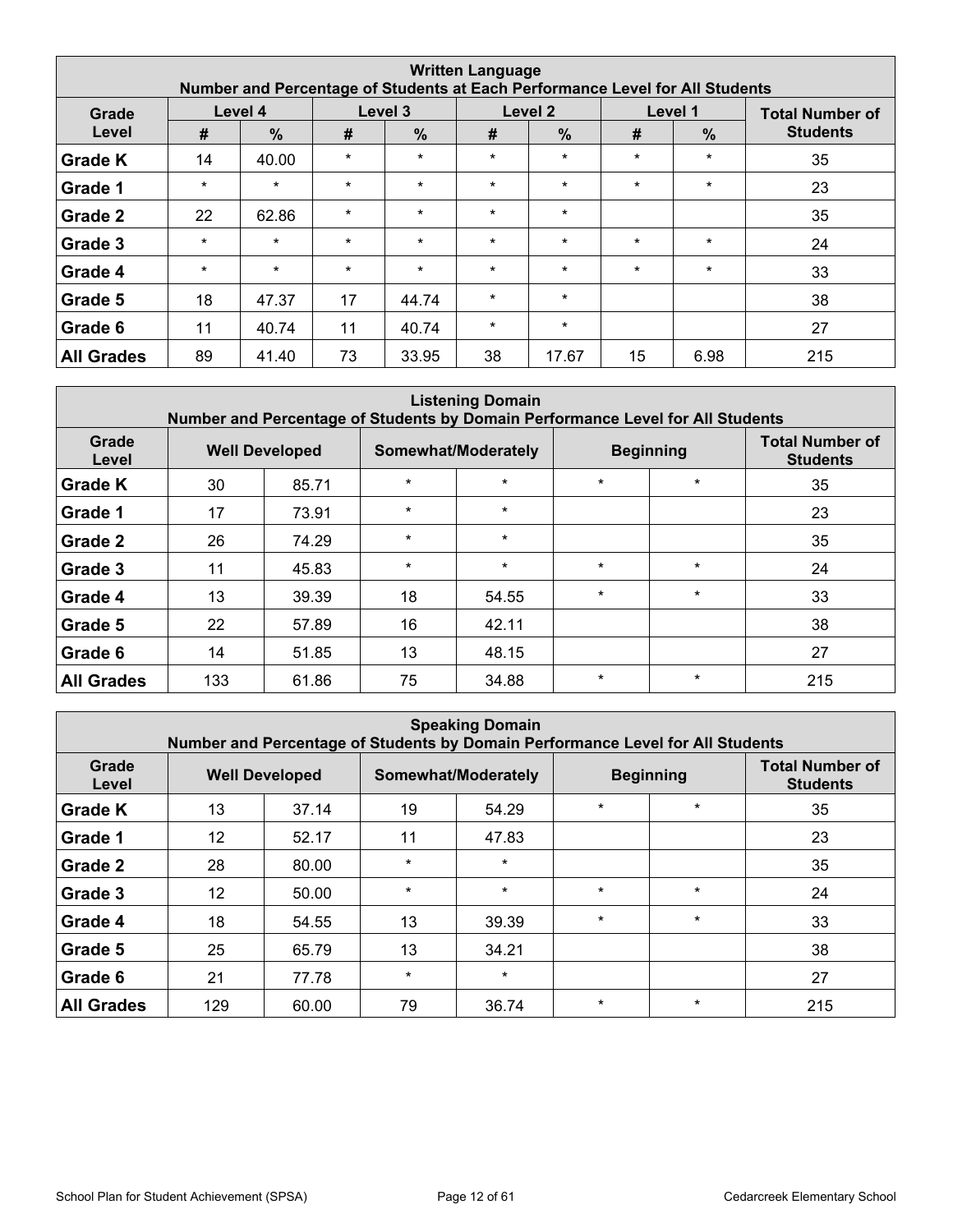| <b>Written Language</b><br>Number and Percentage of Students at Each Performance Level for All Students |         |               |         |               |         |                    |         |               |                        |  |  |  |
|---------------------------------------------------------------------------------------------------------|---------|---------------|---------|---------------|---------|--------------------|---------|---------------|------------------------|--|--|--|
| Grade                                                                                                   |         | Level 4       |         | Level 3       |         | Level <sub>2</sub> |         | Level 1       | <b>Total Number of</b> |  |  |  |
| Level                                                                                                   | #       | $\frac{0}{0}$ | #       | $\frac{0}{0}$ | #       | $\frac{0}{0}$      | #       | $\frac{9}{6}$ | <b>Students</b>        |  |  |  |
| <b>Grade K</b>                                                                                          | 14      | 40.00         | $\star$ | $\star$       | $\star$ | $\star$            | $\star$ | $\star$       | 35                     |  |  |  |
| Grade 1                                                                                                 | $\star$ | $\star$       | $\star$ | $\star$       | $\star$ | $\star$            | $\star$ | $\star$       | 23                     |  |  |  |
| Grade 2                                                                                                 | 22      | 62.86         | $\star$ | $\star$       | $\star$ | $\star$            |         |               | 35                     |  |  |  |
| Grade 3                                                                                                 | $\star$ | $\star$       | $\star$ | $\star$       | $\star$ | $\star$            | $\star$ | $\star$       | 24                     |  |  |  |
| Grade 4                                                                                                 | $\star$ | $\star$       | $\star$ | $\star$       | $\star$ | $\star$            | $\star$ | $\ast$        | 33                     |  |  |  |
| Grade 5                                                                                                 | 18      | 47.37         | 17      | 44.74         | $\star$ | $\star$            |         |               | 38                     |  |  |  |
| Grade 6                                                                                                 | 11      | 40.74         | 11      | 40.74         | $\star$ | $\star$            |         |               | 27                     |  |  |  |
| <b>All Grades</b>                                                                                       | 89      | 41.40         | 73      | 33.95         | 38      | 17.67              | 15      | 6.98          | 215                    |  |  |  |

| <b>Listening Domain</b><br>Number and Percentage of Students by Domain Performance Level for All Students |                       |       |         |                     |         |                  |                                           |  |  |  |  |  |
|-----------------------------------------------------------------------------------------------------------|-----------------------|-------|---------|---------------------|---------|------------------|-------------------------------------------|--|--|--|--|--|
| Grade<br>Level                                                                                            | <b>Well Developed</b> |       |         | Somewhat/Moderately |         | <b>Beginning</b> | <b>Total Number of</b><br><b>Students</b> |  |  |  |  |  |
| <b>Grade K</b>                                                                                            | 30                    | 85.71 | $\star$ | $\star$             | $\star$ | $\star$          | 35                                        |  |  |  |  |  |
| Grade 1                                                                                                   | 17                    | 73.91 | $\star$ | $\star$             |         |                  | 23                                        |  |  |  |  |  |
| Grade 2                                                                                                   | 26                    | 74.29 | $\star$ | $\star$             |         |                  | 35                                        |  |  |  |  |  |
| Grade 3                                                                                                   | 11                    | 45.83 | $\star$ | $\star$             | $\star$ | $\star$          | 24                                        |  |  |  |  |  |
| Grade 4                                                                                                   | 13                    | 39.39 | 18      | 54.55               | $\star$ | $\star$          | 33                                        |  |  |  |  |  |
| Grade 5                                                                                                   | 22                    | 57.89 | 16      | 42.11               |         |                  | 38                                        |  |  |  |  |  |
| Grade 6                                                                                                   | 14                    | 51.85 | 13      | 48.15               |         |                  | 27                                        |  |  |  |  |  |
| <b>All Grades</b>                                                                                         | 133                   | 61.86 | 75      | 34.88               | $\star$ | $\star$          | 215                                       |  |  |  |  |  |

|                   | <b>Speaking Domain</b><br>Number and Percentage of Students by Domain Performance Level for All Students |                       |         |                     |         |                  |                                           |  |  |  |  |  |  |
|-------------------|----------------------------------------------------------------------------------------------------------|-----------------------|---------|---------------------|---------|------------------|-------------------------------------------|--|--|--|--|--|--|
| Grade<br>Level    |                                                                                                          | <b>Well Developed</b> |         | Somewhat/Moderately |         | <b>Beginning</b> | <b>Total Number of</b><br><b>Students</b> |  |  |  |  |  |  |
| <b>Grade K</b>    | 13                                                                                                       | 37.14                 | 19      | 54.29               | $\star$ | $\star$          | 35                                        |  |  |  |  |  |  |
| Grade 1           | $12 \overline{ }$                                                                                        | 52.17                 | 11      | 47.83               |         |                  | 23                                        |  |  |  |  |  |  |
| Grade 2           | 28                                                                                                       | 80.00                 | $\star$ | $\star$             |         |                  | 35                                        |  |  |  |  |  |  |
| Grade 3           | $12 \overline{ }$                                                                                        | 50.00                 | $\star$ | $\star$             | $\star$ | $\star$          | 24                                        |  |  |  |  |  |  |
| Grade 4           | 18                                                                                                       | 54.55                 | 13      | 39.39               | $\star$ | $\star$          | 33                                        |  |  |  |  |  |  |
| Grade 5           | 25                                                                                                       | 65.79                 | 13      | 34.21               |         |                  | 38                                        |  |  |  |  |  |  |
| Grade 6           | 21                                                                                                       | 77.78                 | $\star$ | $\star$             |         |                  | 27                                        |  |  |  |  |  |  |
| <b>All Grades</b> | 129                                                                                                      | 60.00                 | 79      | 36.74               | $\star$ | $\star$          | 215                                       |  |  |  |  |  |  |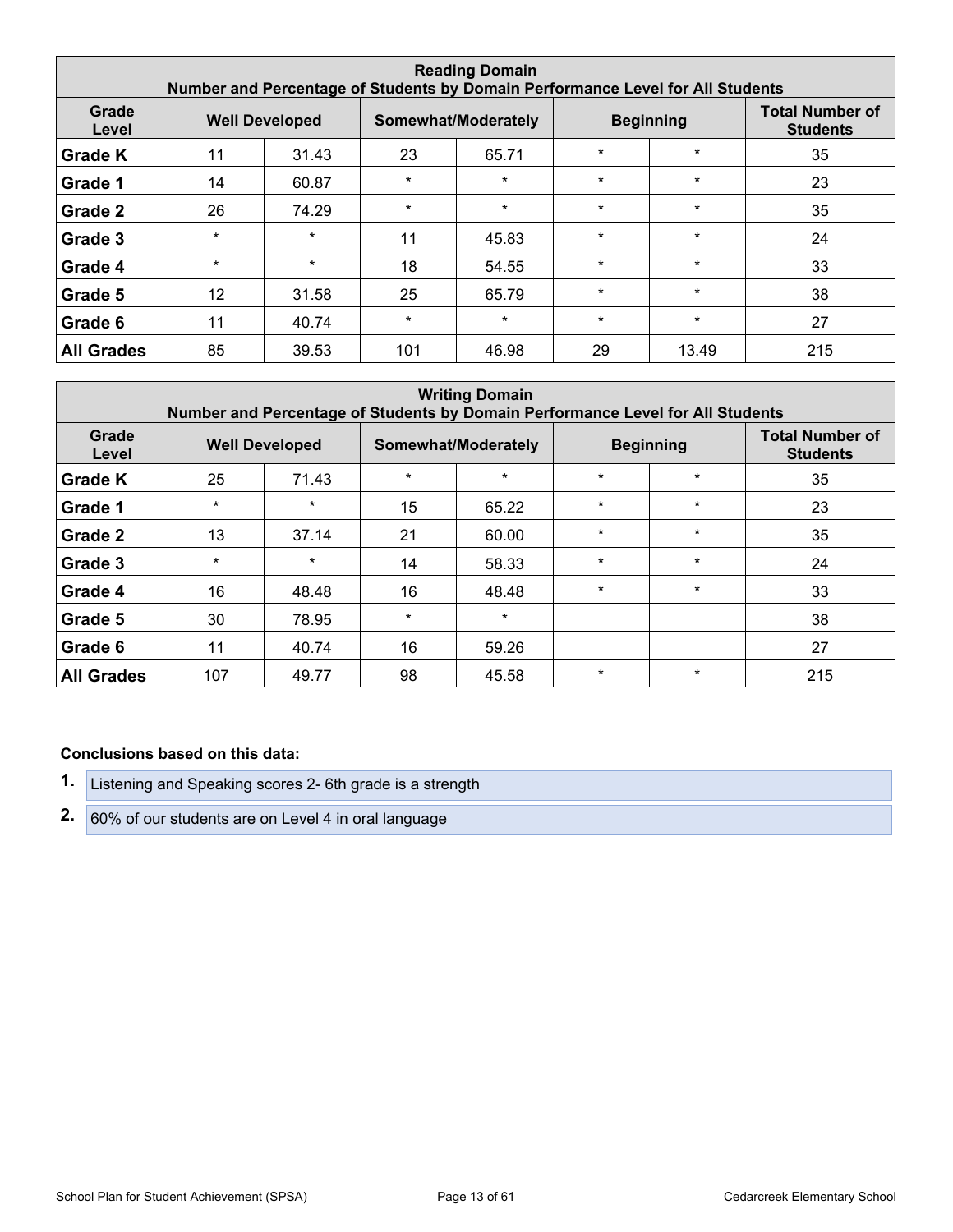| <b>Reading Domain</b><br>Number and Percentage of Students by Domain Performance Level for All Students |         |                       |         |                     |         |                  |                                           |  |  |  |  |  |
|---------------------------------------------------------------------------------------------------------|---------|-----------------------|---------|---------------------|---------|------------------|-------------------------------------------|--|--|--|--|--|
| Grade<br>Level                                                                                          |         | <b>Well Developed</b> |         | Somewhat/Moderately |         | <b>Beginning</b> | <b>Total Number of</b><br><b>Students</b> |  |  |  |  |  |
| <b>Grade K</b>                                                                                          | 11      | 31.43                 | 23      | 65.71               | $\star$ | $\star$          | 35                                        |  |  |  |  |  |
| Grade 1                                                                                                 | 14      | 60.87                 | $\star$ | $\star$             | $\star$ | $\star$          | 23                                        |  |  |  |  |  |
| Grade 2                                                                                                 | 26      | 74.29                 | $\star$ | $\star$             | $\star$ | $\star$          | 35                                        |  |  |  |  |  |
| Grade 3                                                                                                 | $\star$ | $\star$               | 11      | 45.83               | $\star$ | $\star$          | 24                                        |  |  |  |  |  |
| Grade 4                                                                                                 | $\star$ | $\star$               | 18      | 54.55               | $\star$ | $\star$          | 33                                        |  |  |  |  |  |
| Grade 5                                                                                                 | 12      | 31.58                 | 25      | 65.79               | $\star$ | $\star$          | 38                                        |  |  |  |  |  |
| Grade 6                                                                                                 | 11      | 40.74                 | $\star$ | $\star$             | $\star$ | $\star$          | 27                                        |  |  |  |  |  |
| <b>All Grades</b>                                                                                       | 85      | 39.53                 | 101     | 46.98               | 29      | 13.49            | 215                                       |  |  |  |  |  |

| <b>Writing Domain</b><br>Number and Percentage of Students by Domain Performance Level for All Students |         |                       |         |                     |         |                  |                                           |  |  |  |  |  |
|---------------------------------------------------------------------------------------------------------|---------|-----------------------|---------|---------------------|---------|------------------|-------------------------------------------|--|--|--|--|--|
| Grade<br>Level                                                                                          |         | <b>Well Developed</b> |         | Somewhat/Moderately |         | <b>Beginning</b> | <b>Total Number of</b><br><b>Students</b> |  |  |  |  |  |
| Grade K                                                                                                 | 25      | 71.43                 | $\star$ | $\star$             | $\star$ | $\star$          | 35                                        |  |  |  |  |  |
| Grade 1                                                                                                 | $\star$ | $\star$               | 15      | 65.22               | $\star$ | $\star$          | 23                                        |  |  |  |  |  |
| Grade 2                                                                                                 | 13      | 37.14                 | 21      | 60.00               | $\star$ | $\star$          | 35                                        |  |  |  |  |  |
| Grade 3                                                                                                 | $\star$ | $\star$               | 14      | 58.33               | $\star$ | $\star$          | 24                                        |  |  |  |  |  |
| Grade 4                                                                                                 | 16      | 48.48                 | 16      | 48.48               | $\star$ | $\star$          | 33                                        |  |  |  |  |  |
| Grade 5                                                                                                 | 30      | 78.95                 | $\star$ | $\star$             |         |                  | 38                                        |  |  |  |  |  |
| Grade 6                                                                                                 | 11      | 40.74                 | 16      | 59.26               |         |                  | 27                                        |  |  |  |  |  |
| <b>All Grades</b>                                                                                       | 107     | 49.77                 | 98      | 45.58               | $\star$ | $\star$          | 215                                       |  |  |  |  |  |

#### **Conclusions based on this data:**

- **1.** Listening and Speaking scores 2- 6th grade is a strength
- **2.** 60% of our students are on Level 4 in oral language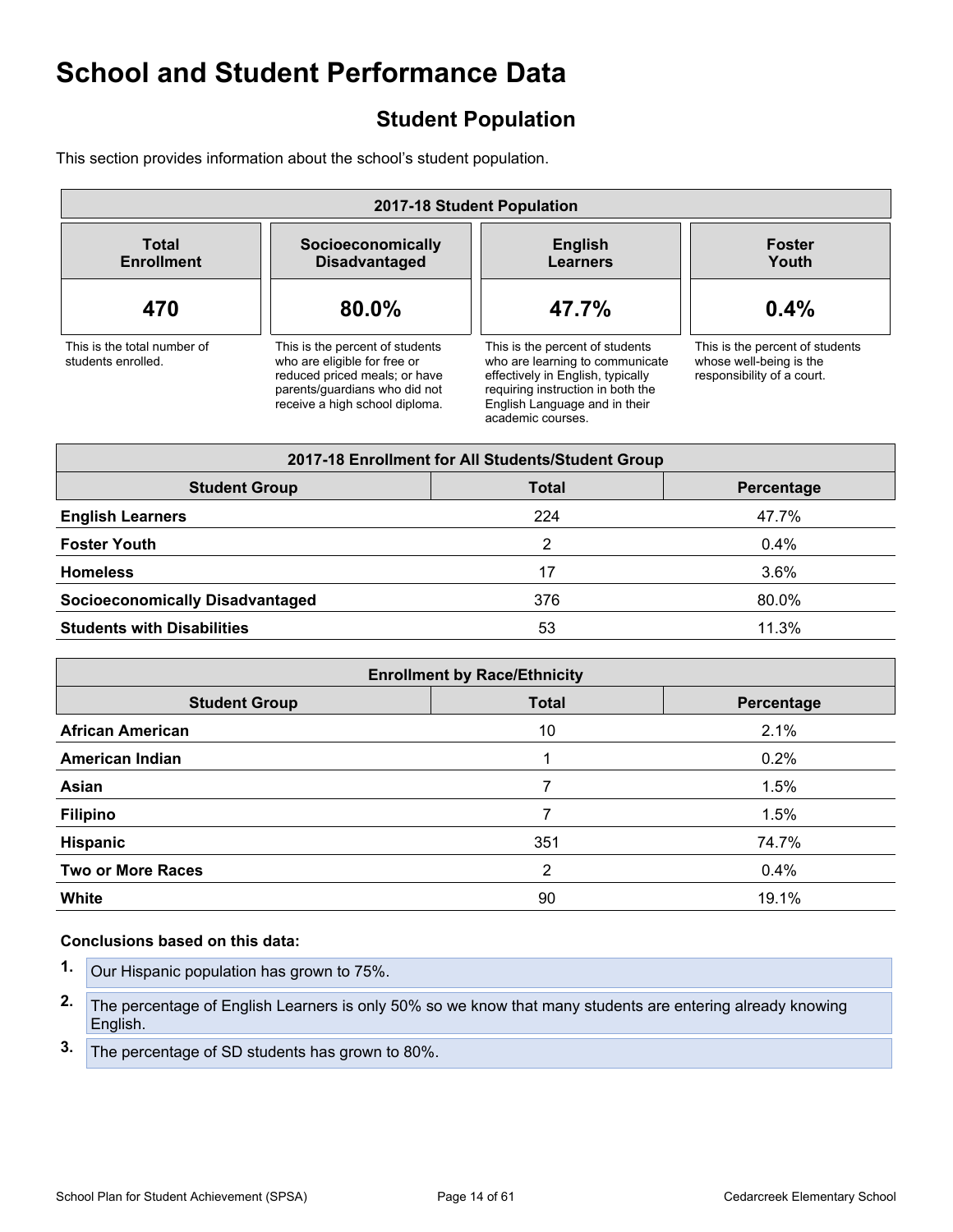## <span id="page-13-0"></span>**Student Population**

This section provides information about the school's student population.

| 2017-18 Student Population                        |                                                                                                                                                                     |                                                                                                                                                                                                    |                                                                                          |  |
|---------------------------------------------------|---------------------------------------------------------------------------------------------------------------------------------------------------------------------|----------------------------------------------------------------------------------------------------------------------------------------------------------------------------------------------------|------------------------------------------------------------------------------------------|--|
| Total<br><b>Enrollment</b>                        | Socioeconomically<br><b>Disadvantaged</b>                                                                                                                           | <b>English</b><br><b>Learners</b>                                                                                                                                                                  | <b>Foster</b><br>Youth                                                                   |  |
| 470                                               | 80.0%                                                                                                                                                               | 47.7%                                                                                                                                                                                              | 0.4%                                                                                     |  |
| This is the total number of<br>students enrolled. | This is the percent of students<br>who are eligible for free or<br>reduced priced meals; or have<br>parents/quardians who did not<br>receive a high school diploma. | This is the percent of students<br>who are learning to communicate<br>effectively in English, typically<br>requiring instruction in both the<br>English Language and in their<br>academic courses. | This is the percent of students<br>whose well-being is the<br>responsibility of a court. |  |

| 2017-18 Enrollment for All Students/Student Group  |     |         |  |  |
|----------------------------------------------------|-----|---------|--|--|
| <b>Student Group</b><br><b>Total</b><br>Percentage |     |         |  |  |
| <b>English Learners</b>                            | 224 | 47.7%   |  |  |
| <b>Foster Youth</b>                                | 2   | 0.4%    |  |  |
| <b>Homeless</b>                                    | 17  | $3.6\%$ |  |  |
| <b>Socioeconomically Disadvantaged</b>             | 376 | 80.0%   |  |  |
| <b>Students with Disabilities</b>                  | 53  | 11.3%   |  |  |

| <b>Enrollment by Race/Ethnicity</b>                |     |       |  |  |  |
|----------------------------------------------------|-----|-------|--|--|--|
| <b>Total</b><br><b>Student Group</b><br>Percentage |     |       |  |  |  |
| <b>African American</b>                            | 10  | 2.1%  |  |  |  |
| <b>American Indian</b>                             |     | 0.2%  |  |  |  |
| Asian                                              | 7   | 1.5%  |  |  |  |
| <b>Filipino</b>                                    |     | 1.5%  |  |  |  |
| Hispanic                                           | 351 | 74.7% |  |  |  |
| <b>Two or More Races</b>                           | 2   | 0.4%  |  |  |  |
| White                                              | 90  | 19.1% |  |  |  |

#### **Conclusions based on this data:**

- **1.** Our Hispanic population has grown to 75%. **2.** The percentage of English Learners is only 50% so we know that many students are entering already knowing English.
- **3.** The percentage of SD students has grown to 80%.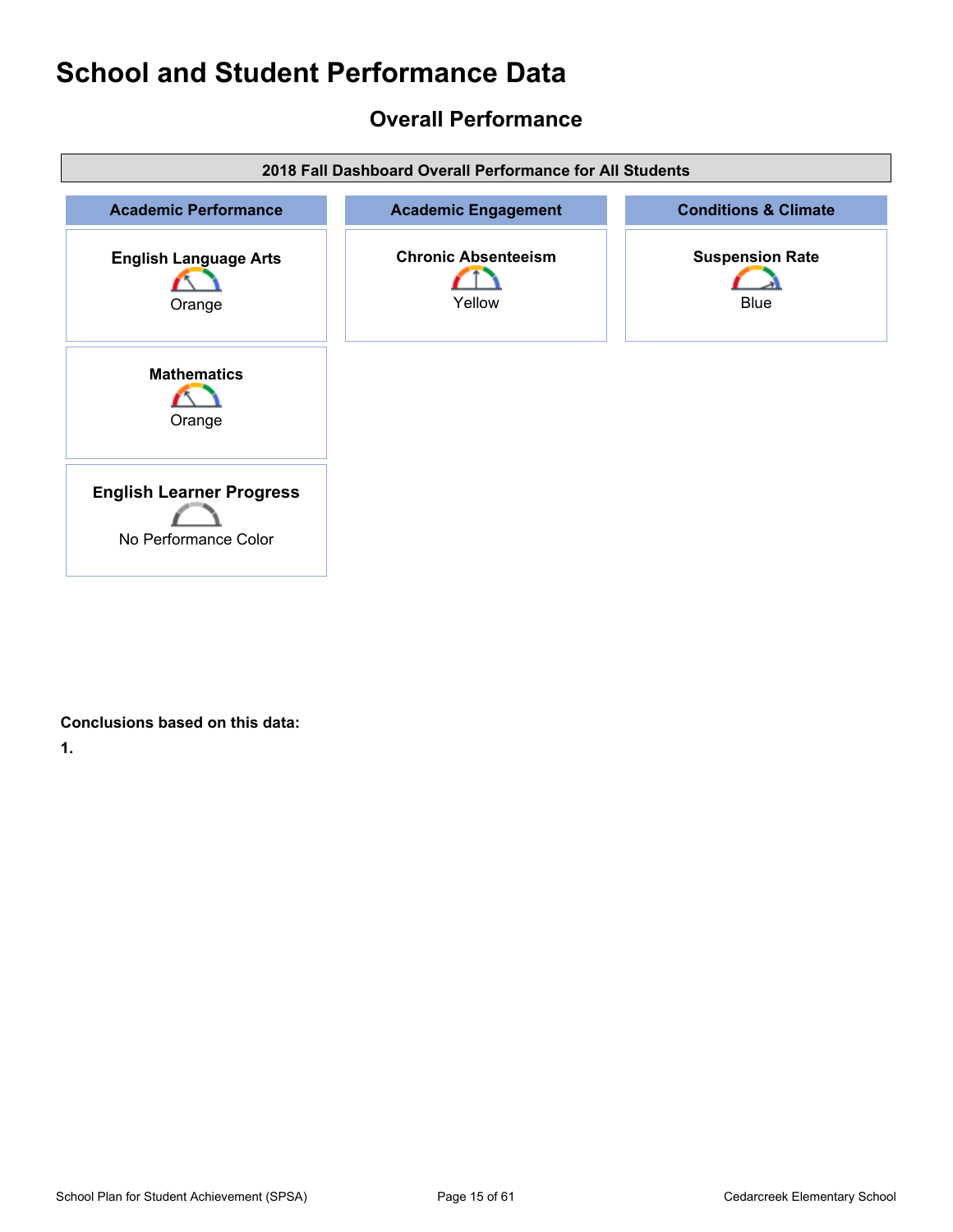## <span id="page-14-0"></span>**Overall Performance**

| 2018 Fall Dashboard Overall Performance for All Students |                                      |                                       |  |
|----------------------------------------------------------|--------------------------------------|---------------------------------------|--|
| <b>Academic Performance</b>                              | <b>Academic Engagement</b>           | <b>Conditions &amp; Climate</b>       |  |
| <b>English Language Arts</b><br>Orange                   | <b>Chronic Absenteeism</b><br>Yellow | <b>Suspension Rate</b><br><b>Blue</b> |  |
| <b>Mathematics</b><br>Orange                             |                                      |                                       |  |
| <b>English Learner Progress</b><br>No Performance Color  |                                      |                                       |  |

#### **Conclusions based on this data:**

**1.**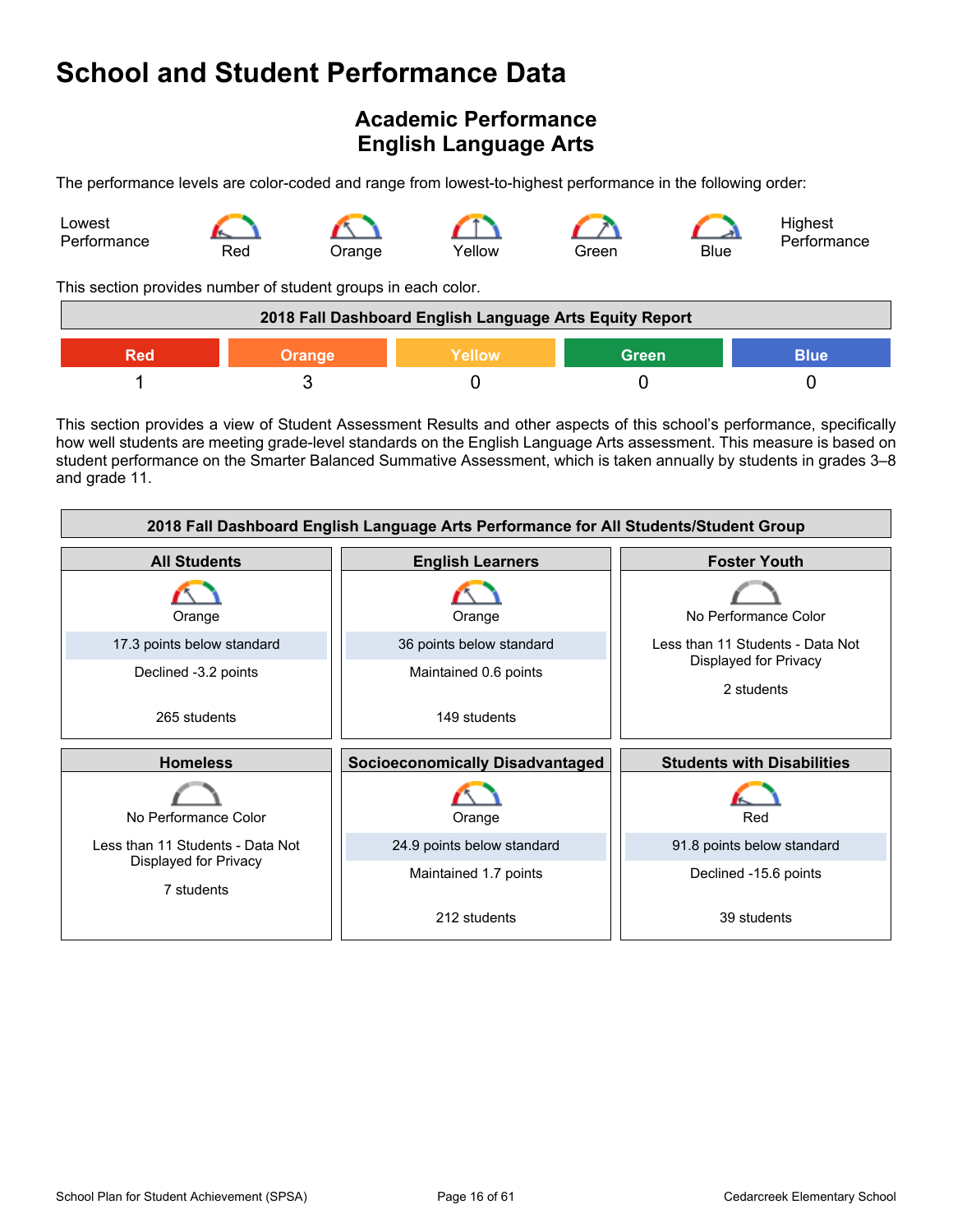## <span id="page-15-0"></span>**Academic Performance English Language Arts**

The performance levels are color-coded and range from lowest-to-highest performance in the following order:



This section provides number of student groups in each color.

| 2018 Fall Dashboard English Language Arts Equity Report        |  |  |  |  |  |
|----------------------------------------------------------------|--|--|--|--|--|
| <b>Green</b><br><b>Blue</b><br>Yellow'<br><b>Orange</b><br>Red |  |  |  |  |  |
|                                                                |  |  |  |  |  |

This section provides a view of Student Assessment Results and other aspects of this school's performance, specifically how well students are meeting grade-level standards on the English Language Arts assessment. This measure is based on student performance on the Smarter Balanced Summative Assessment, which is taken annually by students in grades 3–8 and grade 11.

| 2018 Fall Dashboard English Language Arts Performance for All Students/Student Group |                                        |                                     |  |  |
|--------------------------------------------------------------------------------------|----------------------------------------|-------------------------------------|--|--|
| <b>All Students</b>                                                                  | <b>English Learners</b>                | <b>Foster Youth</b>                 |  |  |
| Orange                                                                               | Orange                                 | No Performance Color                |  |  |
| 17.3 points below standard                                                           | 36 points below standard               | Less than 11 Students - Data Not    |  |  |
| Declined -3.2 points                                                                 | Maintained 0.6 points                  | Displayed for Privacy<br>2 students |  |  |
| 265 students                                                                         | 149 students                           |                                     |  |  |
|                                                                                      |                                        |                                     |  |  |
| <b>Homeless</b>                                                                      | <b>Socioeconomically Disadvantaged</b> | <b>Students with Disabilities</b>   |  |  |
| No Performance Color                                                                 | Orange                                 | Red                                 |  |  |
| Less than 11 Students - Data Not                                                     | 24.9 points below standard             | 91.8 points below standard          |  |  |
| Displayed for Privacy<br>7 students                                                  | Maintained 1.7 points                  | Declined -15.6 points               |  |  |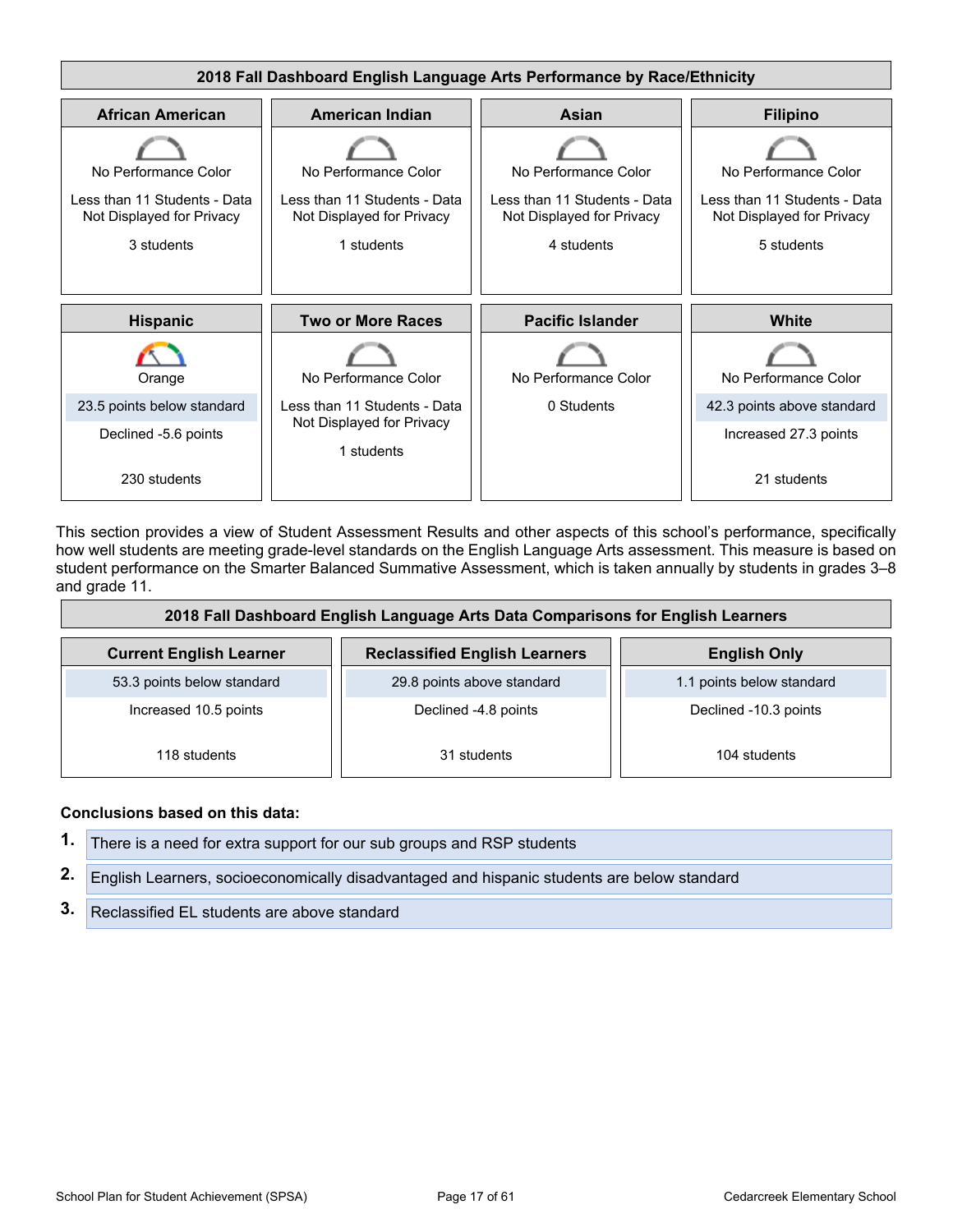

This section provides a view of Student Assessment Results and other aspects of this school's performance, specifically how well students are meeting grade-level standards on the English Language Arts assessment. This measure is based on student performance on the Smarter Balanced Summative Assessment, which is taken annually by students in grades 3–8 and grade 11.

| 2018 Fall Dashboard English Language Arts Data Comparisons for English Learners               |                            |                           |  |  |
|-----------------------------------------------------------------------------------------------|----------------------------|---------------------------|--|--|
| <b>Reclassified English Learners</b><br><b>Current English Learner</b><br><b>English Only</b> |                            |                           |  |  |
| 53.3 points below standard                                                                    | 29.8 points above standard | 1.1 points below standard |  |  |
| Increased 10.5 points                                                                         | Declined -4.8 points       | Declined -10.3 points     |  |  |
| 118 students                                                                                  | 31 students                | 104 students              |  |  |

#### **Conclusions based on this data:**

**1.** There is a need for extra support for our sub groups and RSP students **2.** English Learners, socioeconomically disadvantaged and hispanic students are below standard **3.** Reclassified EL students are above standard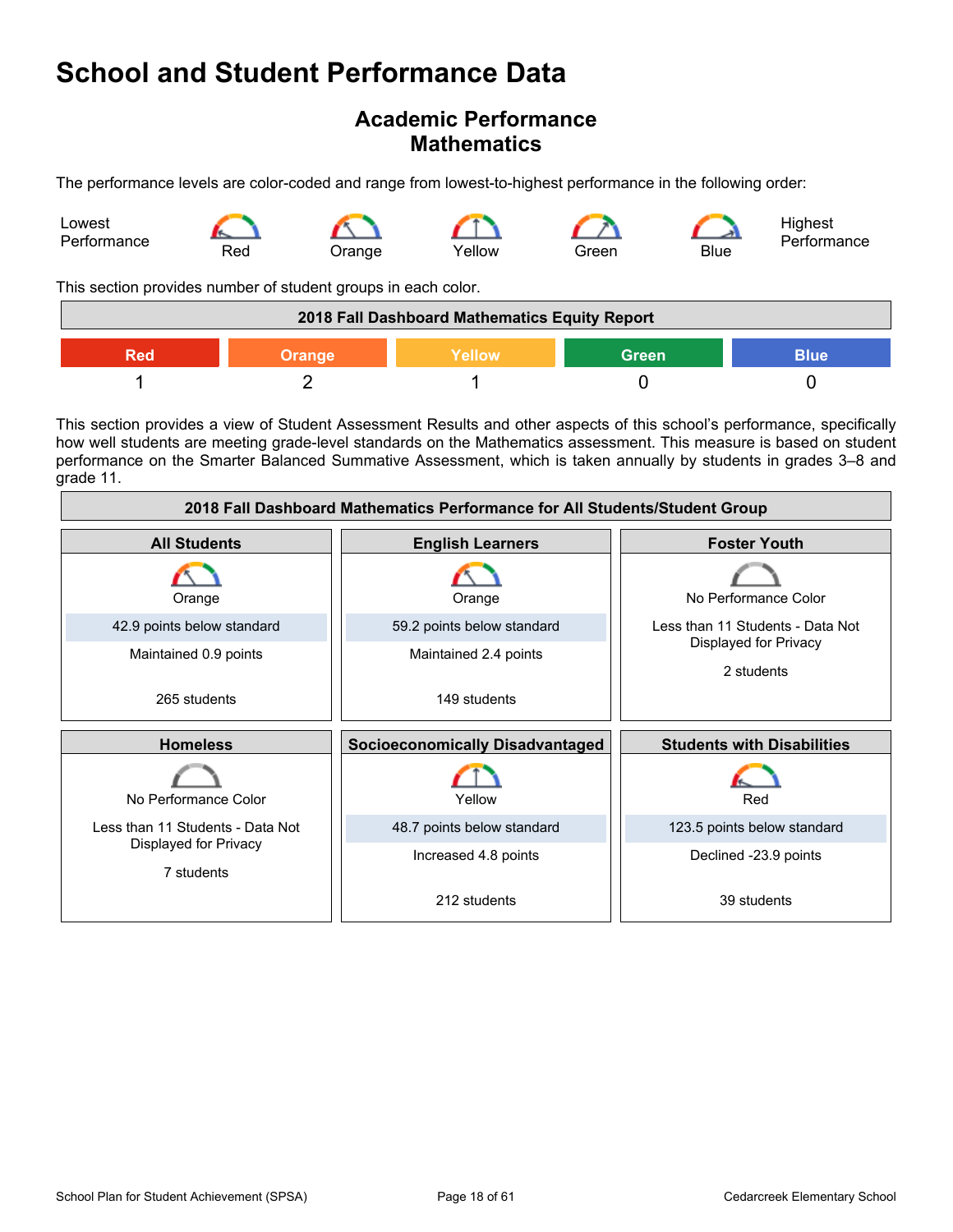### **Academic Performance Mathematics**

The performance levels are color-coded and range from lowest-to-highest performance in the following order:



This section provides number of student groups in each color.

| 2018 Fall Dashboard Mathematics Equity Report          |  |  |  |  |  |
|--------------------------------------------------------|--|--|--|--|--|
| <b>Green</b><br>Yellow<br><b>Blue</b><br>Orange<br>Red |  |  |  |  |  |
|                                                        |  |  |  |  |  |

This section provides a view of Student Assessment Results and other aspects of this school's performance, specifically how well students are meeting grade-level standards on the Mathematics assessment. This measure is based on student performance on the Smarter Balanced Summative Assessment, which is taken annually by students in grades 3–8 and grade 11.

| 2018 Fall Dashboard Mathematics Performance for All Students/Student Group |                                        |                                     |  |  |
|----------------------------------------------------------------------------|----------------------------------------|-------------------------------------|--|--|
| <b>All Students</b>                                                        | <b>English Learners</b>                | <b>Foster Youth</b>                 |  |  |
| Orange                                                                     | Orange                                 | No Performance Color                |  |  |
| 42.9 points below standard                                                 | 59.2 points below standard             | Less than 11 Students - Data Not    |  |  |
| Maintained 0.9 points                                                      | Maintained 2.4 points                  | Displayed for Privacy<br>2 students |  |  |
| 265 students                                                               | 149 students                           |                                     |  |  |
| <b>Homeless</b>                                                            | <b>Socioeconomically Disadvantaged</b> | <b>Students with Disabilities</b>   |  |  |
| No Performance Color                                                       | Yellow                                 | Red                                 |  |  |
| Less than 11 Students - Data Not                                           | 48.7 points below standard             | 123.5 points below standard         |  |  |
| Displayed for Privacy<br>7 students                                        | Increased 4.8 points                   | Declined -23.9 points               |  |  |
|                                                                            | 212 students                           | 39 students                         |  |  |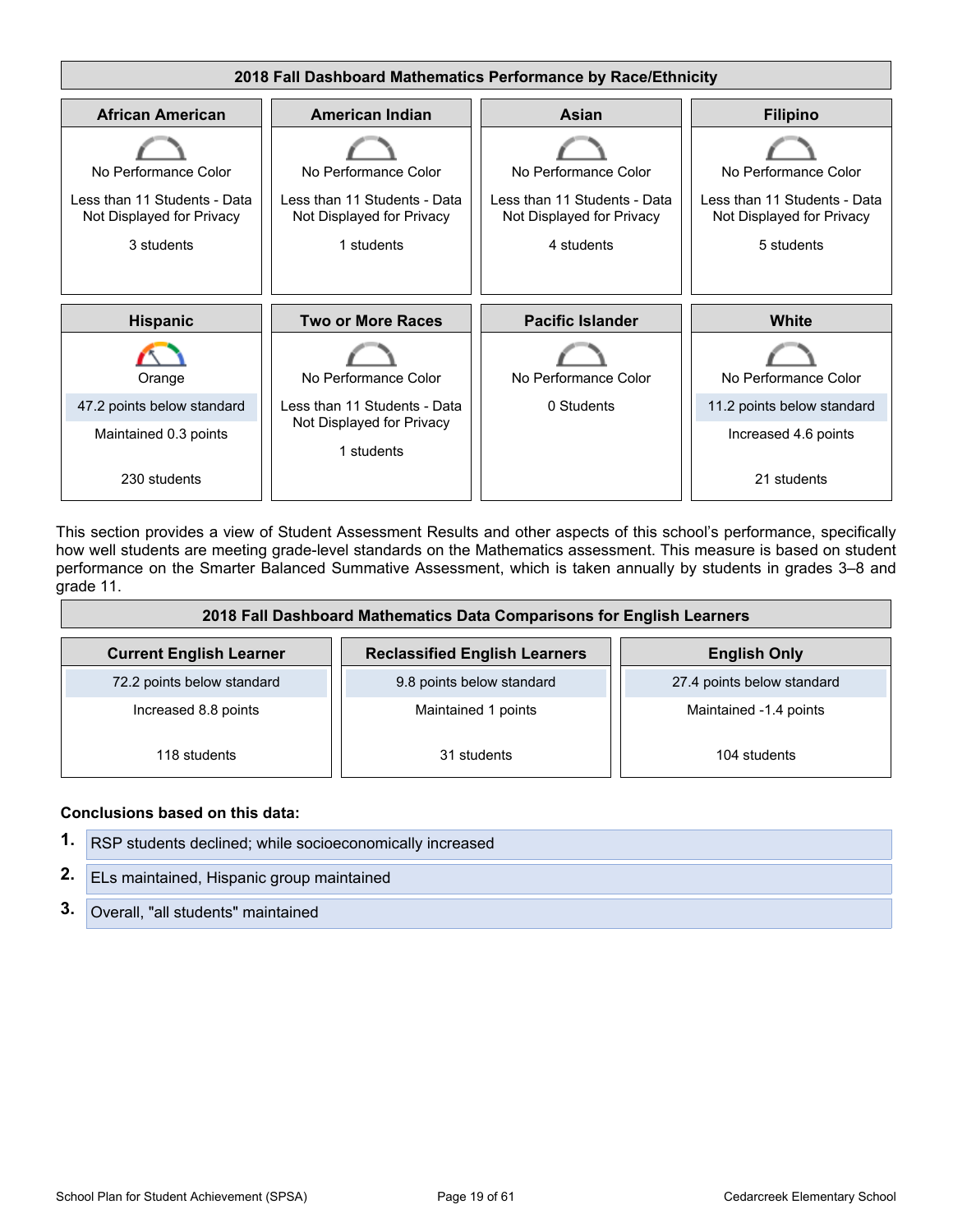

This section provides a view of Student Assessment Results and other aspects of this school's performance, specifically how well students are meeting grade-level standards on the Mathematics assessment. This measure is based on student performance on the Smarter Balanced Summative Assessment, which is taken annually by students in grades 3–8 and grade 11.

| 2018 Fall Dashboard Mathematics Data Comparisons for English Learners                         |                     |                            |  |  |
|-----------------------------------------------------------------------------------------------|---------------------|----------------------------|--|--|
| <b>Reclassified English Learners</b><br><b>Current English Learner</b><br><b>English Only</b> |                     |                            |  |  |
| 72.2 points below standard<br>9.8 points below standard                                       |                     | 27.4 points below standard |  |  |
| Increased 8.8 points                                                                          | Maintained 1 points | Maintained -1.4 points     |  |  |
| 118 students                                                                                  | 31 students         | 104 students               |  |  |

#### **Conclusions based on this data:**

| 1. RSP students declined; while socioeconomically increased |
|-------------------------------------------------------------|
| 2. ELs maintained, Hispanic group maintained                |
| 3. Overall, "all students" maintained                       |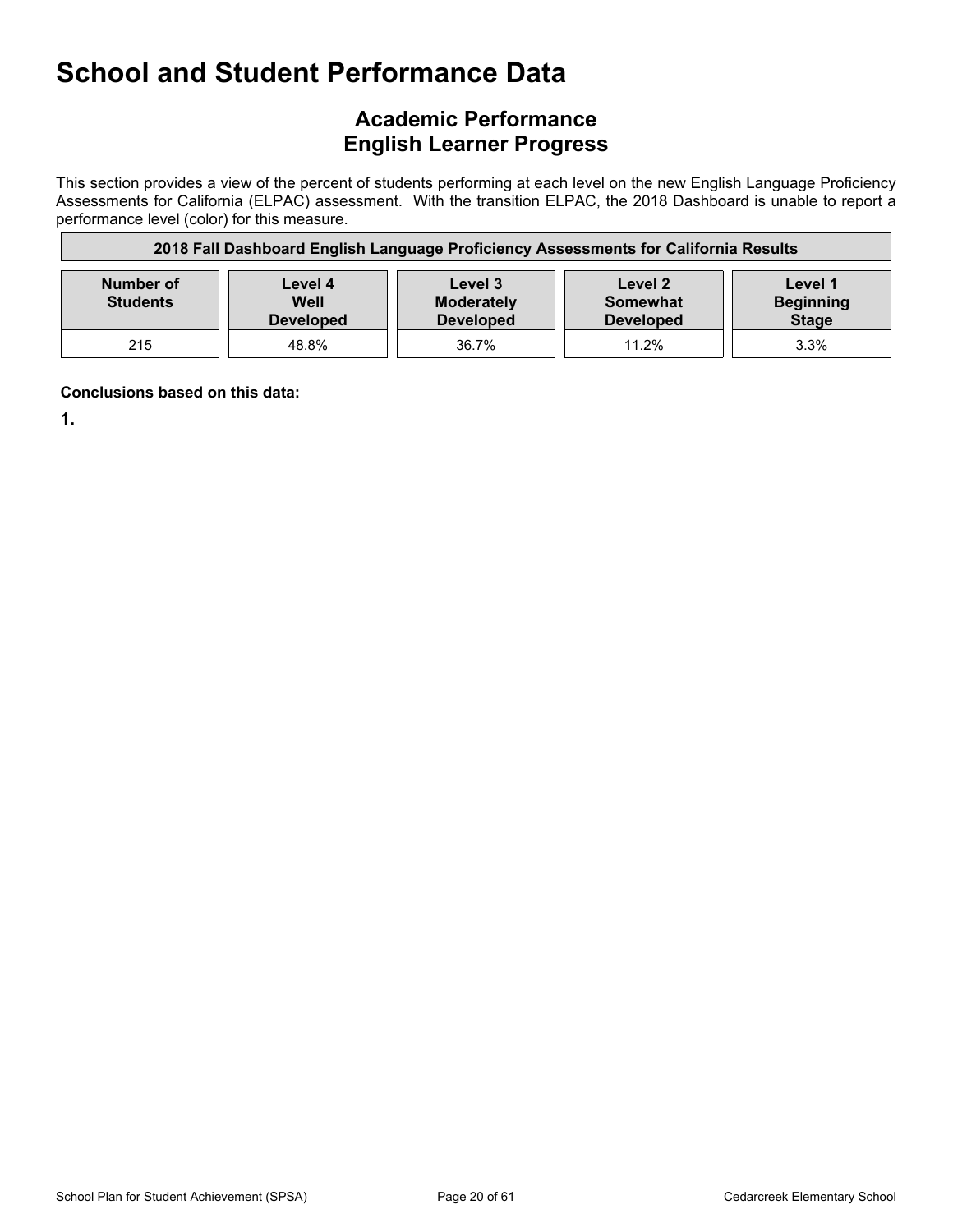### **Academic Performance English Learner Progress**

This section provides a view of the percent of students performing at each level on the new English Language Proficiency Assessments for California (ELPAC) assessment. With the transition ELPAC, the 2018 Dashboard is unable to report a performance level (color) for this measure.

| 2018 Fall Dashboard English Language Proficiency Assessments for California Results                                                                                                                               |       |       |       |      |  |
|-------------------------------------------------------------------------------------------------------------------------------------------------------------------------------------------------------------------|-------|-------|-------|------|--|
| Number of<br>Level 1<br>Level 4<br>Level 3<br>Level 2<br><b>Beginning</b><br><b>Students</b><br>Well<br><b>Moderately</b><br>Somewhat<br><b>Stage</b><br><b>Developed</b><br><b>Developed</b><br><b>Developed</b> |       |       |       |      |  |
| 215                                                                                                                                                                                                               | 48.8% | 36.7% | 11.2% | 3.3% |  |

**Conclusions based on this data:**

**1.**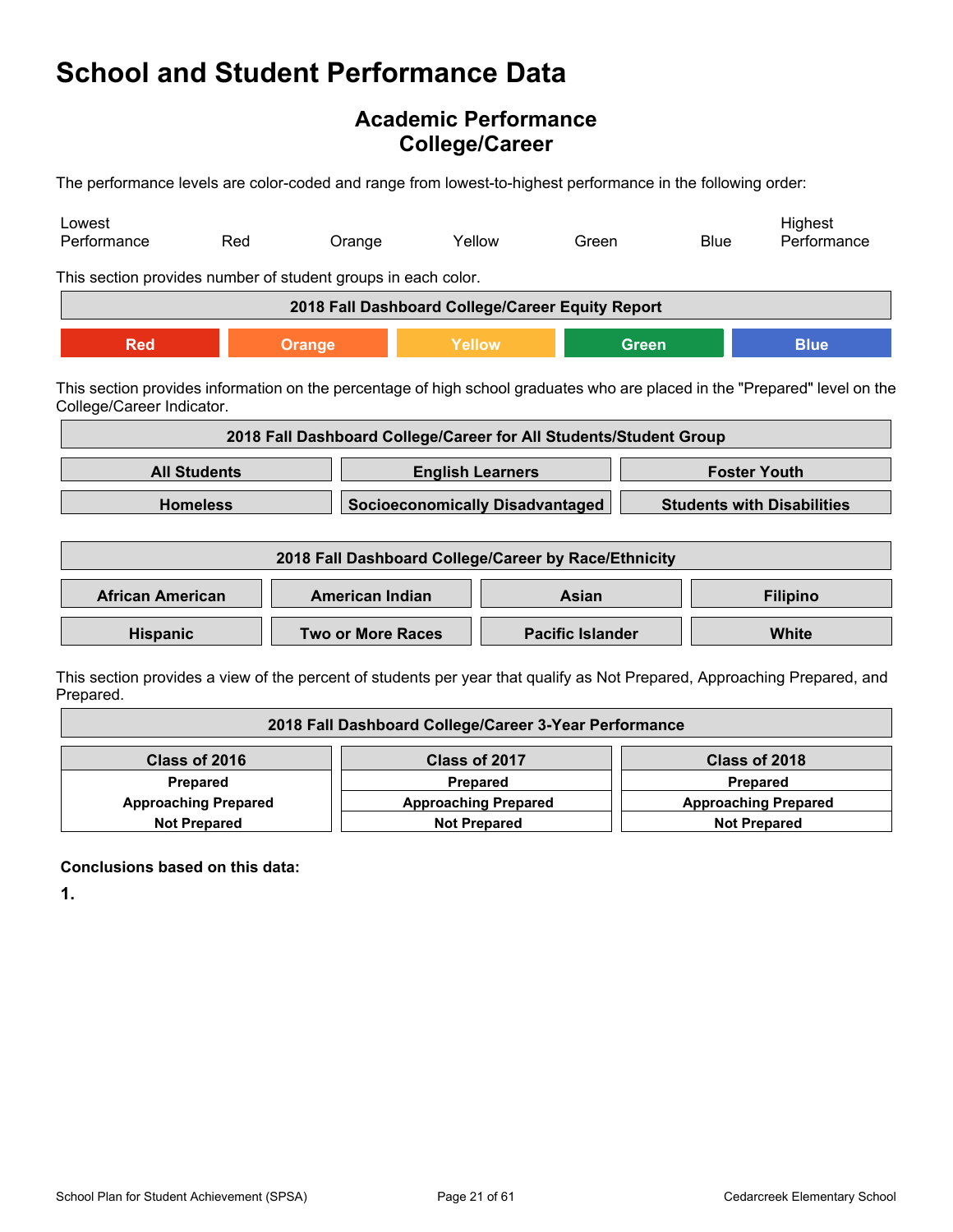### **Academic Performance College/Career**

The performance levels are color-coded and range from lowest-to-highest performance in the following order:

| Lowest<br>Performance                                         | Red                                                                                                                                                     | Orange                                               | Yellow                                 | Green |                         | <b>Blue</b>                       | Highest<br>Performance                                                                                                   |
|---------------------------------------------------------------|---------------------------------------------------------------------------------------------------------------------------------------------------------|------------------------------------------------------|----------------------------------------|-------|-------------------------|-----------------------------------|--------------------------------------------------------------------------------------------------------------------------|
| This section provides number of student groups in each color. |                                                                                                                                                         |                                                      |                                        |       |                         |                                   |                                                                                                                          |
|                                                               |                                                                                                                                                         | 2018 Fall Dashboard College/Career Equity Report     |                                        |       |                         |                                   |                                                                                                                          |
| <b>Red</b>                                                    |                                                                                                                                                         | <b>Orange</b>                                        | Yellow                                 |       | <b>Green</b>            |                                   | <b>Blue</b>                                                                                                              |
|                                                               | This section provides information on the percentage of high school graduates who are placed in the "Prepared" level on the<br>College/Career Indicator. |                                                      |                                        |       |                         |                                   |                                                                                                                          |
|                                                               | 2018 Fall Dashboard College/Career for All Students/Student Group                                                                                       |                                                      |                                        |       |                         |                                   |                                                                                                                          |
| <b>All Students</b>                                           |                                                                                                                                                         |                                                      | <b>English Learners</b>                |       |                         | <b>Foster Youth</b>               |                                                                                                                          |
| <b>Homeless</b>                                               |                                                                                                                                                         |                                                      | <b>Socioeconomically Disadvantaged</b> |       |                         | <b>Students with Disabilities</b> |                                                                                                                          |
|                                                               |                                                                                                                                                         | 2018 Fall Dashboard College/Career by Race/Ethnicity |                                        |       |                         |                                   |                                                                                                                          |
| <b>African American</b>                                       |                                                                                                                                                         | <b>American Indian</b>                               |                                        | Asian |                         |                                   | <b>Filipino</b>                                                                                                          |
| <b>Hispanic</b>                                               |                                                                                                                                                         |                                                      | <b>Two or More Races</b>               |       | <b>Pacific Islander</b> |                                   | <b>White</b>                                                                                                             |
|                                                               |                                                                                                                                                         |                                                      |                                        |       |                         |                                   | This section provides a view of the percent of students per vear that qualify as Not Prepared. Approaching Prepared, and |

ection provides a view of the percent of students per year that qualify as Not Prepared, Approaching Prepared, and Prepared.

| 2018 Fall Dashboard College/Career 3-Year Performance |                             |                             |  |
|-------------------------------------------------------|-----------------------------|-----------------------------|--|
| Class of 2016                                         | Class of 2017               | Class of 2018               |  |
| Prepared                                              | Prepared                    | <b>Prepared</b>             |  |
| <b>Approaching Prepared</b>                           | <b>Approaching Prepared</b> | <b>Approaching Prepared</b> |  |
| <b>Not Prepared</b>                                   | <b>Not Prepared</b>         | <b>Not Prepared</b>         |  |

**Conclusions based on this data:**

**1.**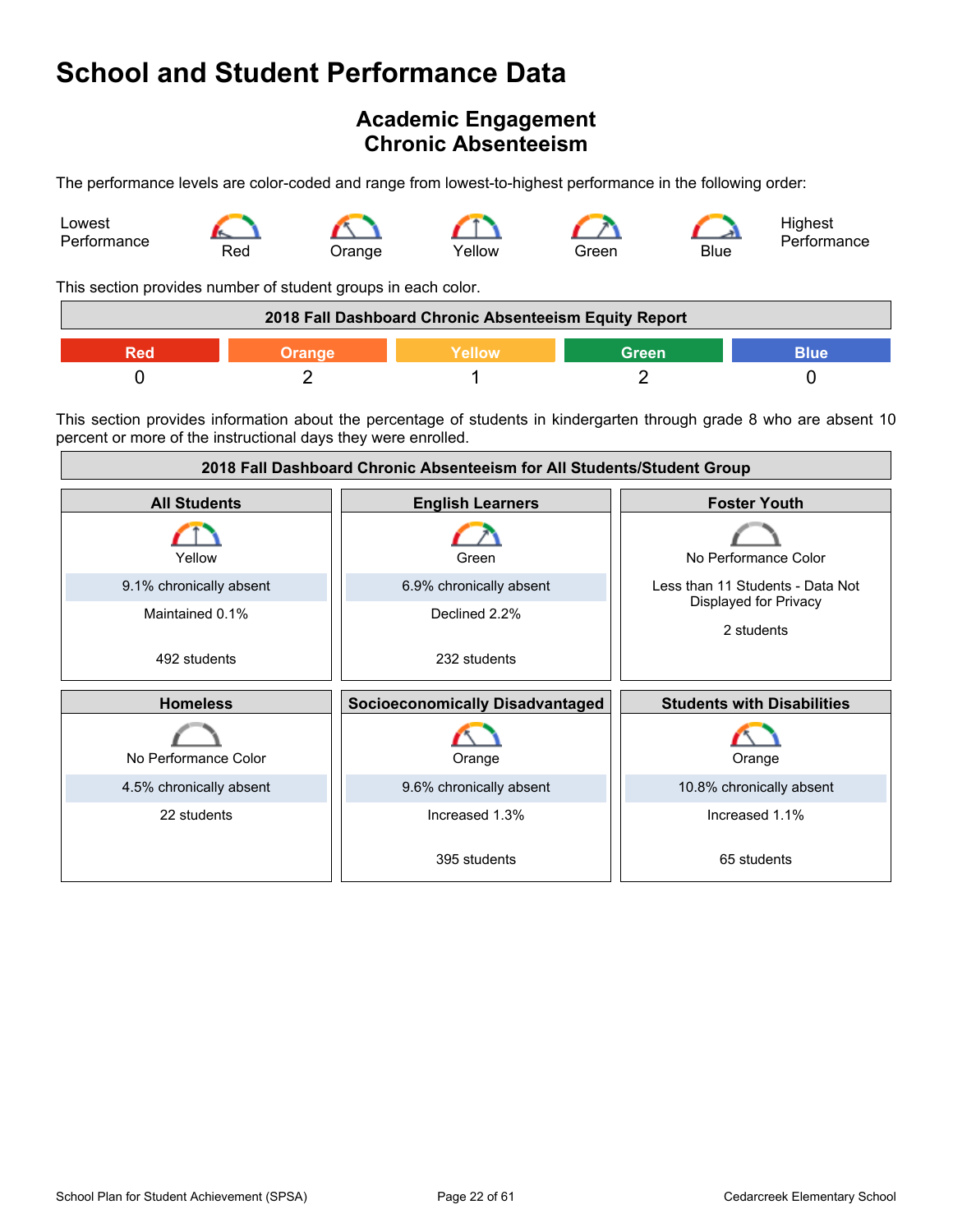### <span id="page-21-0"></span>**Academic Engagement Chronic Absenteeism**

The performance levels are color-coded and range from lowest-to-highest performance in the following order:



This section provides number of student groups in each color.

| 2018 Fall Dashboard Chronic Absenteeism Equity Report |  |               |       |      |
|-------------------------------------------------------|--|---------------|-------|------|
|                                                       |  | <b>Nellow</b> | Green | 3lue |
|                                                       |  |               |       |      |

This section provides information about the percentage of students in kindergarten through grade 8 who are absent 10 percent or more of the instructional days they were enrolled.

| 2018 Fall Dashboard Chronic Absenteeism for All Students/Student Group |                                        |                                     |  |
|------------------------------------------------------------------------|----------------------------------------|-------------------------------------|--|
| <b>All Students</b>                                                    | <b>English Learners</b>                | <b>Foster Youth</b>                 |  |
| Yellow                                                                 | Green                                  | No Performance Color                |  |
| 9.1% chronically absent                                                | 6.9% chronically absent                | Less than 11 Students - Data Not    |  |
| Maintained 0.1%                                                        | Declined 2.2%                          | Displayed for Privacy<br>2 students |  |
| 492 students                                                           | 232 students                           |                                     |  |
| <b>Homeless</b>                                                        | <b>Socioeconomically Disadvantaged</b> | <b>Students with Disabilities</b>   |  |
| No Performance Color                                                   | Orange                                 | Orange                              |  |
| 4.5% chronically absent                                                | 9.6% chronically absent                | 10.8% chronically absent            |  |
| 22 students                                                            | Increased 1.3%                         | Increased 1.1%                      |  |
|                                                                        | 395 students                           | 65 students                         |  |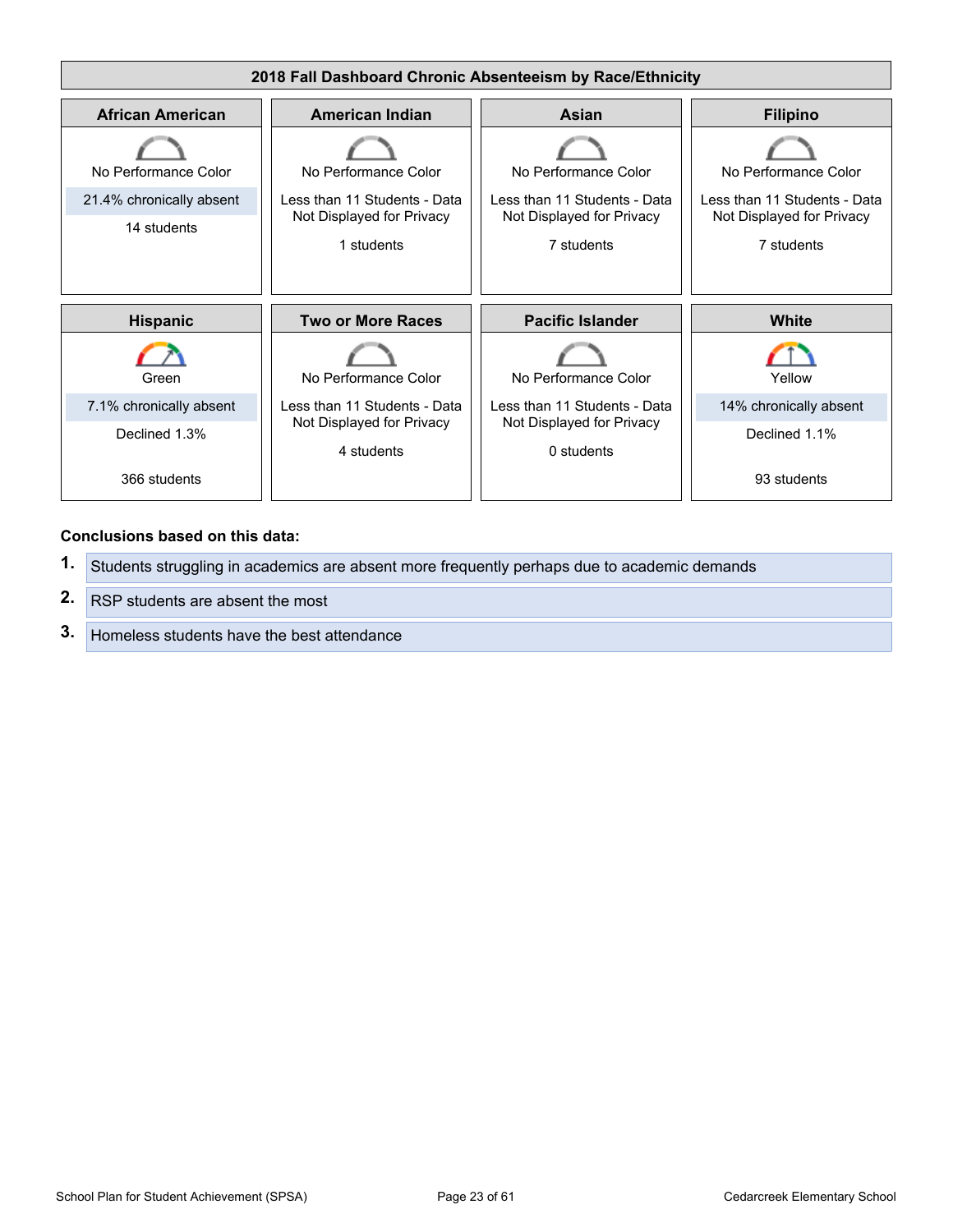

#### **Conclusions based on this data:**

- **1.** Students struggling in academics are absent more frequently perhaps due to academic demands
- **2.** RSP students are absent the most
- **3.** Homeless students have the best attendance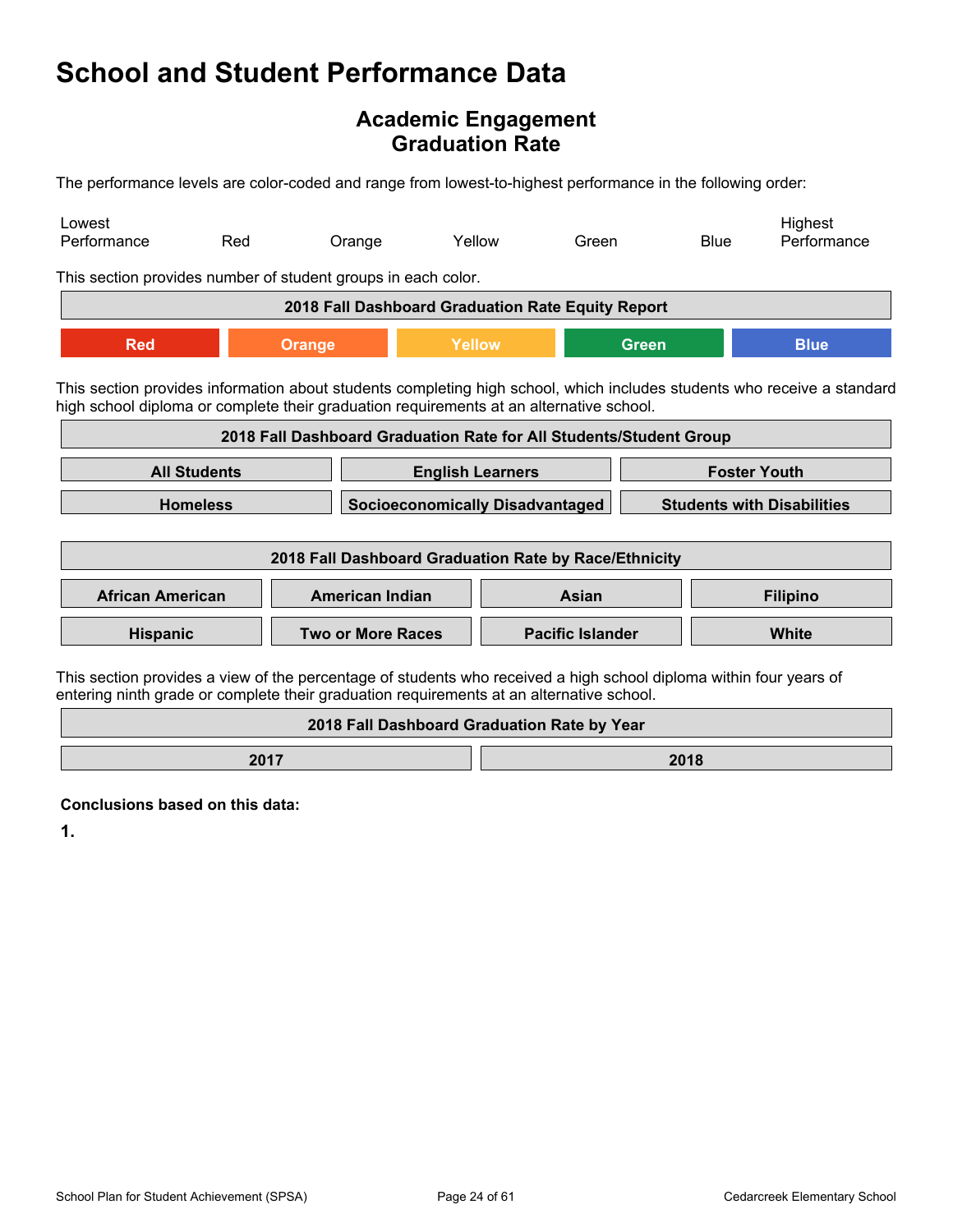### **Academic Engagement Graduation Rate**

The performance levels are color-coded and range from lowest-to-highest performance in the following order:

| Lowest<br>Performance                                                                                                                                                                                          | Red                                                                                                                                                                                                                | Orange                                                             |                                             | Yellow | Green                   |                     | <b>Blue</b>                       | Highest<br>Performance |
|----------------------------------------------------------------------------------------------------------------------------------------------------------------------------------------------------------------|--------------------------------------------------------------------------------------------------------------------------------------------------------------------------------------------------------------------|--------------------------------------------------------------------|---------------------------------------------|--------|-------------------------|---------------------|-----------------------------------|------------------------|
| This section provides number of student groups in each color.                                                                                                                                                  |                                                                                                                                                                                                                    |                                                                    |                                             |        |                         |                     |                                   |                        |
|                                                                                                                                                                                                                |                                                                                                                                                                                                                    | 2018 Fall Dashboard Graduation Rate Equity Report                  |                                             |        |                         |                     |                                   |                        |
| <b>Red</b>                                                                                                                                                                                                     |                                                                                                                                                                                                                    | <b>Orange</b>                                                      | Yellow                                      |        |                         | <b>Green</b>        |                                   | <b>Blue</b>            |
|                                                                                                                                                                                                                | This section provides information about students completing high school, which includes students who receive a standard<br>high school diploma or complete their graduation requirements at an alternative school. |                                                                    |                                             |        |                         |                     |                                   |                        |
|                                                                                                                                                                                                                |                                                                                                                                                                                                                    | 2018 Fall Dashboard Graduation Rate for All Students/Student Group |                                             |        |                         |                     |                                   |                        |
| <b>All Students</b>                                                                                                                                                                                            |                                                                                                                                                                                                                    |                                                                    | <b>English Learners</b>                     |        |                         | <b>Foster Youth</b> |                                   |                        |
| <b>Homeless</b><br><b>Socioeconomically Disadvantaged</b>                                                                                                                                                      |                                                                                                                                                                                                                    |                                                                    |                                             |        |                         |                     | <b>Students with Disabilities</b> |                        |
|                                                                                                                                                                                                                |                                                                                                                                                                                                                    | 2018 Fall Dashboard Graduation Rate by Race/Ethnicity              |                                             |        |                         |                     |                                   |                        |
| <b>African American</b>                                                                                                                                                                                        |                                                                                                                                                                                                                    | <b>American Indian</b>                                             |                                             |        | Asian                   |                     |                                   | <b>Filipino</b>        |
| Hispanic                                                                                                                                                                                                       |                                                                                                                                                                                                                    | <b>Two or More Races</b>                                           |                                             |        | <b>Pacific Islander</b> |                     |                                   | White                  |
| This section provides a view of the percentage of students who received a high school diploma within four years of<br>entering ninth grade or complete their graduation requirements at an alternative school. |                                                                                                                                                                                                                    |                                                                    |                                             |        |                         |                     |                                   |                        |
|                                                                                                                                                                                                                |                                                                                                                                                                                                                    |                                                                    | 2018 Fall Dashboard Graduation Rate by Year |        |                         |                     |                                   |                        |

**2017 2018** 

**Conclusions based on this data:**

**1.**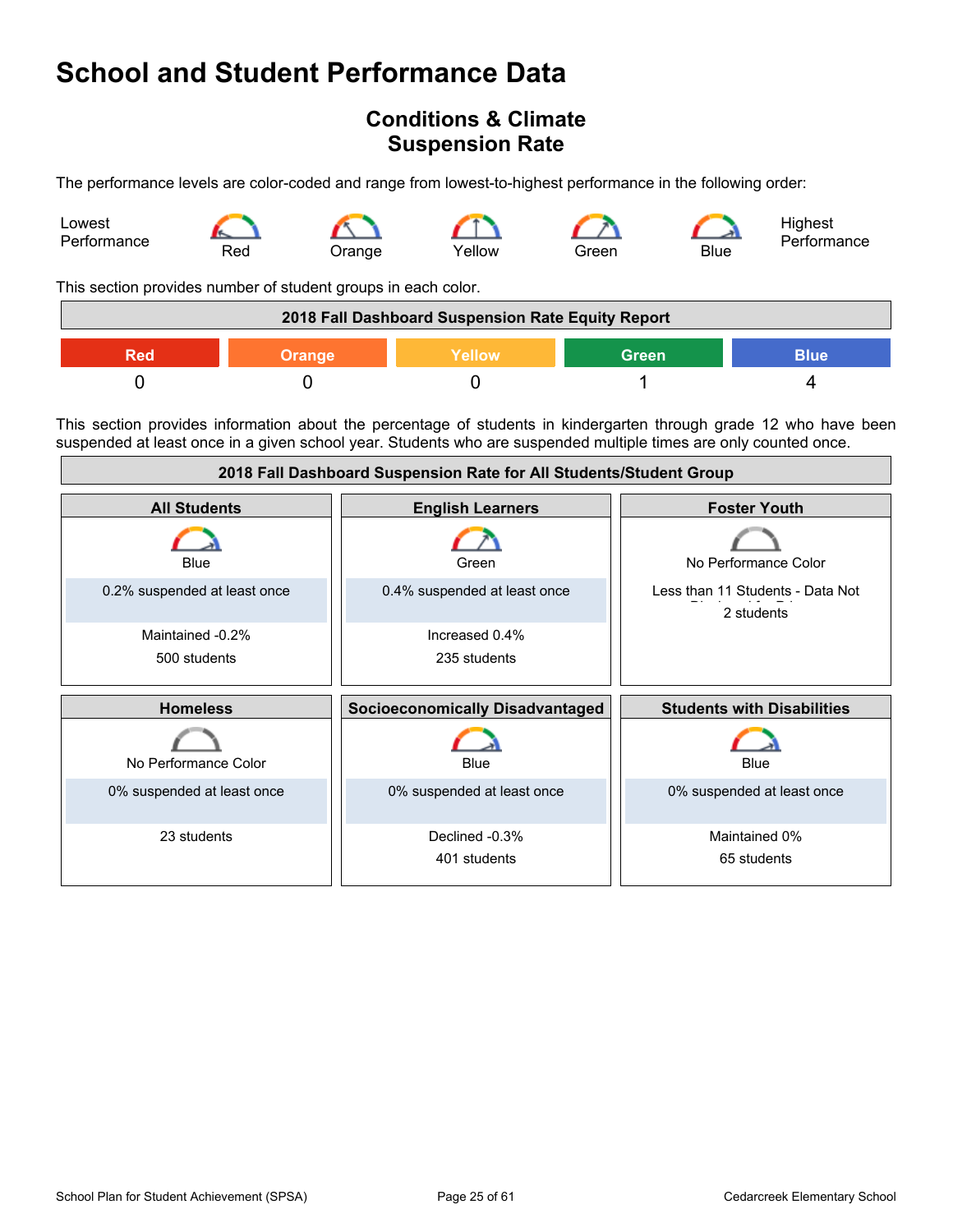### <span id="page-24-0"></span>**Conditions & Climate Suspension Rate**

The performance levels are color-coded and range from lowest-to-highest performance in the following order:



This section provides number of student groups in each color.

|     |               | 2018 Fall Dashboard Suspension Rate Equity Report |              |             |
|-----|---------------|---------------------------------------------------|--------------|-------------|
| Red | <b>Orange</b> | <b>Yellow</b>                                     | <b>Green</b> | <b>Blue</b> |
|     |               |                                                   |              |             |

This section provides information about the percentage of students in kindergarten through grade 12 who have been suspended at least once in a given school year. Students who are suspended multiple times are only counted once.

| 2018 Fall Dashboard Suspension Rate for All Students/Student Group |                                        |                                                |  |
|--------------------------------------------------------------------|----------------------------------------|------------------------------------------------|--|
| <b>All Students</b>                                                | <b>English Learners</b>                | <b>Foster Youth</b>                            |  |
| Blue                                                               | Green                                  | No Performance Color                           |  |
| 0.2% suspended at least once                                       | 0.4% suspended at least once           | Less than 11 Students - Data Not<br>2 students |  |
| Maintained -0.2%<br>500 students                                   | Increased 0.4%<br>235 students         |                                                |  |
| <b>Homeless</b>                                                    | <b>Socioeconomically Disadvantaged</b> | <b>Students with Disabilities</b>              |  |
| No Performance Color                                               | Blue                                   | Blue                                           |  |
| 0% suspended at least once                                         | 0% suspended at least once             | 0% suspended at least once                     |  |
| 23 students                                                        | Declined -0.3%<br>401 students         | Maintained 0%<br>65 students                   |  |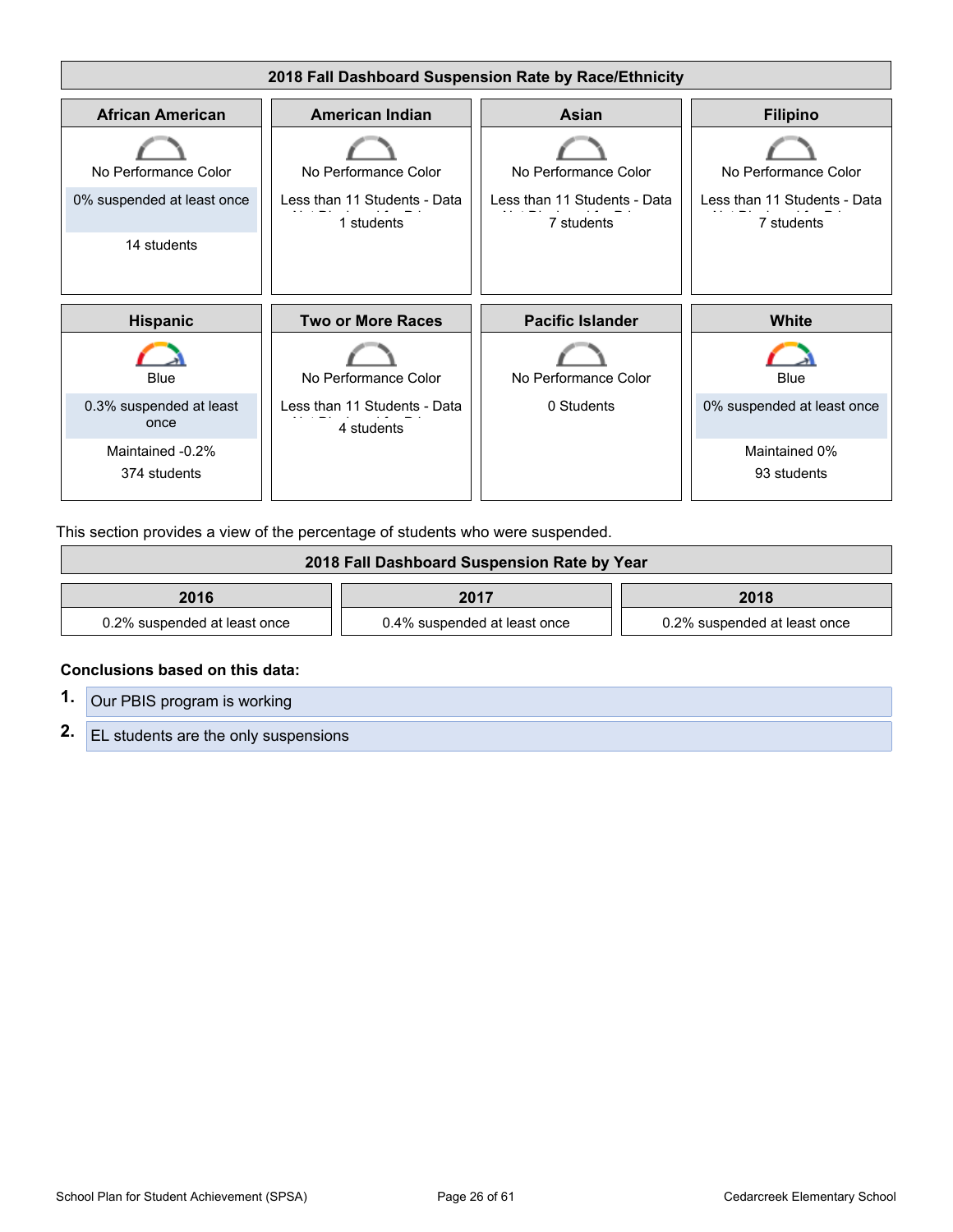

This section provides a view of the percentage of students who were suspended.

| 2018 Fall Dashboard Suspension Rate by Year |                              |                              |  |
|---------------------------------------------|------------------------------|------------------------------|--|
| 2016                                        | 2017                         | 2018                         |  |
| 0.2% suspended at least once                | 0.4% suspended at least once | 0.2% suspended at least once |  |

#### **Conclusions based on this data:**

**1.** Our PBIS program is working **2.** EL students are the only suspensions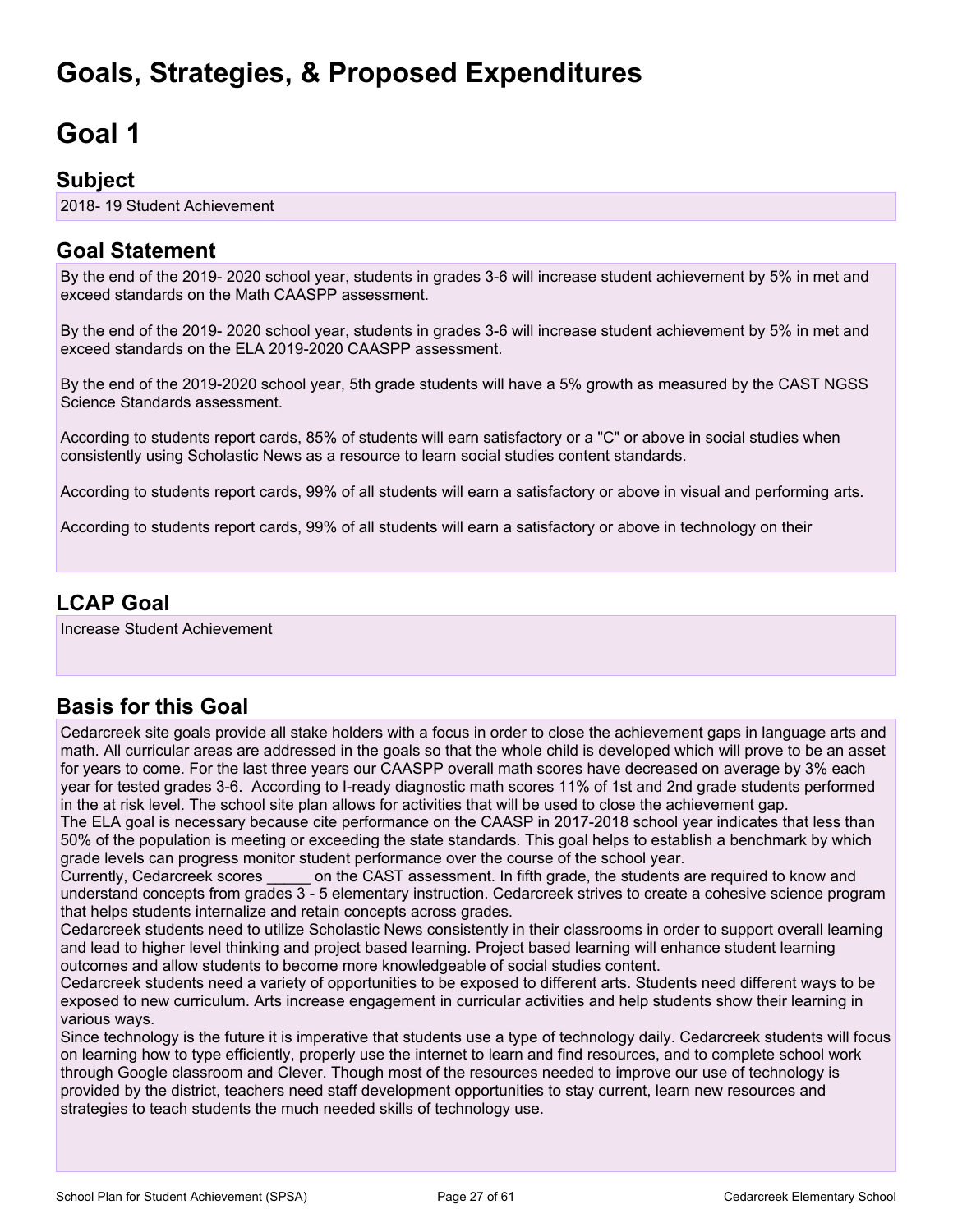## <span id="page-26-0"></span>**Goals, Strategies, & Proposed Expenditures**

## <span id="page-26-1"></span>**Goal 1**

### **Subject**

2018- 19 Student Achievement

### **Goal Statement**

By the end of the 2019- 2020 school year, students in grades 3-6 will increase student achievement by 5% in met and exceed standards on the Math CAASPP assessment.

By the end of the 2019- 2020 school year, students in grades 3-6 will increase student achievement by 5% in met and exceed standards on the ELA 2019-2020 CAASPP assessment.

By the end of the 2019-2020 school year, 5th grade students will have a 5% growth as measured by the CAST NGSS Science Standards assessment.

According to students report cards, 85% of students will earn satisfactory or a "C" or above in social studies when consistently using Scholastic News as a resource to learn social studies content standards.

According to students report cards, 99% of all students will earn a satisfactory or above in visual and performing arts.

According to students report cards, 99% of all students will earn a satisfactory or above in technology on their

## **LCAP Goal**

Increase Student Achievement

## **Basis for this Goal**

Cedarcreek site goals provide all stake holders with a focus in order to close the achievement gaps in language arts and math. All curricular areas are addressed in the goals so that the whole child is developed which will prove to be an asset for years to come. For the last three years our CAASPP overall math scores have decreased on average by 3% each year for tested grades 3-6. According to I-ready diagnostic math scores 11% of 1st and 2nd grade students performed in the at risk level. The school site plan allows for activities that will be used to close the achievement gap.

The ELA goal is necessary because cite performance on the CAASP in 2017-2018 school year indicates that less than 50% of the population is meeting or exceeding the state standards. This goal helps to establish a benchmark by which grade levels can progress monitor student performance over the course of the school year.

Currently, Cedarcreek scores on the CAST assessment. In fifth grade, the students are required to know and understand concepts from grades 3 - 5 elementary instruction. Cedarcreek strives to create a cohesive science program that helps students internalize and retain concepts across grades.

Cedarcreek students need to utilize Scholastic News consistently in their classrooms in order to support overall learning and lead to higher level thinking and project based learning. Project based learning will enhance student learning outcomes and allow students to become more knowledgeable of social studies content.

Cedarcreek students need a variety of opportunities to be exposed to different arts. Students need different ways to be exposed to new curriculum. Arts increase engagement in curricular activities and help students show their learning in various ways.

Since technology is the future it is imperative that students use a type of technology daily. Cedarcreek students will focus on learning how to type efficiently, properly use the internet to learn and find resources, and to complete school work through Google classroom and Clever. Though most of the resources needed to improve our use of technology is provided by the district, teachers need staff development opportunities to stay current, learn new resources and strategies to teach students the much needed skills of technology use.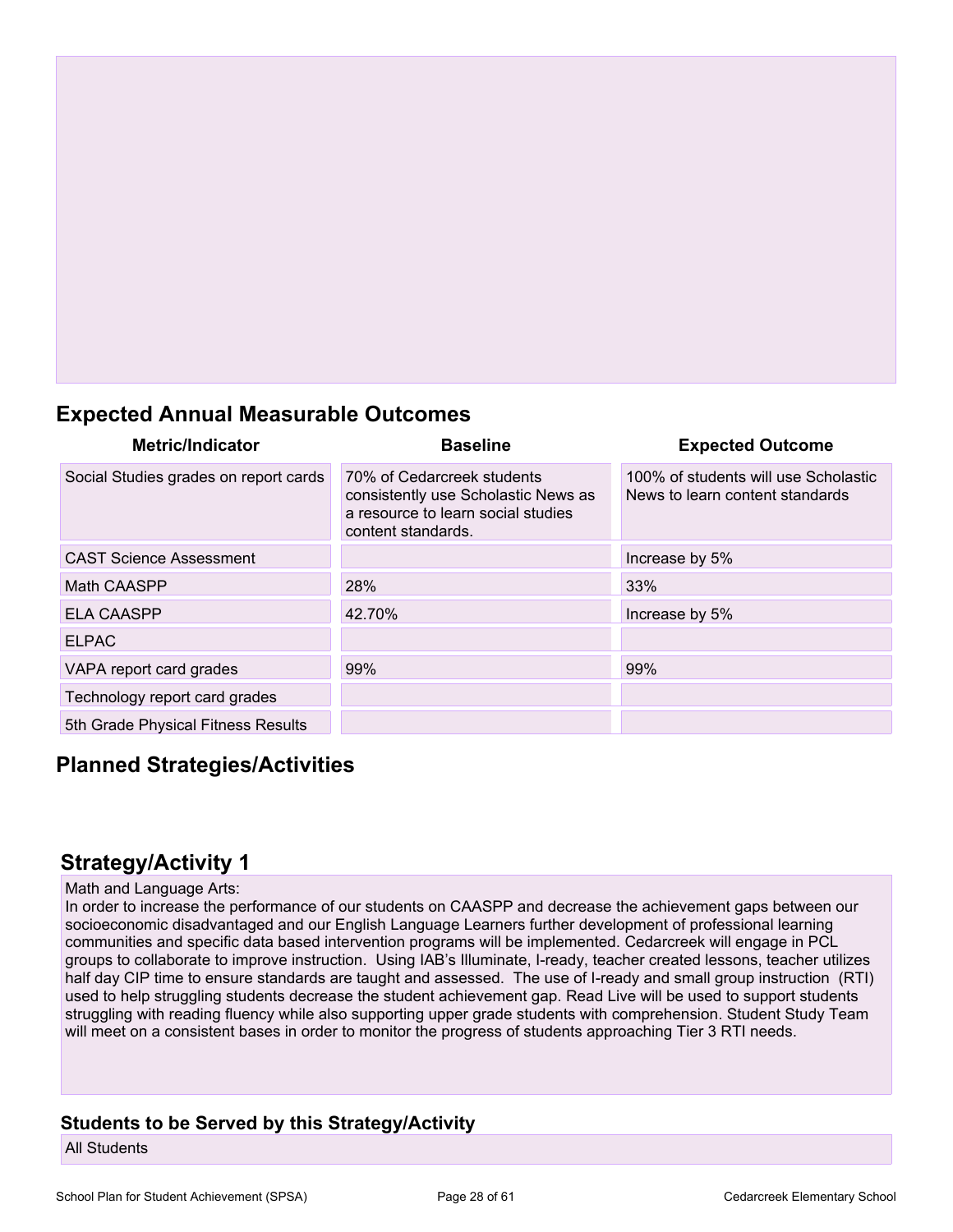## **Expected Annual Measurable Outcomes**

| <b>Metric/Indicator</b>               | <b>Baseline</b>                                                                                                               | <b>Expected Outcome</b>                                                 |
|---------------------------------------|-------------------------------------------------------------------------------------------------------------------------------|-------------------------------------------------------------------------|
| Social Studies grades on report cards | 70% of Cedarcreek students<br>consistently use Scholastic News as<br>a resource to learn social studies<br>content standards. | 100% of students will use Scholastic<br>News to learn content standards |
| <b>CAST Science Assessment</b>        |                                                                                                                               | Increase by 5%                                                          |
| Math CAASPP                           | 28%                                                                                                                           | 33%                                                                     |
| <b>ELA CAASPP</b>                     | 42.70%                                                                                                                        | Increase by 5%                                                          |
| <b>ELPAC</b>                          |                                                                                                                               |                                                                         |
| VAPA report card grades               | 99%                                                                                                                           | 99%                                                                     |
| Technology report card grades         |                                                                                                                               |                                                                         |
| 5th Grade Physical Fitness Results    |                                                                                                                               |                                                                         |

### **Planned Strategies/Activities**

### **Strategy/Activity 1**

#### Math and Language Arts:

In order to increase the performance of our students on CAASPP and decrease the achievement gaps between our socioeconomic disadvantaged and our English Language Learners further development of professional learning communities and specific data based intervention programs will be implemented. Cedarcreek will engage in PCL groups to collaborate to improve instruction. Using IAB's Illuminate, I-ready, teacher created lessons, teacher utilizes half day CIP time to ensure standards are taught and assessed. The use of I-ready and small group instruction (RTI) used to help struggling students decrease the student achievement gap. Read Live will be used to support students struggling with reading fluency while also supporting upper grade students with comprehension. Student Study Team will meet on a consistent bases in order to monitor the progress of students approaching Tier 3 RTI needs.

#### **Students to be Served by this Strategy/Activity**

All Students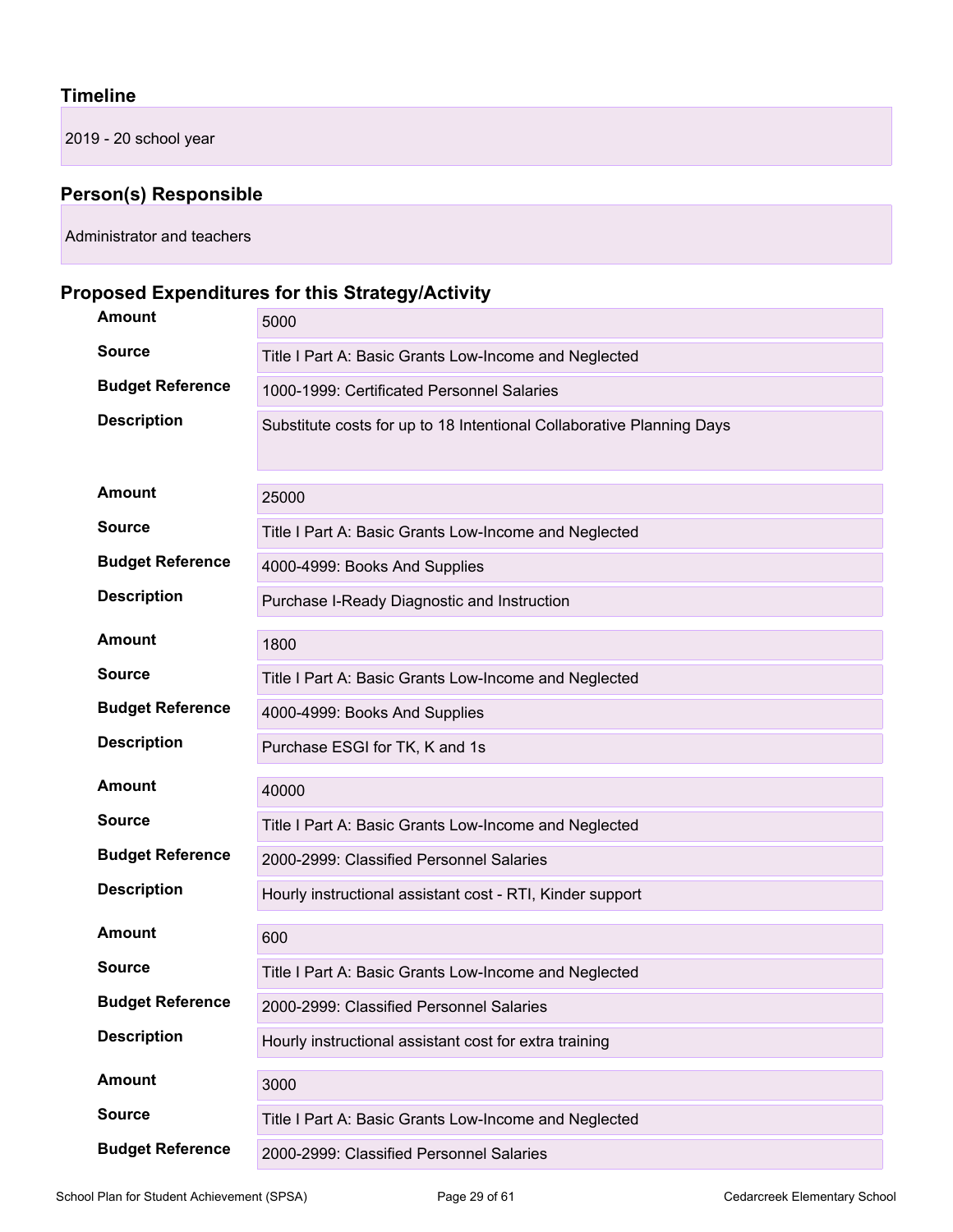#### **Timeline**

2019 - 20 school year

## **Person(s) Responsible**

Administrator and teachers

## **Proposed Expenditures for this Strategy/Activity**

| Amount                  | 5000                                                                  |
|-------------------------|-----------------------------------------------------------------------|
| <b>Source</b>           | Title I Part A: Basic Grants Low-Income and Neglected                 |
| <b>Budget Reference</b> | 1000-1999: Certificated Personnel Salaries                            |
| <b>Description</b>      | Substitute costs for up to 18 Intentional Collaborative Planning Days |
| <b>Amount</b>           | 25000                                                                 |
| <b>Source</b>           | Title I Part A: Basic Grants Low-Income and Neglected                 |
| <b>Budget Reference</b> | 4000-4999: Books And Supplies                                         |
| <b>Description</b>      | Purchase I-Ready Diagnostic and Instruction                           |
| <b>Amount</b>           | 1800                                                                  |
| <b>Source</b>           | Title I Part A: Basic Grants Low-Income and Neglected                 |
| <b>Budget Reference</b> | 4000-4999: Books And Supplies                                         |
| <b>Description</b>      | Purchase ESGI for TK, K and 1s                                        |
| <b>Amount</b>           | 40000                                                                 |
| <b>Source</b>           | Title I Part A: Basic Grants Low-Income and Neglected                 |
| <b>Budget Reference</b> | 2000-2999: Classified Personnel Salaries                              |
| <b>Description</b>      | Hourly instructional assistant cost - RTI, Kinder support             |
| <b>Amount</b>           | 600                                                                   |
| <b>Source</b>           | Title I Part A: Basic Grants Low-Income and Neglected                 |
| <b>Budget Reference</b> | 2000-2999: Classified Personnel Salaries                              |
| <b>Description</b>      | Hourly instructional assistant cost for extra training                |
| <b>Amount</b>           | 3000                                                                  |
| <b>Source</b>           | Title I Part A: Basic Grants Low-Income and Neglected                 |
| <b>Budget Reference</b> | 2000-2999: Classified Personnel Salaries                              |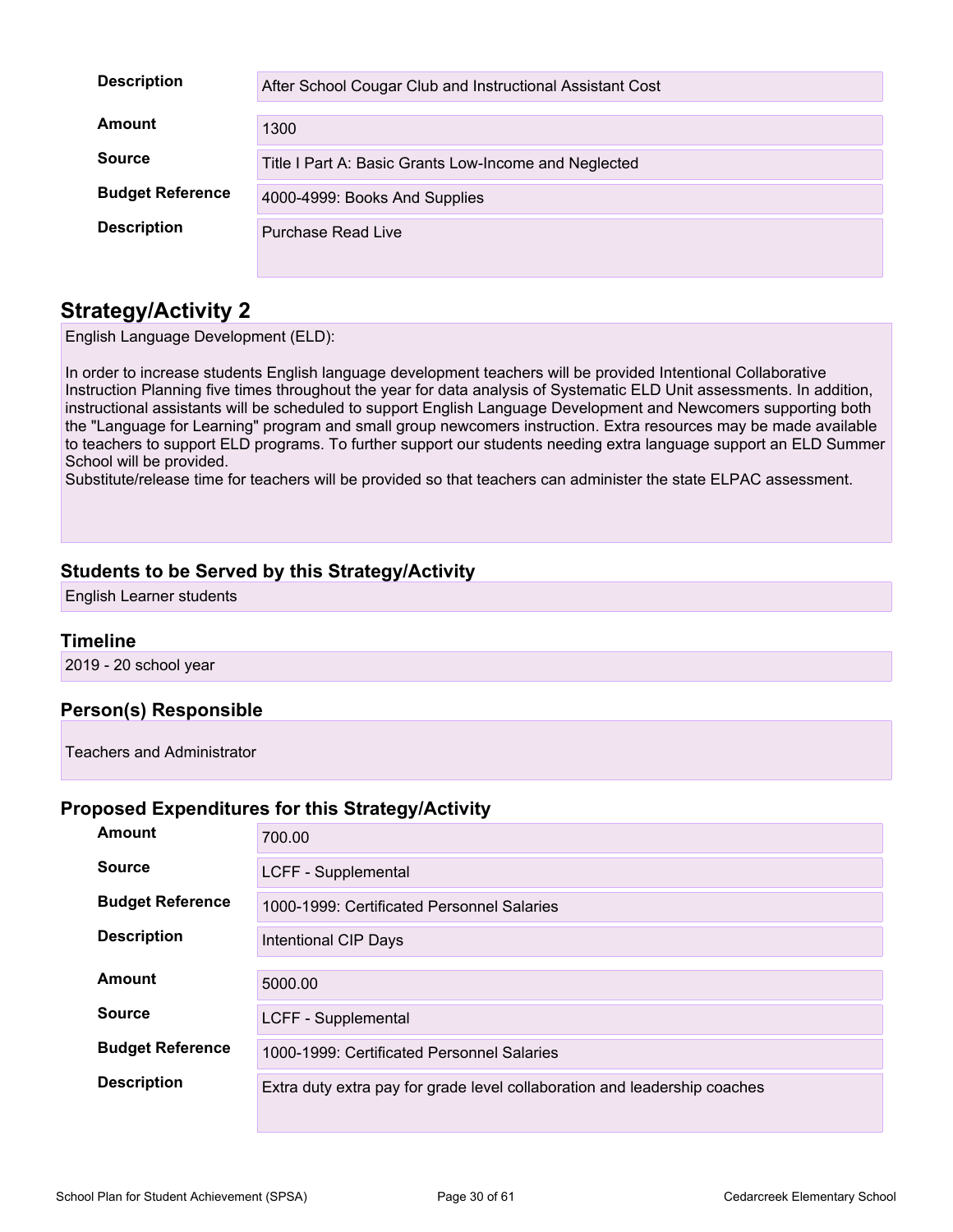| <b>Description</b>      | After School Cougar Club and Instructional Assistant Cost |
|-------------------------|-----------------------------------------------------------|
| Amount                  | 1300                                                      |
| <b>Source</b>           | Title I Part A: Basic Grants Low-Income and Neglected     |
| <b>Budget Reference</b> | 4000-4999: Books And Supplies                             |
| <b>Description</b>      | Purchase Read Live                                        |

English Language Development (ELD):

In order to increase students English language development teachers will be provided Intentional Collaborative Instruction Planning five times throughout the year for data analysis of Systematic ELD Unit assessments. In addition, instructional assistants will be scheduled to support English Language Development and Newcomers supporting both the "Language for Learning" program and small group newcomers instruction. Extra resources may be made available to teachers to support ELD programs. To further support our students needing extra language support an ELD Summer School will be provided.

Substitute/release time for teachers will be provided so that teachers can administer the state ELPAC assessment.

#### **Students to be Served by this Strategy/Activity**

English Learner students

#### **Timeline**

2019 - 20 school year

#### **Person(s) Responsible**

Teachers and Administrator

#### **Proposed Expenditures for this Strategy/Activity**

| Amount                  | 700.00                                                                    |
|-------------------------|---------------------------------------------------------------------------|
| <b>Source</b>           | LCFF - Supplemental                                                       |
| <b>Budget Reference</b> | 1000-1999: Certificated Personnel Salaries                                |
| <b>Description</b>      | Intentional CIP Days                                                      |
| Amount                  | 5000.00                                                                   |
| <b>Source</b>           | LCFF - Supplemental                                                       |
| <b>Budget Reference</b> | 1000-1999: Certificated Personnel Salaries                                |
| <b>Description</b>      | Extra duty extra pay for grade level collaboration and leadership coaches |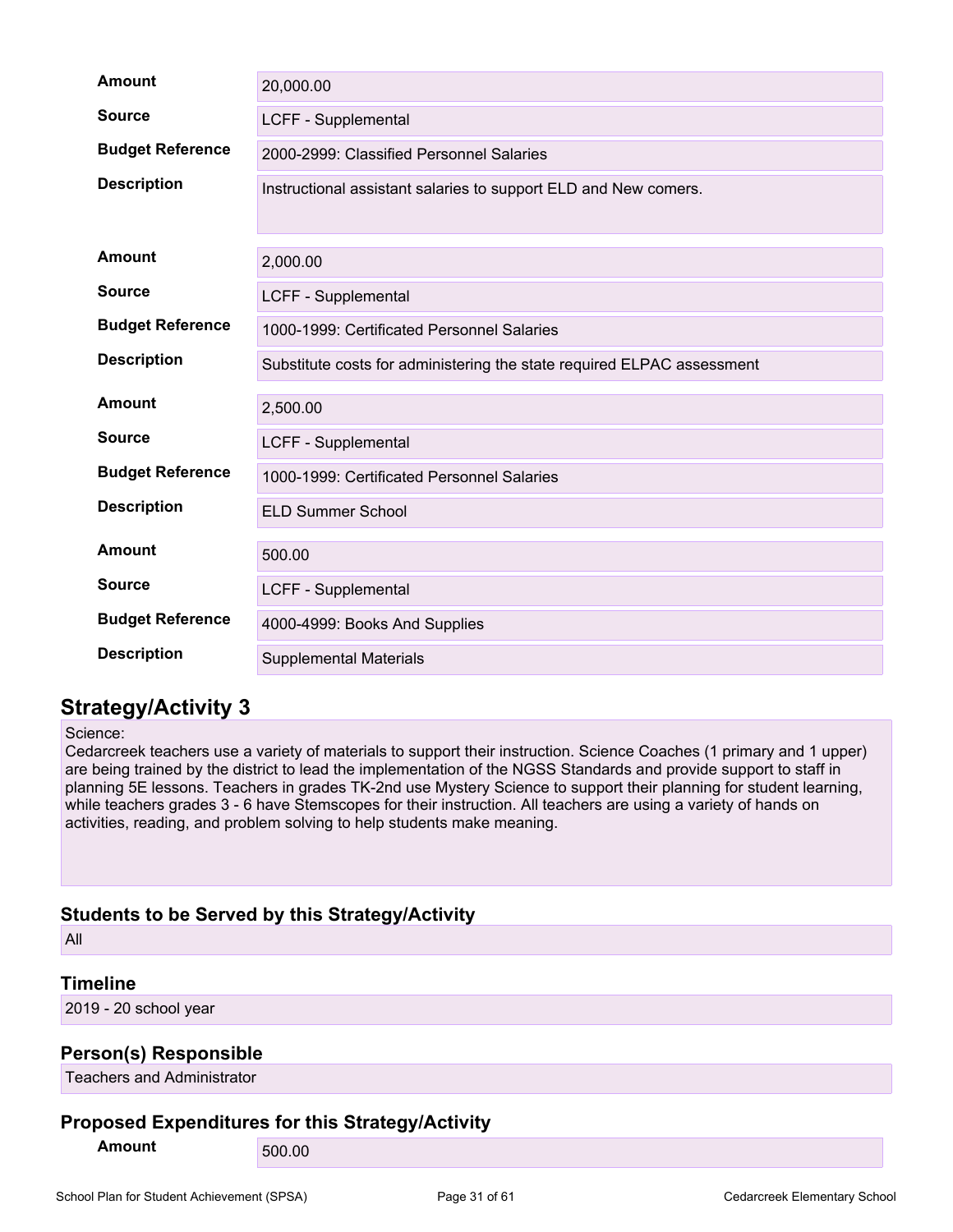| <b>Amount</b>           | 20,000.00                                                              |
|-------------------------|------------------------------------------------------------------------|
| <b>Source</b>           | LCFF - Supplemental                                                    |
| <b>Budget Reference</b> | 2000-2999: Classified Personnel Salaries                               |
| <b>Description</b>      | Instructional assistant salaries to support ELD and New comers.        |
| <b>Amount</b>           | 2,000.00                                                               |
| <b>Source</b>           | LCFF - Supplemental                                                    |
| <b>Budget Reference</b> | 1000-1999: Certificated Personnel Salaries                             |
| <b>Description</b>      | Substitute costs for administering the state required ELPAC assessment |
| <b>Amount</b>           | 2,500.00                                                               |
| <b>Source</b>           | <b>LCFF - Supplemental</b>                                             |
| <b>Budget Reference</b> | 1000-1999: Certificated Personnel Salaries                             |
| <b>Description</b>      | <b>ELD Summer School</b>                                               |
| Amount                  | 500.00                                                                 |
| <b>Source</b>           | <b>LCFF - Supplemental</b>                                             |
| <b>Budget Reference</b> | 4000-4999: Books And Supplies                                          |
| <b>Description</b>      | <b>Supplemental Materials</b>                                          |

Science:

Cedarcreek teachers use a variety of materials to support their instruction. Science Coaches (1 primary and 1 upper) are being trained by the district to lead the implementation of the NGSS Standards and provide support to staff in planning 5E lessons. Teachers in grades TK-2nd use Mystery Science to support their planning for student learning, while teachers grades 3 - 6 have Stemscopes for their instruction. All teachers are using a variety of hands on activities, reading, and problem solving to help students make meaning.

#### **Students to be Served by this Strategy/Activity**

All

#### **Timeline**

2019 - 20 school year

#### **Person(s) Responsible**

Teachers and Administrator

#### **Proposed Expenditures for this Strategy/Activity**

**Amount** 500.00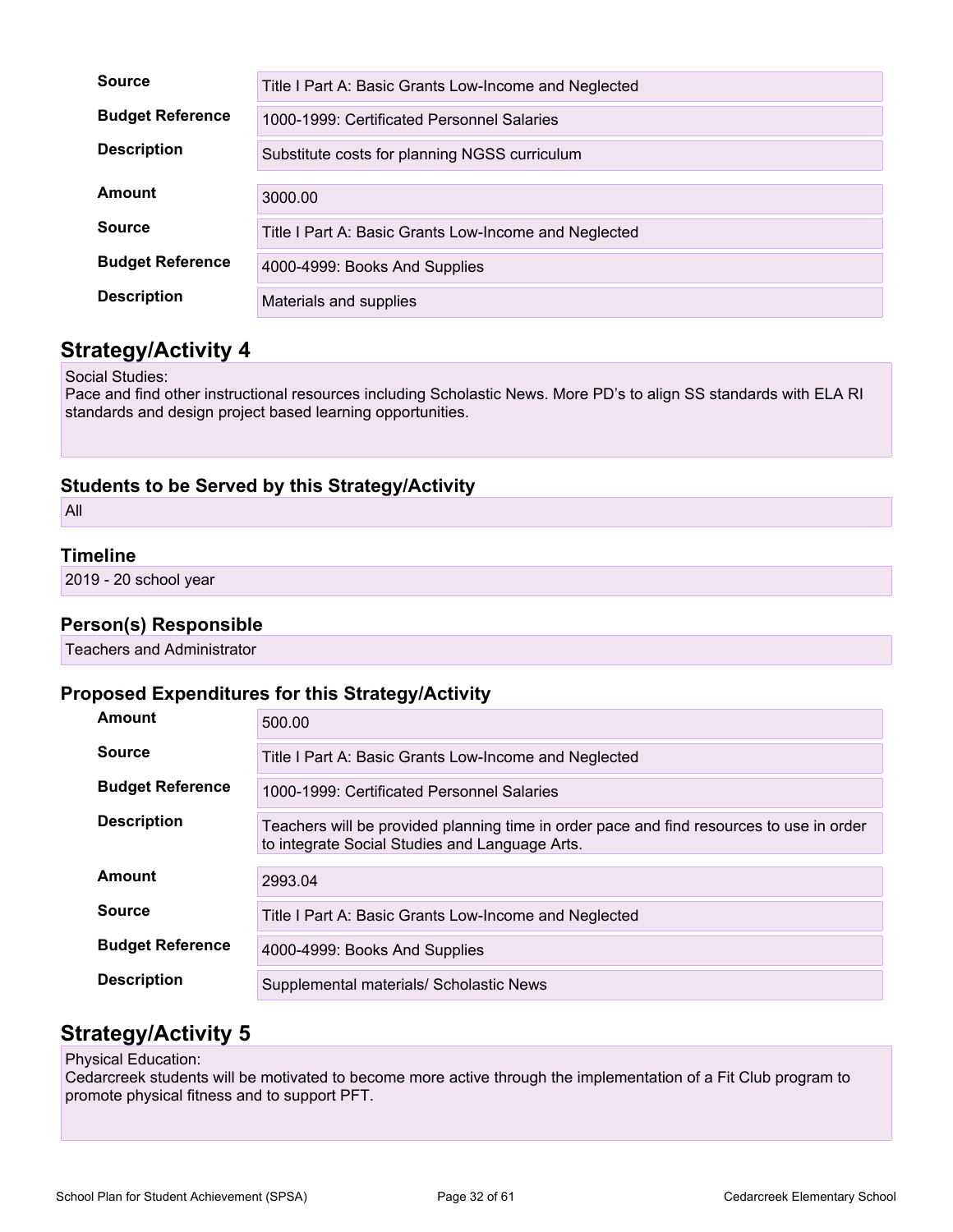| <b>Source</b>           | Title I Part A: Basic Grants Low-Income and Neglected |
|-------------------------|-------------------------------------------------------|
| <b>Budget Reference</b> | 1000-1999: Certificated Personnel Salaries            |
| <b>Description</b>      | Substitute costs for planning NGSS curriculum         |
|                         |                                                       |
| Amount                  | 3000.00                                               |
| <b>Source</b>           | Title I Part A: Basic Grants Low-Income and Neglected |
| <b>Budget Reference</b> | 4000-4999: Books And Supplies                         |
| <b>Description</b>      | Materials and supplies                                |

Social Studies:

Pace and find other instructional resources including Scholastic News. More PD's to align SS standards with ELA RI standards and design project based learning opportunities.

#### **Students to be Served by this Strategy/Activity**

All

#### **Timeline**

2019 - 20 school year

#### **Person(s) Responsible**

Teachers and Administrator

#### **Proposed Expenditures for this Strategy/Activity**

| <b>Amount</b>           | 500.00                                                                                                                                     |
|-------------------------|--------------------------------------------------------------------------------------------------------------------------------------------|
| <b>Source</b>           | Title I Part A: Basic Grants Low-Income and Neglected                                                                                      |
| <b>Budget Reference</b> | 1000-1999: Certificated Personnel Salaries                                                                                                 |
| <b>Description</b>      | Teachers will be provided planning time in order pace and find resources to use in order<br>to integrate Social Studies and Language Arts. |
| Amount                  | 2993.04                                                                                                                                    |
| <b>Source</b>           | Title I Part A: Basic Grants Low-Income and Neglected                                                                                      |
| <b>Budget Reference</b> | 4000-4999: Books And Supplies                                                                                                              |
| <b>Description</b>      | Supplemental materials/ Scholastic News                                                                                                    |

### **Strategy/Activity 5**

#### Physical Education:

Cedarcreek students will be motivated to become more active through the implementation of a Fit Club program to promote physical fitness and to support PFT.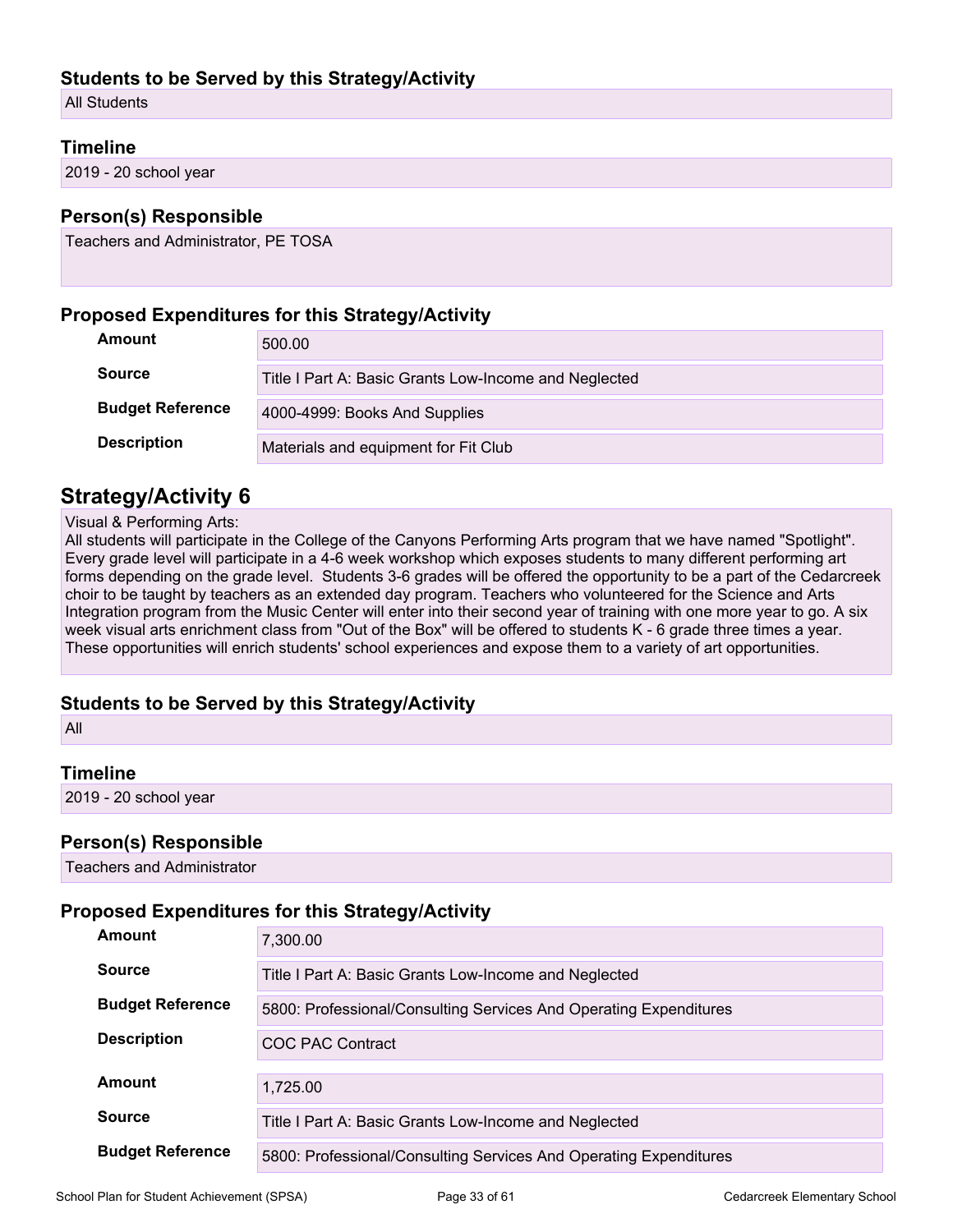#### **Students to be Served by this Strategy/Activity**

All Students

#### **Timeline**

2019 - 20 school year

#### **Person(s) Responsible**

Teachers and Administrator, PE TOSA

#### **Proposed Expenditures for this Strategy/Activity**

| Amount                  | 500.00                                                |
|-------------------------|-------------------------------------------------------|
| <b>Source</b>           | Title I Part A: Basic Grants Low-Income and Neglected |
| <b>Budget Reference</b> | 4000-4999: Books And Supplies                         |
| <b>Description</b>      | Materials and equipment for Fit Club                  |

#### **Strategy/Activity 6**

#### Visual & Performing Arts:

All students will participate in the College of the Canyons Performing Arts program that we have named "Spotlight". Every grade level will participate in a 4-6 week workshop which exposes students to many different performing art forms depending on the grade level. Students 3-6 grades will be offered the opportunity to be a part of the Cedarcreek choir to be taught by teachers as an extended day program. Teachers who volunteered for the Science and Arts Integration program from the Music Center will enter into their second year of training with one more year to go. A six week visual arts enrichment class from "Out of the Box" will be offered to students K - 6 grade three times a year. These opportunities will enrich students' school experiences and expose them to a variety of art opportunities.

#### **Students to be Served by this Strategy/Activity**

All

#### **Timeline**

2019 - 20 school year

#### **Person(s) Responsible**

Teachers and Administrator

#### **Proposed Expenditures for this Strategy/Activity**

| Amount                  | 7,300.00                                                          |
|-------------------------|-------------------------------------------------------------------|
| <b>Source</b>           | Title I Part A: Basic Grants Low-Income and Neglected             |
| <b>Budget Reference</b> | 5800: Professional/Consulting Services And Operating Expenditures |
| <b>Description</b>      | COC PAC Contract                                                  |
| Amount                  | 1.725.00                                                          |
| <b>Source</b>           | Title I Part A: Basic Grants Low-Income and Neglected             |
| <b>Budget Reference</b> | 5800: Professional/Consulting Services And Operating Expenditures |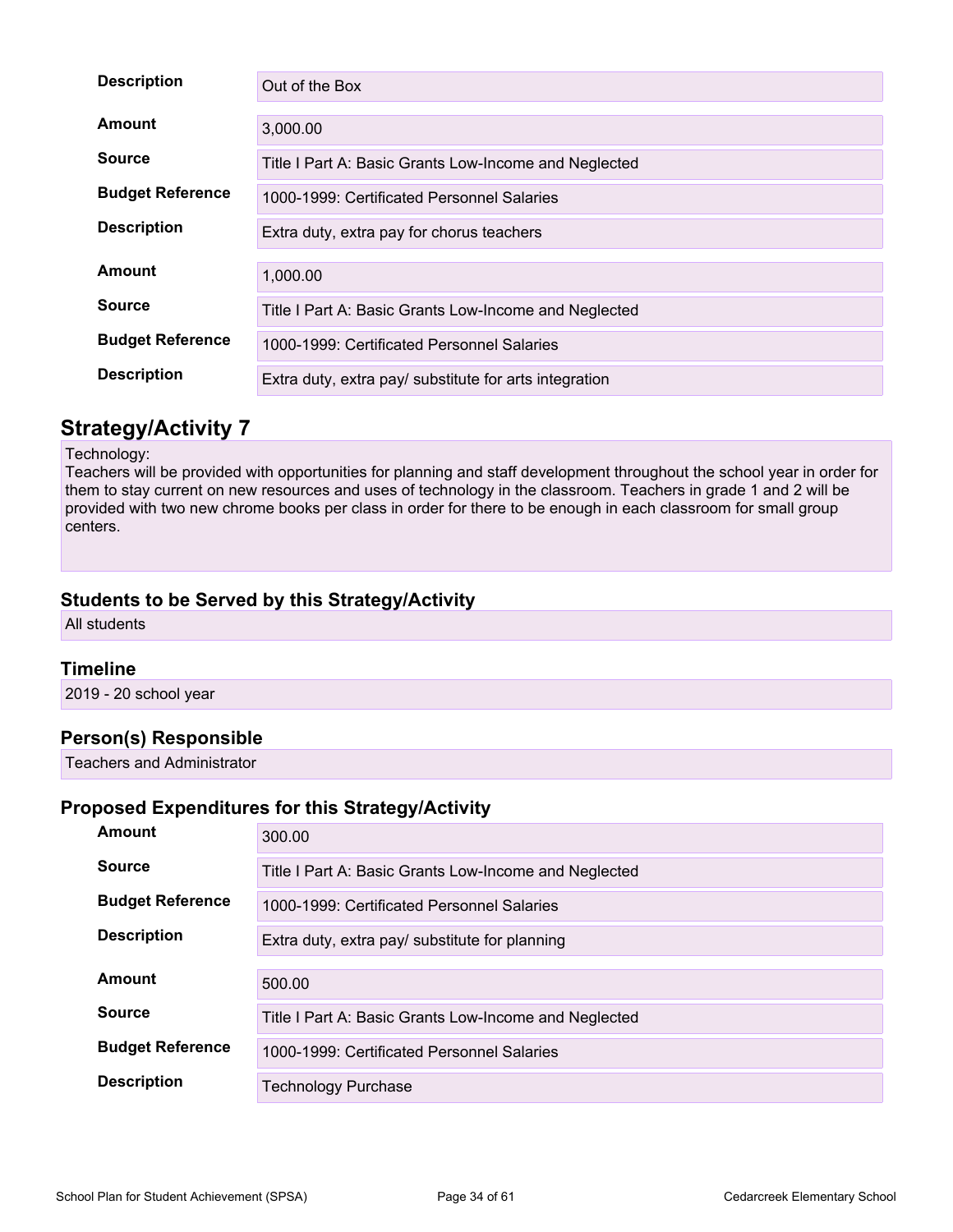| <b>Description</b>      | Out of the Box                                         |
|-------------------------|--------------------------------------------------------|
| Amount                  | 3,000.00                                               |
| <b>Source</b>           | Title I Part A: Basic Grants Low-Income and Neglected  |
| <b>Budget Reference</b> | 1000-1999: Certificated Personnel Salaries             |
| <b>Description</b>      | Extra duty, extra pay for chorus teachers              |
| Amount                  | 1,000.00                                               |
| <b>Source</b>           | Title I Part A: Basic Grants Low-Income and Neglected  |
| <b>Budget Reference</b> | 1000-1999: Certificated Personnel Salaries             |
| <b>Description</b>      | Extra duty, extra pay/ substitute for arts integration |

#### Technology:

Teachers will be provided with opportunities for planning and staff development throughout the school year in order for them to stay current on new resources and uses of technology in the classroom. Teachers in grade 1 and 2 will be provided with two new chrome books per class in order for there to be enough in each classroom for small group centers.

#### **Students to be Served by this Strategy/Activity**

All students

#### **Timeline**

2019 - 20 school year

#### **Person(s) Responsible**

Teachers and Administrator

## **Proposed Expenditures for this Strategy/Activity**

| <b>Amount</b>           | 300.00                                                |
|-------------------------|-------------------------------------------------------|
| <b>Source</b>           | Title I Part A: Basic Grants Low-Income and Neglected |
| <b>Budget Reference</b> | 1000-1999: Certificated Personnel Salaries            |
| <b>Description</b>      | Extra duty, extra pay/ substitute for planning        |
| Amount                  | 500.00                                                |
| <b>Source</b>           | Title I Part A: Basic Grants Low-Income and Neglected |
|                         |                                                       |
| <b>Budget Reference</b> | 1000-1999: Certificated Personnel Salaries            |
| <b>Description</b>      | <b>Technology Purchase</b>                            |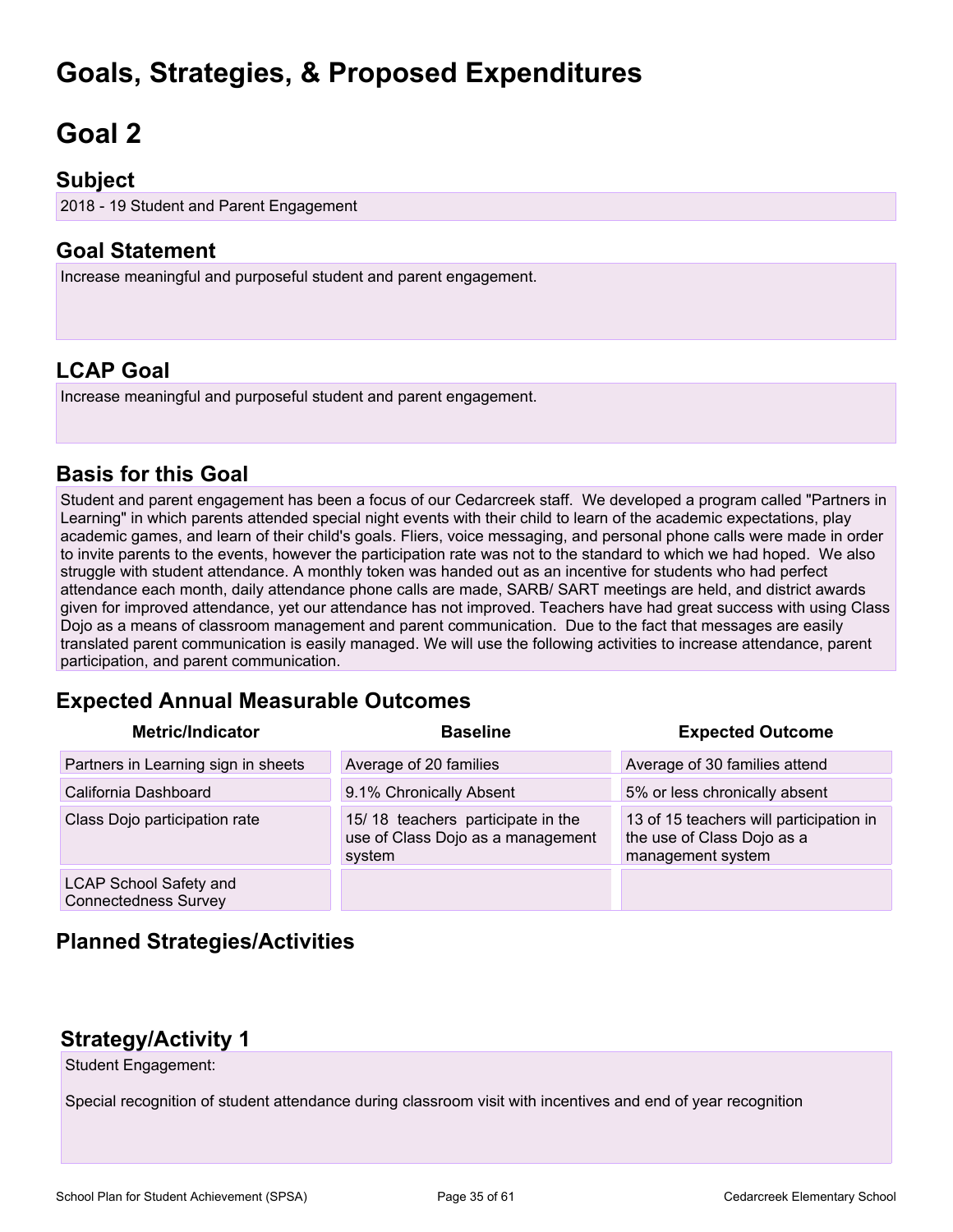## **Goals, Strategies, & Proposed Expenditures**

# <span id="page-34-0"></span>**Goal 2**

### **Subject**

2018 - 19 Student and Parent Engagement

### **Goal Statement**

Increase meaningful and purposeful student and parent engagement.

## **LCAP Goal**

Increase meaningful and purposeful student and parent engagement.

### **Basis for this Goal**

Student and parent engagement has been a focus of our Cedarcreek staff. We developed a program called "Partners in Learning" in which parents attended special night events with their child to learn of the academic expectations, play academic games, and learn of their child's goals. Fliers, voice messaging, and personal phone calls were made in order to invite parents to the events, however the participation rate was not to the standard to which we had hoped. We also struggle with student attendance. A monthly token was handed out as an incentive for students who had perfect attendance each month, daily attendance phone calls are made, SARB/ SART meetings are held, and district awards given for improved attendance, yet our attendance has not improved. Teachers have had great success with using Class Dojo as a means of classroom management and parent communication. Due to the fact that messages are easily translated parent communication is easily managed. We will use the following activities to increase attendance, parent participation, and parent communication.

### **Expected Annual Measurable Outcomes**

| <b>Metric/Indicator</b>                                      | <b>Baseline</b>                                                                  | <b>Expected Outcome</b>                                                                    |
|--------------------------------------------------------------|----------------------------------------------------------------------------------|--------------------------------------------------------------------------------------------|
| Partners in Learning sign in sheets                          | Average of 20 families                                                           | Average of 30 families attend                                                              |
| California Dashboard                                         | 9.1% Chronically Absent                                                          | 5% or less chronically absent                                                              |
| Class Dojo participation rate                                | 15/18 teachers participate in the<br>use of Class Dojo as a management<br>system | 13 of 15 teachers will participation in<br>the use of Class Dojo as a<br>management system |
| <b>LCAP School Safety and</b><br><b>Connectedness Survey</b> |                                                                                  |                                                                                            |

### **Planned Strategies/Activities**

### **Strategy/Activity 1**

Student Engagement:

Special recognition of student attendance during classroom visit with incentives and end of year recognition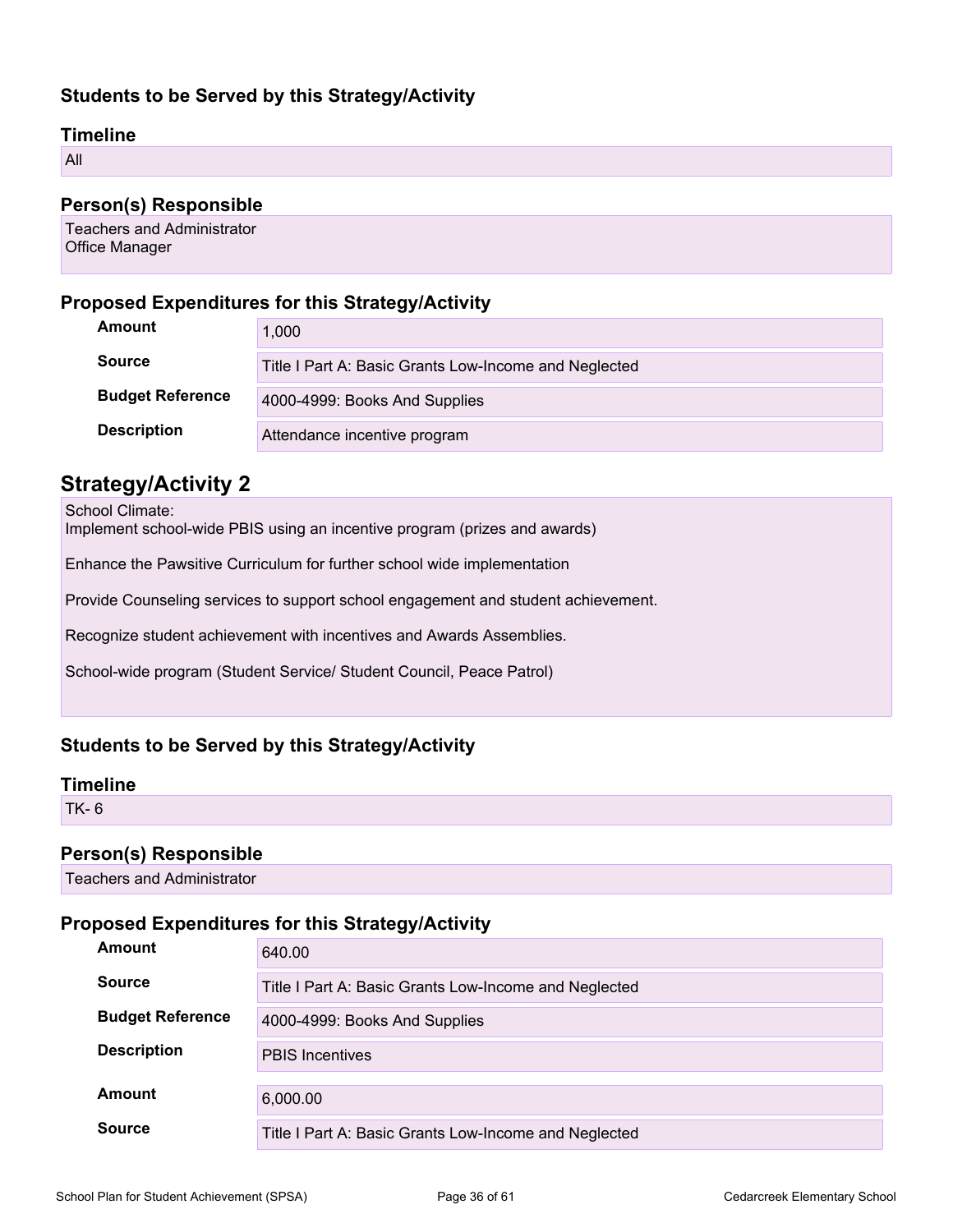#### **Students to be Served by this Strategy/Activity**

#### **Timeline**

All

#### **Person(s) Responsible**

Teachers and Administrator Office Manager

#### **Proposed Expenditures for this Strategy/Activity**

| Amount                  | 1,000                                                 |
|-------------------------|-------------------------------------------------------|
| <b>Source</b>           | Title I Part A: Basic Grants Low-Income and Neglected |
| <b>Budget Reference</b> | 4000-4999: Books And Supplies                         |
| <b>Description</b>      | Attendance incentive program                          |

#### **Strategy/Activity 2**

School Climate:

Implement school-wide PBIS using an incentive program (prizes and awards)

Enhance the Pawsitive Curriculum for further school wide implementation

Provide Counseling services to support school engagement and student achievement.

Recognize student achievement with incentives and Awards Assemblies.

School-wide program (Student Service/ Student Council, Peace Patrol)

#### **Students to be Served by this Strategy/Activity**

#### **Timeline**

TK- 6

#### **Person(s) Responsible**

Teachers and Administrator

#### **Proposed Expenditures for this Strategy/Activity**

| Amount                  | 640.00                                                |
|-------------------------|-------------------------------------------------------|
| <b>Source</b>           | Title I Part A: Basic Grants Low-Income and Neglected |
| <b>Budget Reference</b> | 4000-4999: Books And Supplies                         |
| <b>Description</b>      | <b>PBIS Incentives</b>                                |
| Amount                  | 6,000.00                                              |
| <b>Source</b>           | Title I Part A: Basic Grants Low-Income and Neglected |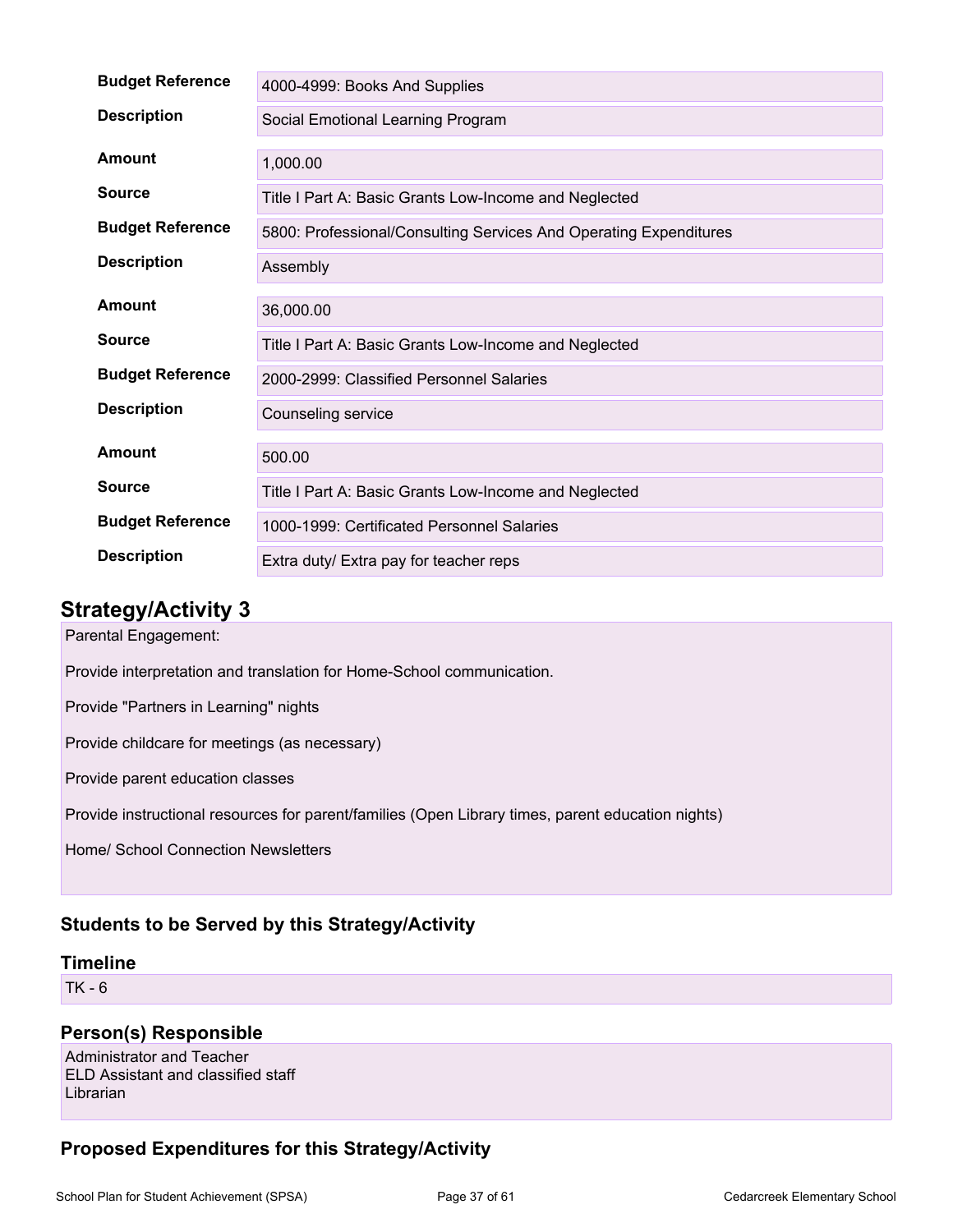| <b>Budget Reference</b> | 4000-4999: Books And Supplies                                     |
|-------------------------|-------------------------------------------------------------------|
| <b>Description</b>      | Social Emotional Learning Program                                 |
| Amount                  | 1,000.00                                                          |
| <b>Source</b>           | Title I Part A: Basic Grants Low-Income and Neglected             |
| <b>Budget Reference</b> | 5800: Professional/Consulting Services And Operating Expenditures |
| <b>Description</b>      | Assembly                                                          |
| Amount                  | 36,000.00                                                         |
| <b>Source</b>           | Title I Part A: Basic Grants Low-Income and Neglected             |
| <b>Budget Reference</b> | 2000-2999: Classified Personnel Salaries                          |
| <b>Description</b>      | Counseling service                                                |
| Amount                  | 500.00                                                            |
| <b>Source</b>           | Title I Part A: Basic Grants Low-Income and Neglected             |
| <b>Budget Reference</b> | 1000-1999: Certificated Personnel Salaries                        |
| <b>Description</b>      | Extra duty/ Extra pay for teacher reps                            |

Parental Engagement:

Provide interpretation and translation for Home-School communication.

Provide "Partners in Learning" nights

Provide childcare for meetings (as necessary)

Provide parent education classes

Provide instructional resources for parent/families (Open Library times, parent education nights)

Home/ School Connection Newsletters

#### **Students to be Served by this Strategy/Activity**

#### **Timeline**

TK - 6

#### **Person(s) Responsible**

Administrator and Teacher ELD Assistant and classified staff Librarian

#### **Proposed Expenditures for this Strategy/Activity**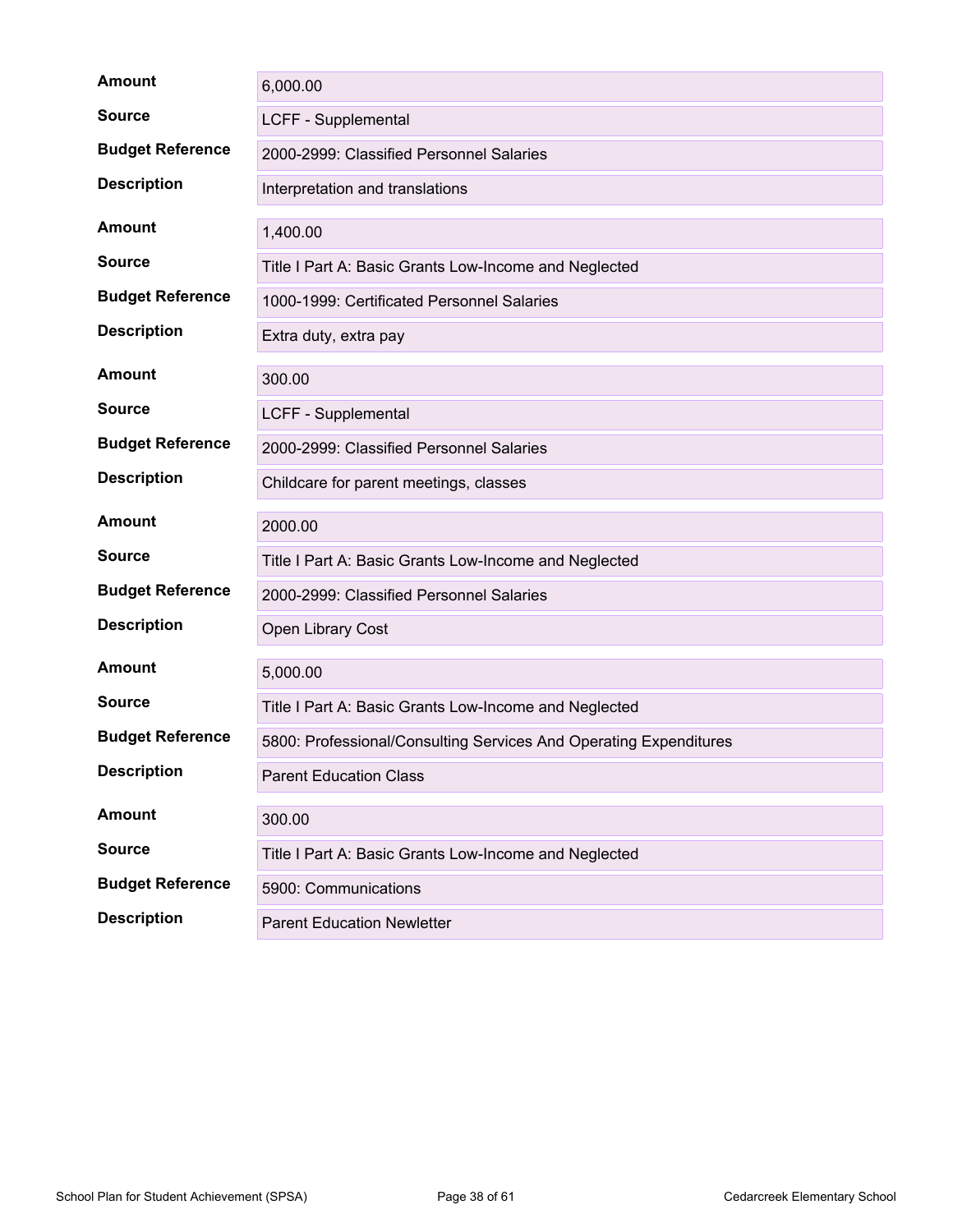| <b>Amount</b>           | 6,000.00                                                          |
|-------------------------|-------------------------------------------------------------------|
| <b>Source</b>           | <b>LCFF - Supplemental</b>                                        |
| <b>Budget Reference</b> | 2000-2999: Classified Personnel Salaries                          |
| <b>Description</b>      | Interpretation and translations                                   |
| <b>Amount</b>           | 1,400.00                                                          |
| <b>Source</b>           | Title I Part A: Basic Grants Low-Income and Neglected             |
| <b>Budget Reference</b> | 1000-1999: Certificated Personnel Salaries                        |
| <b>Description</b>      | Extra duty, extra pay                                             |
| <b>Amount</b>           | 300.00                                                            |
| <b>Source</b>           | LCFF - Supplemental                                               |
| <b>Budget Reference</b> | 2000-2999: Classified Personnel Salaries                          |
| <b>Description</b>      | Childcare for parent meetings, classes                            |
|                         |                                                                   |
| <b>Amount</b>           | 2000.00                                                           |
| <b>Source</b>           | Title I Part A: Basic Grants Low-Income and Neglected             |
| <b>Budget Reference</b> | 2000-2999: Classified Personnel Salaries                          |
| <b>Description</b>      | Open Library Cost                                                 |
| <b>Amount</b>           | 5,000.00                                                          |
| <b>Source</b>           | Title I Part A: Basic Grants Low-Income and Neglected             |
| <b>Budget Reference</b> | 5800: Professional/Consulting Services And Operating Expenditures |
| <b>Description</b>      | <b>Parent Education Class</b>                                     |
| <b>Amount</b>           | 300.00                                                            |
| <b>Source</b>           | Title I Part A: Basic Grants Low-Income and Neglected             |
| <b>Budget Reference</b> | 5900: Communications                                              |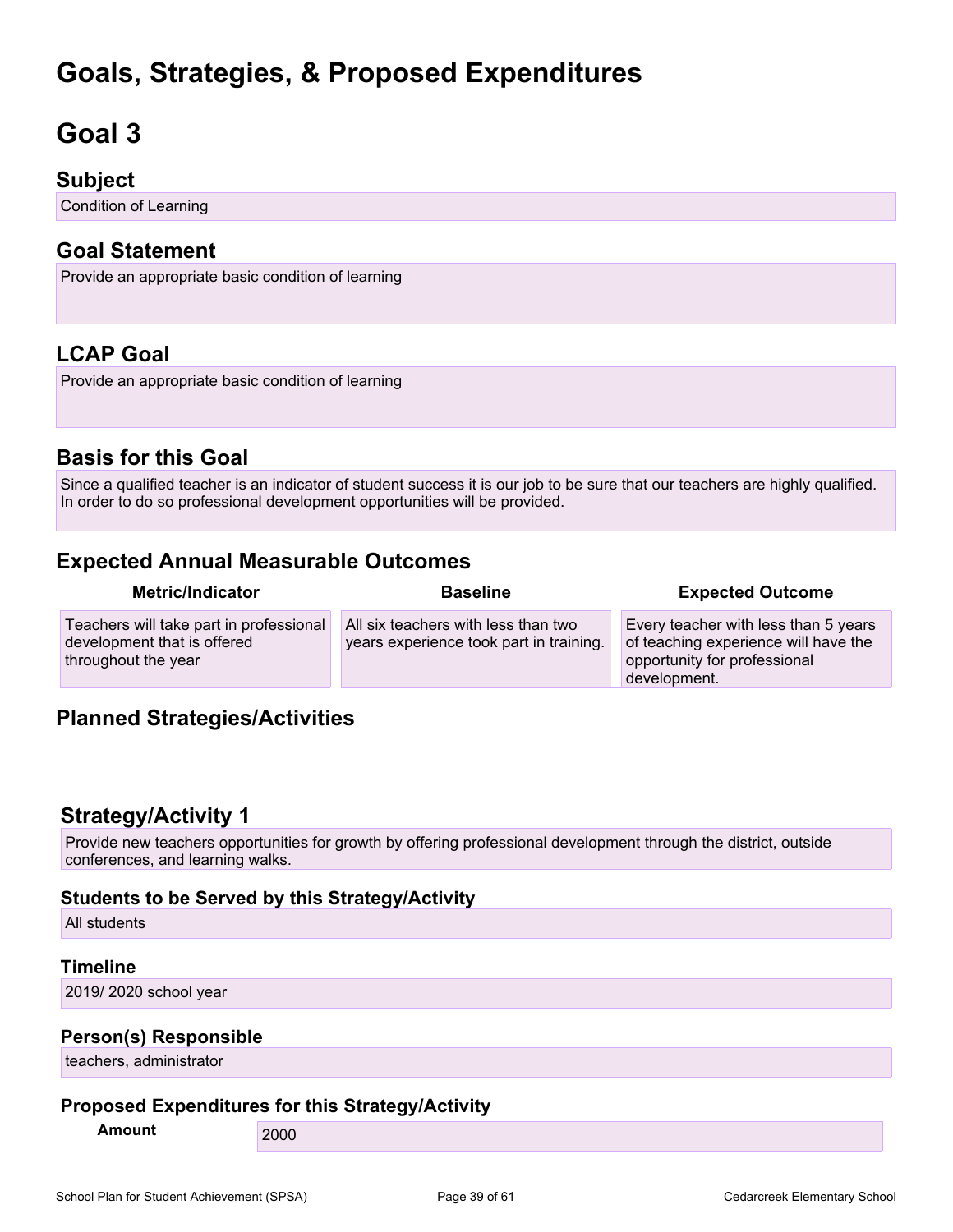## **Goals, Strategies, & Proposed Expenditures**

## <span id="page-38-0"></span>**Goal 3**

### **Subject**

Condition of Learning

### **Goal Statement**

Provide an appropriate basic condition of learning

## **LCAP Goal**

Provide an appropriate basic condition of learning

## **Basis for this Goal**

Since a qualified teacher is an indicator of student success it is our job to be sure that our teachers are highly qualified. In order to do so professional development opportunities will be provided.

## **Expected Annual Measurable Outcomes**

| <b>Metric/Indicator</b>                                                                       | <b>Baseline</b>                                                                | <b>Expected Outcome</b>                                                                                                      |
|-----------------------------------------------------------------------------------------------|--------------------------------------------------------------------------------|------------------------------------------------------------------------------------------------------------------------------|
| Teachers will take part in professional<br>development that is offered<br>throughout the year | All six teachers with less than two<br>years experience took part in training. | Every teacher with less than 5 years<br>of teaching experience will have the<br>opportunity for professional<br>development. |

### **Planned Strategies/Activities**

### **Strategy/Activity 1**

Provide new teachers opportunities for growth by offering professional development through the district, outside conferences, and learning walks.

#### **Students to be Served by this Strategy/Activity**

All students

#### **Timeline**

2019/ 2020 school year

#### **Person(s) Responsible**

teachers, administrator

#### **Proposed Expenditures for this Strategy/Activity**

**Amount** 2000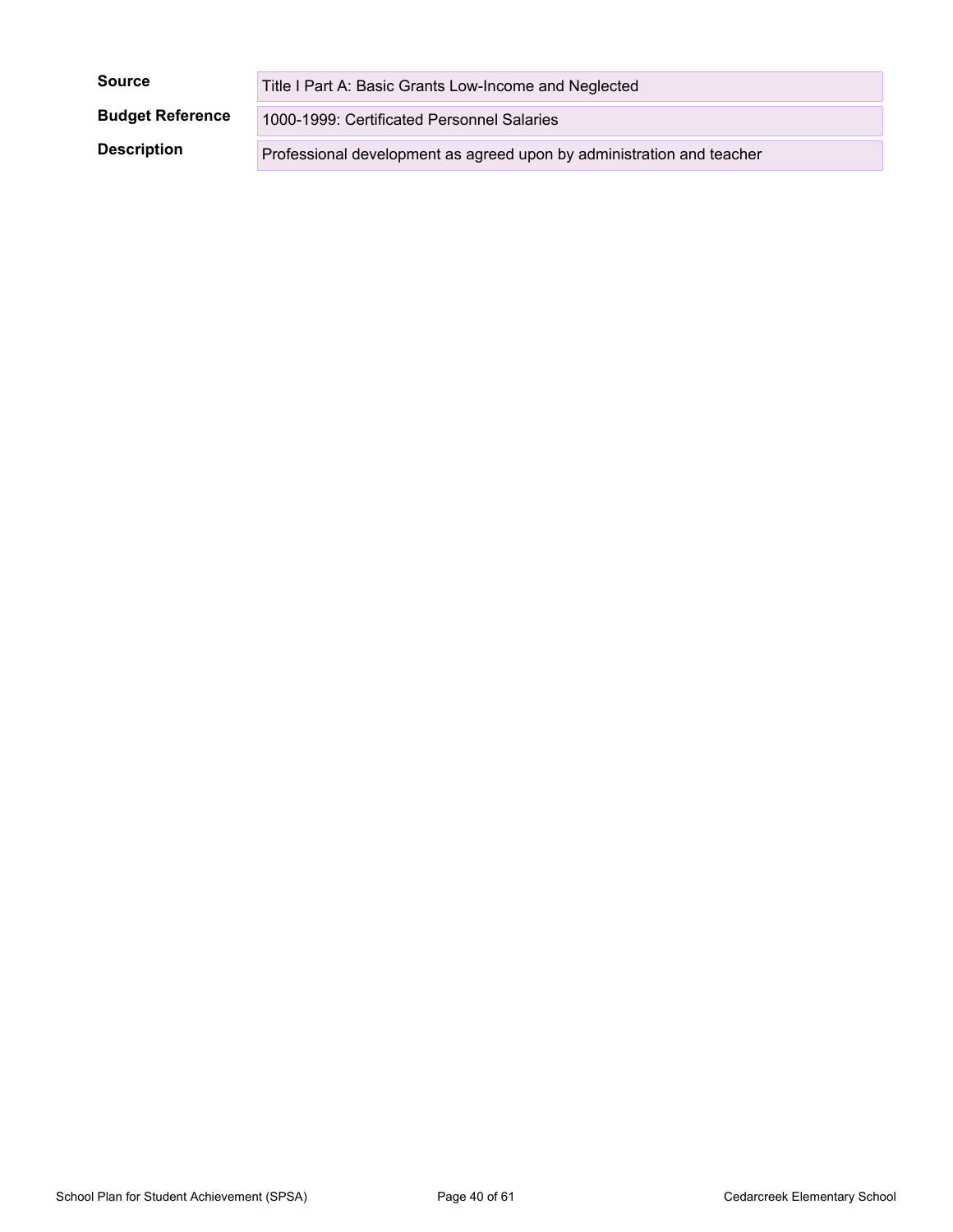| <b>Source</b>           | Title I Part A: Basic Grants Low-Income and Neglected                 |
|-------------------------|-----------------------------------------------------------------------|
| <b>Budget Reference</b> | 1000-1999: Certificated Personnel Salaries                            |
| <b>Description</b>      | Professional development as agreed upon by administration and teacher |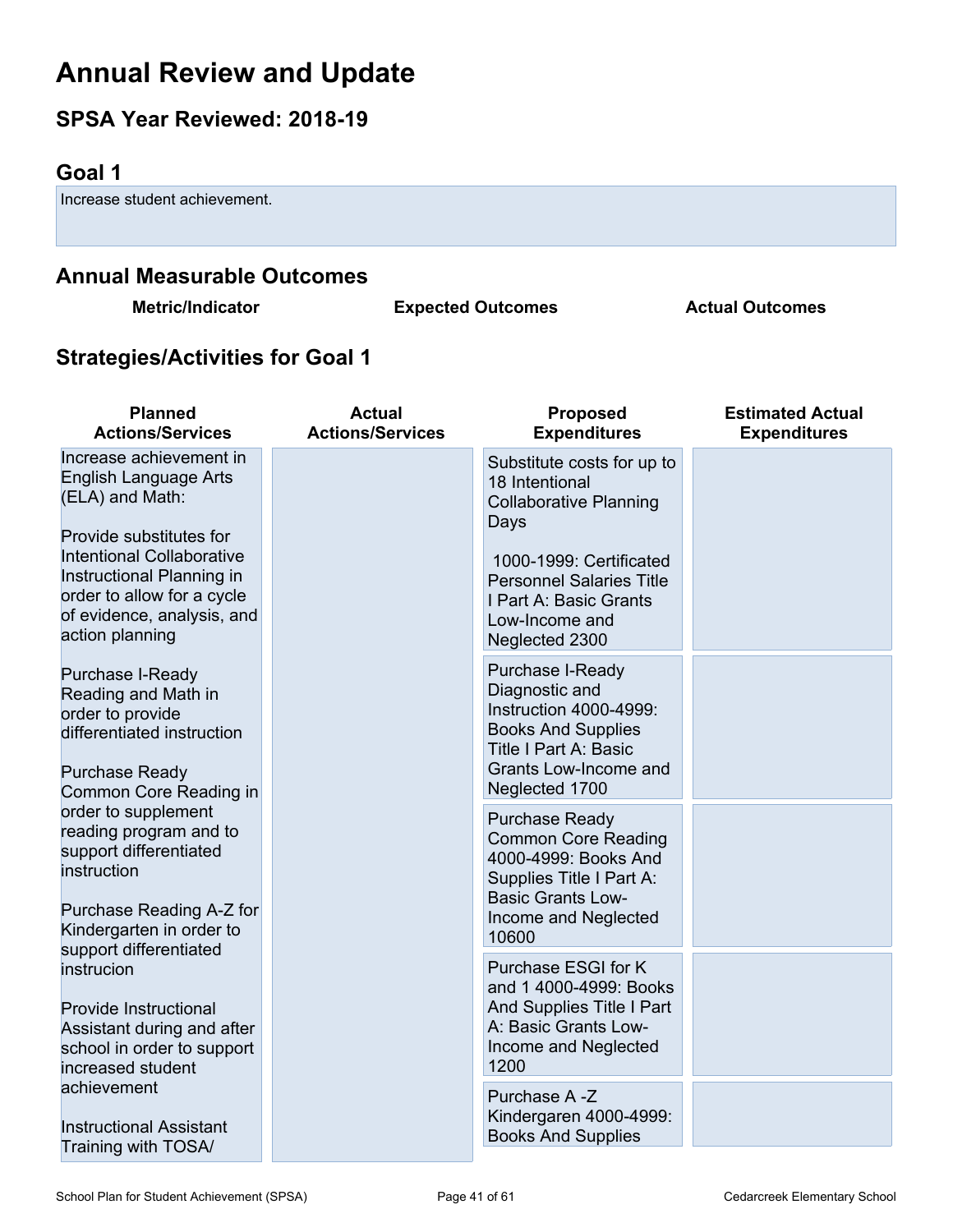## <span id="page-40-0"></span>**Annual Review and Update**

## **SPSA Year Reviewed: 2018-19**

## <span id="page-40-1"></span>**Goal 1**

Increase student achievement.

## **Annual Measurable Outcomes**

**Metric/Indicator Expected Outcomes Actual Outcomes**

## **Strategies/Activities for Goal 1**

| <b>Planned</b><br><b>Actions/Services</b>                                                                                                                                                                                                             | <b>Actual</b><br><b>Actions/Services</b> | <b>Proposed</b><br><b>Expenditures</b>                                                                                                                                                                            | <b>Estimated Actual</b><br><b>Expenditures</b> |
|-------------------------------------------------------------------------------------------------------------------------------------------------------------------------------------------------------------------------------------------------------|------------------------------------------|-------------------------------------------------------------------------------------------------------------------------------------------------------------------------------------------------------------------|------------------------------------------------|
| Increase achievement in<br><b>English Language Arts</b><br>(ELA) and Math:<br>Provide substitutes for<br><b>Intentional Collaborative</b><br>Instructional Planning in<br>order to allow for a cycle<br>of evidence, analysis, and<br>action planning |                                          | Substitute costs for up to<br>18 Intentional<br><b>Collaborative Planning</b><br>Days<br>1000-1999: Certificated<br><b>Personnel Salaries Title</b><br>I Part A: Basic Grants<br>Low-Income and<br>Neglected 2300 |                                                |
| Purchase I-Ready<br>Reading and Math in<br>order to provide<br>differentiated instruction<br><b>Purchase Ready</b><br>Common Core Reading in                                                                                                          |                                          | Purchase I-Ready<br>Diagnostic and<br>Instruction 4000-4999:<br><b>Books And Supplies</b><br><b>Title I Part A: Basic</b><br>Grants Low-Income and<br>Neglected 1700                                              |                                                |
| order to supplement<br>reading program and to<br>support differentiated<br>instruction<br>Purchase Reading A-Z for<br>Kindergarten in order to                                                                                                        |                                          | <b>Purchase Ready</b><br><b>Common Core Reading</b><br>4000-4999: Books And<br>Supplies Title I Part A:<br><b>Basic Grants Low-</b><br>Income and Neglected<br>10600                                              |                                                |
| support differentiated<br>instrucion<br><b>Provide Instructional</b><br>Assistant during and after<br>school in order to support<br>increased student                                                                                                 |                                          | Purchase ESGI for K<br>and 1 4000-4999: Books<br>And Supplies Title I Part<br>A: Basic Grants Low-<br>Income and Neglected<br>1200                                                                                |                                                |
| achievement<br><b>Instructional Assistant</b><br>Training with TOSA/                                                                                                                                                                                  |                                          | Purchase A -Z<br>Kindergaren 4000-4999:<br><b>Books And Supplies</b>                                                                                                                                              |                                                |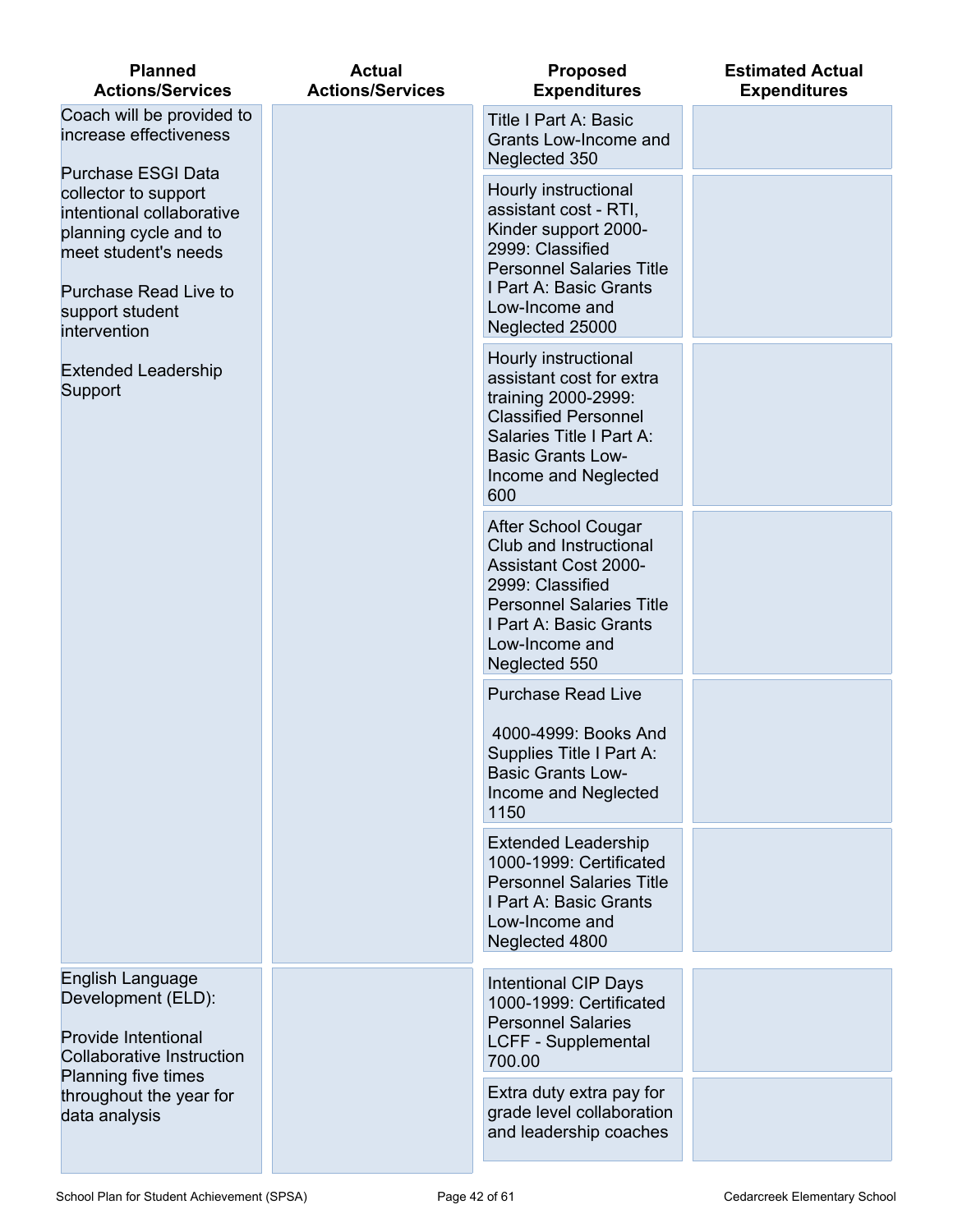| <b>Planned</b><br><b>Actions/Services</b>                                                                                                                                                   | <b>Actual</b><br><b>Actions/Services</b> | <b>Proposed</b><br><b>Expenditures</b>                                                                                                                                                                  | <b>Estimated Actual</b><br><b>Expenditures</b> |
|---------------------------------------------------------------------------------------------------------------------------------------------------------------------------------------------|------------------------------------------|---------------------------------------------------------------------------------------------------------------------------------------------------------------------------------------------------------|------------------------------------------------|
| Coach will be provided to<br>increase effectiveness                                                                                                                                         |                                          | <b>Title I Part A: Basic</b><br>Grants Low-Income and<br>Neglected 350                                                                                                                                  |                                                |
| <b>Purchase ESGI Data</b><br>collector to support<br>intentional collaborative<br>planning cycle and to<br>meet student's needs<br>Purchase Read Live to<br>support student<br>intervention |                                          | Hourly instructional<br>assistant cost - RTI,<br>Kinder support 2000-<br>2999: Classified<br><b>Personnel Salaries Title</b><br>I Part A: Basic Grants<br>Low-Income and<br>Neglected 25000             |                                                |
| <b>Extended Leadership</b><br>Support                                                                                                                                                       |                                          | Hourly instructional<br>assistant cost for extra<br>training 2000-2999:<br><b>Classified Personnel</b><br>Salaries Title I Part A:<br><b>Basic Grants Low-</b><br>Income and Neglected<br>600           |                                                |
|                                                                                                                                                                                             |                                          | <b>After School Cougar</b><br>Club and Instructional<br><b>Assistant Cost 2000-</b><br>2999: Classified<br><b>Personnel Salaries Title</b><br>I Part A: Basic Grants<br>Low-Income and<br>Neglected 550 |                                                |
|                                                                                                                                                                                             |                                          | <b>Purchase Read Live</b><br>4000-4999: Books And<br>Supplies Title I Part A:<br><b>Basic Grants Low-</b><br>Income and Neglected<br>1150                                                               |                                                |
|                                                                                                                                                                                             |                                          | <b>Extended Leadership</b><br>1000-1999: Certificated<br><b>Personnel Salaries Title</b><br>I Part A: Basic Grants<br>Low-Income and<br>Neglected 4800                                                  |                                                |
| English Language<br>Development (ELD):<br>Provide Intentional<br><b>Collaborative Instruction</b>                                                                                           |                                          | <b>Intentional CIP Days</b><br>1000-1999: Certificated<br><b>Personnel Salaries</b><br><b>LCFF - Supplemental</b><br>700.00                                                                             |                                                |
| <b>Planning five times</b><br>throughout the year for<br>data analysis                                                                                                                      |                                          | Extra duty extra pay for<br>grade level collaboration<br>and leadership coaches                                                                                                                         |                                                |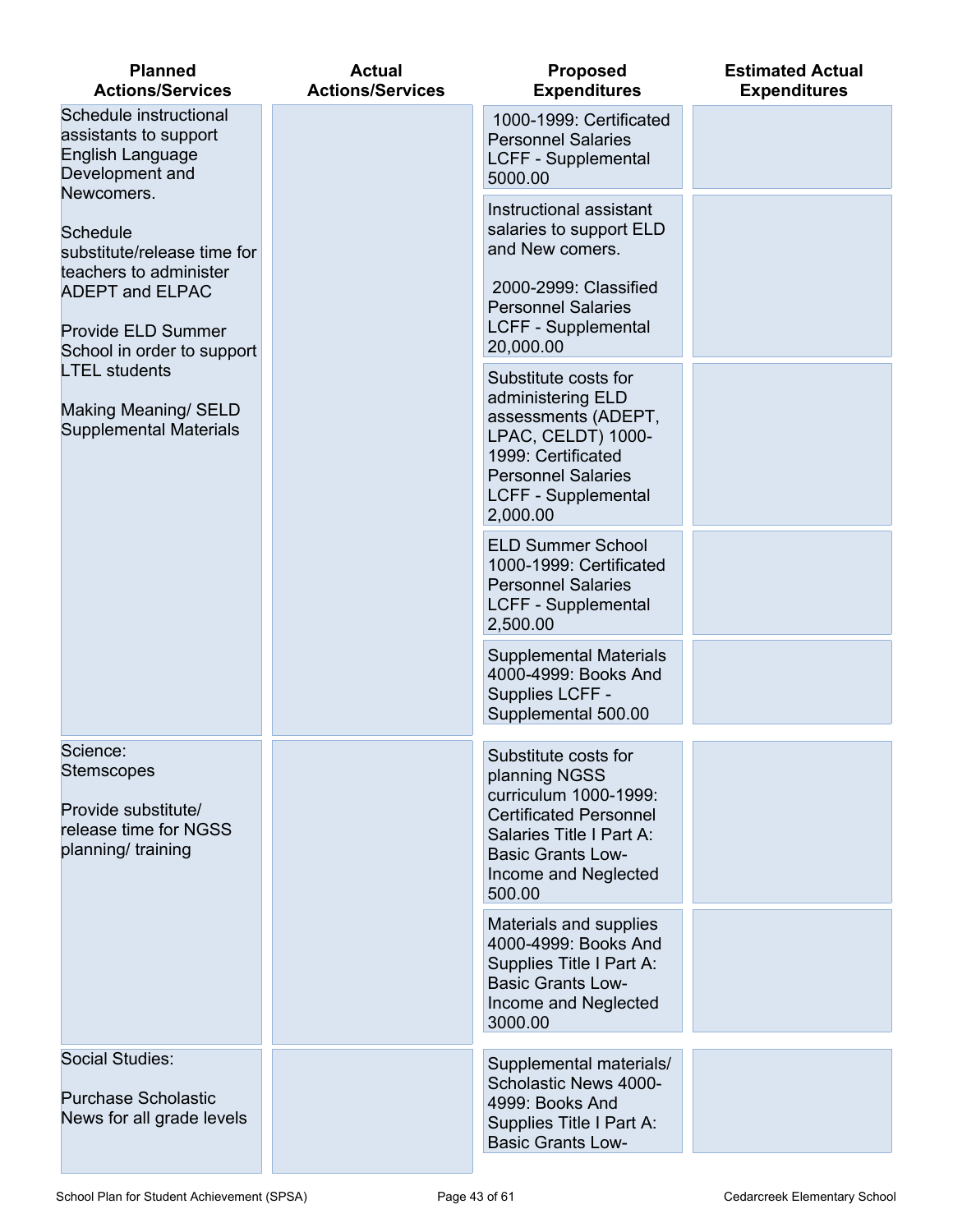| <b>Planned</b><br><b>Actions/Services</b>                                                                                                                                                                                                                    | <b>Actual</b><br><b>Actions/Services</b> | <b>Proposed</b><br><b>Expenditures</b>                                                                                                                                                                                                                                                                                                                                                                                                                                          | <b>Estimated Actual</b><br><b>Expenditures</b> |
|--------------------------------------------------------------------------------------------------------------------------------------------------------------------------------------------------------------------------------------------------------------|------------------------------------------|---------------------------------------------------------------------------------------------------------------------------------------------------------------------------------------------------------------------------------------------------------------------------------------------------------------------------------------------------------------------------------------------------------------------------------------------------------------------------------|------------------------------------------------|
| Schedule instructional<br>assistants to support<br>English Language<br>Development and                                                                                                                                                                       |                                          | 1000-1999: Certificated<br><b>Personnel Salaries</b><br><b>LCFF - Supplemental</b><br>5000.00                                                                                                                                                                                                                                                                                                                                                                                   |                                                |
| Newcomers.<br><b>Schedule</b><br>substitute/release time for<br>teachers to administer<br><b>ADEPT and ELPAC</b><br>Provide ELD Summer<br>School in order to support<br><b>LTEL students</b><br><b>Making Meaning/ SELD</b><br><b>Supplemental Materials</b> |                                          | Instructional assistant<br>salaries to support ELD<br>and New comers.<br>2000-2999: Classified<br><b>Personnel Salaries</b><br><b>LCFF - Supplemental</b><br>20,000.00<br>Substitute costs for<br>administering ELD<br>assessments (ADEPT,<br>LPAC, CELDT) 1000-<br>1999: Certificated<br><b>Personnel Salaries</b><br><b>LCFF - Supplemental</b><br>2,000.00<br><b>ELD Summer School</b><br>1000-1999: Certificated<br><b>Personnel Salaries</b><br><b>LCFF - Supplemental</b> |                                                |
|                                                                                                                                                                                                                                                              |                                          | 2,500.00<br><b>Supplemental Materials</b><br>4000-4999: Books And<br>Supplies LCFF -<br>Supplemental 500.00                                                                                                                                                                                                                                                                                                                                                                     |                                                |
| Science:<br><b>Stemscopes</b><br>Provide substitute/<br>release time for NGSS<br>planning/ training                                                                                                                                                          |                                          | Substitute costs for<br>planning NGSS<br>curriculum 1000-1999:<br><b>Certificated Personnel</b><br>Salaries Title I Part A:<br><b>Basic Grants Low-</b><br>Income and Neglected<br>500.00<br>Materials and supplies<br>4000-4999: Books And<br>Supplies Title I Part A:<br><b>Basic Grants Low-</b><br>Income and Neglected<br>3000.00                                                                                                                                          |                                                |
| Social Studies:<br><b>Purchase Scholastic</b><br>News for all grade levels                                                                                                                                                                                   |                                          | Supplemental materials/<br>Scholastic News 4000-<br>4999: Books And<br>Supplies Title I Part A:<br><b>Basic Grants Low-</b>                                                                                                                                                                                                                                                                                                                                                     |                                                |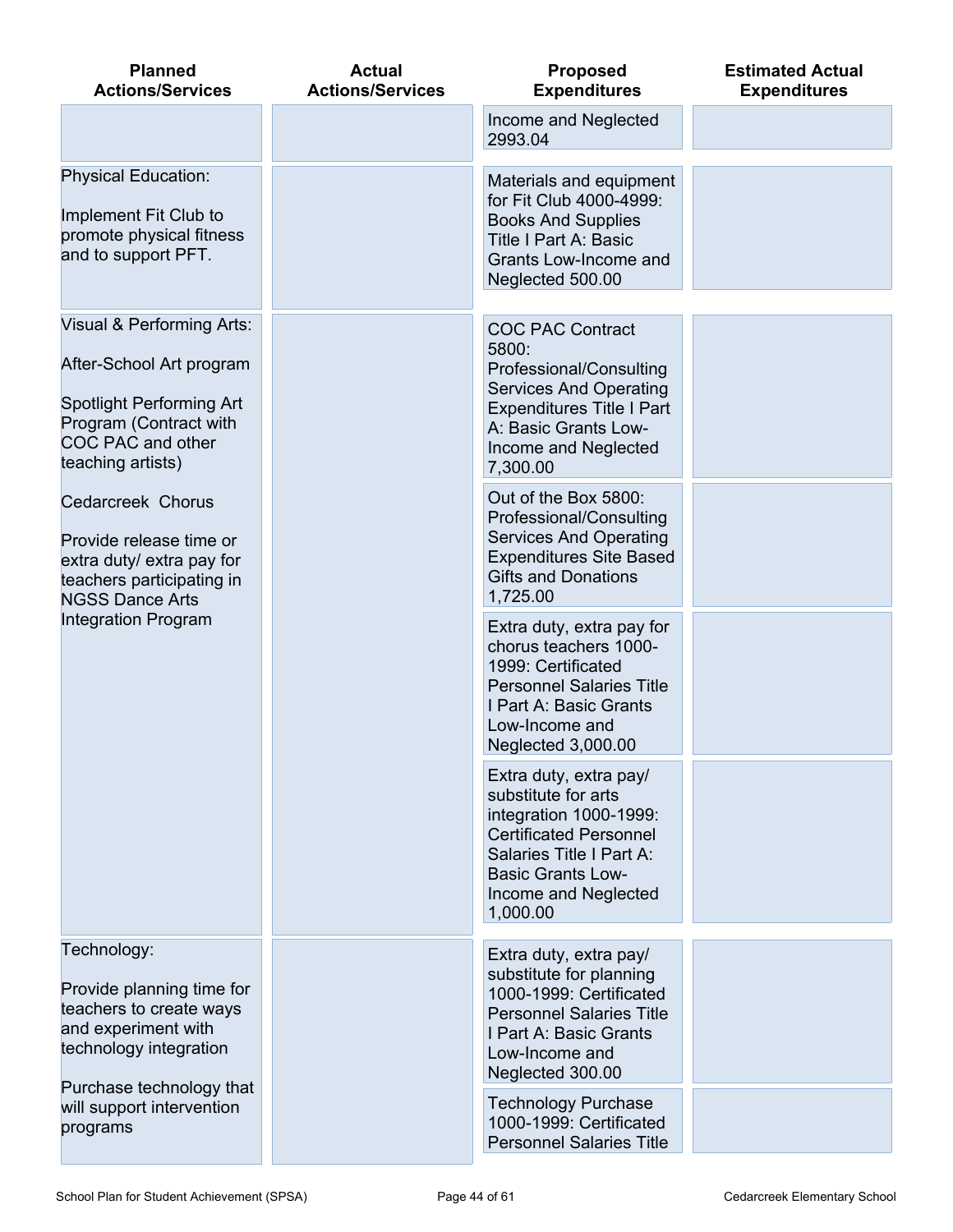| <b>Planned</b><br><b>Actions/Services</b>                                                                                                                    | <b>Actual</b><br><b>Actions/Services</b> | <b>Proposed</b><br><b>Expenditures</b>                                                                                                                                                               | <b>Estimated Actual</b><br><b>Expenditures</b> |
|--------------------------------------------------------------------------------------------------------------------------------------------------------------|------------------------------------------|------------------------------------------------------------------------------------------------------------------------------------------------------------------------------------------------------|------------------------------------------------|
|                                                                                                                                                              |                                          | Income and Neglected<br>2993.04                                                                                                                                                                      |                                                |
| <b>Physical Education:</b><br>Implement Fit Club to<br>promote physical fitness<br>and to support PFT.                                                       |                                          | Materials and equipment<br>for Fit Club 4000-4999:<br><b>Books And Supplies</b><br><b>Title I Part A: Basic</b><br>Grants Low-Income and<br>Neglected 500.00                                         |                                                |
| Visual & Performing Arts:<br>After-School Art program<br>Spotlight Performing Art<br>Program (Contract with<br><b>COC PAC and other</b><br>teaching artists) |                                          | <b>COC PAC Contract</b><br>5800:<br>Professional/Consulting<br><b>Services And Operating</b><br><b>Expenditures Title I Part</b><br>A: Basic Grants Low-<br>Income and Neglected<br>7,300.00         |                                                |
| <b>Cedarcreek Chorus</b><br>Provide release time or<br>extra duty/ extra pay for<br>teachers participating in<br><b>NGSS Dance Arts</b>                      |                                          | Out of the Box 5800:<br>Professional/Consulting<br><b>Services And Operating</b><br><b>Expenditures Site Based</b><br><b>Gifts and Donations</b><br>1,725.00                                         |                                                |
| <b>Integration Program</b>                                                                                                                                   |                                          | Extra duty, extra pay for<br>chorus teachers 1000-<br>1999: Certificated<br><b>Personnel Salaries Title</b><br>I Part A: Basic Grants<br>Low-Income and<br>Neglected 3,000.00                        |                                                |
|                                                                                                                                                              |                                          | Extra duty, extra pay/<br>substitute for arts<br>integration 1000-1999:<br><b>Certificated Personnel</b><br>Salaries Title I Part A:<br><b>Basic Grants Low-</b><br>Income and Neglected<br>1,000.00 |                                                |
| Technology:<br>Provide planning time for<br>teachers to create ways<br>and experiment with<br>technology integration<br>Purchase technology that             |                                          | Extra duty, extra pay/<br>substitute for planning<br>1000-1999: Certificated<br><b>Personnel Salaries Title</b><br>I Part A: Basic Grants<br>Low-Income and<br>Neglected 300.00                      |                                                |
| will support intervention<br>programs                                                                                                                        |                                          | <b>Technology Purchase</b><br>1000-1999: Certificated<br><b>Personnel Salaries Title</b>                                                                                                             |                                                |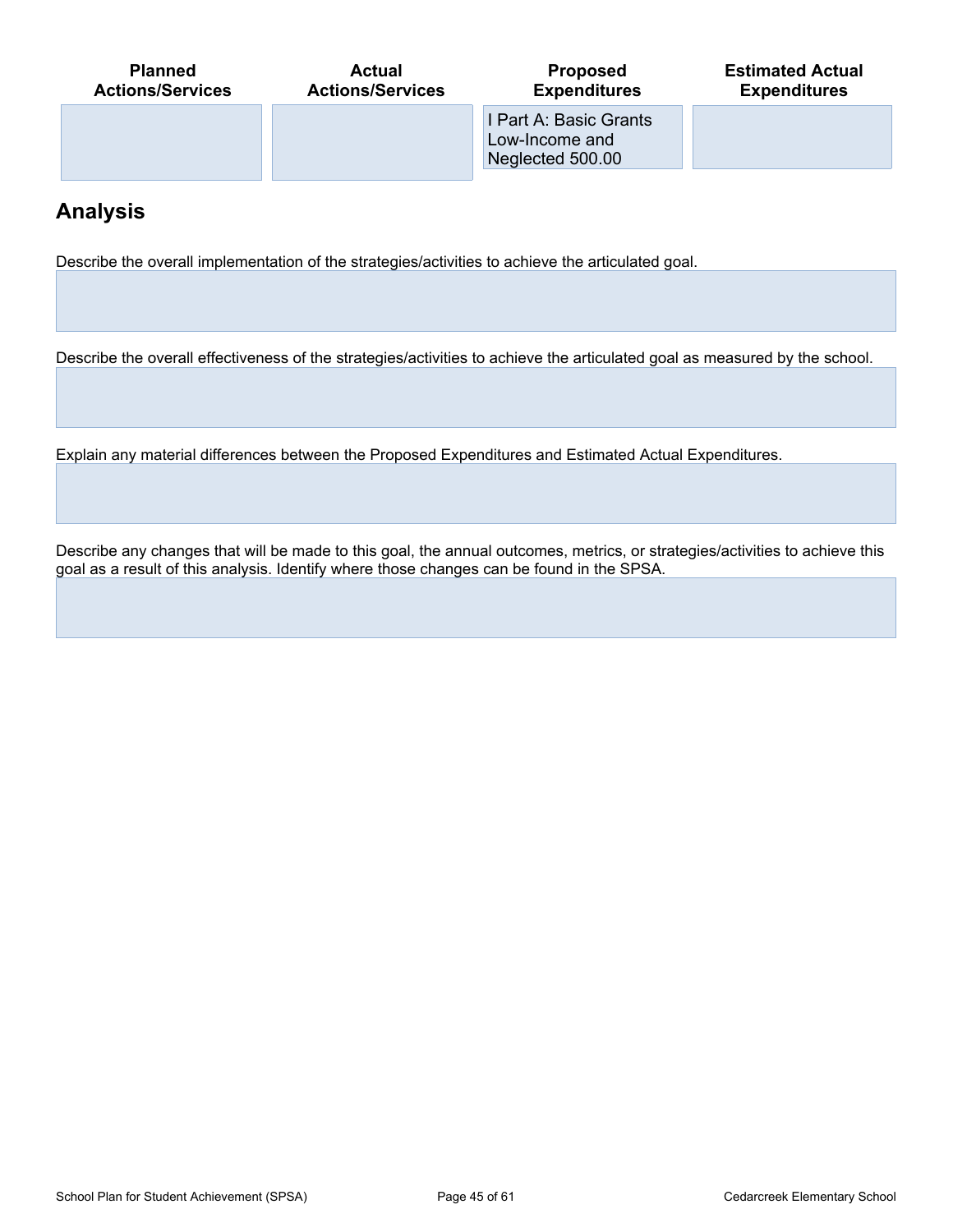| <b>Planned</b>          | <b>Actual</b>           | <b>Proposed</b>                                              | <b>Estimated Actual</b> |
|-------------------------|-------------------------|--------------------------------------------------------------|-------------------------|
| <b>Actions/Services</b> | <b>Actions/Services</b> | <b>Expenditures</b>                                          | <b>Expenditures</b>     |
|                         |                         | I Part A: Basic Grants<br>Low-Income and<br>Neglected 500.00 |                         |

## **Analysis**

Describe the overall implementation of the strategies/activities to achieve the articulated goal.

Describe the overall effectiveness of the strategies/activities to achieve the articulated goal as measured by the school.

Explain any material differences between the Proposed Expenditures and Estimated Actual Expenditures.

Describe any changes that will be made to this goal, the annual outcomes, metrics, or strategies/activities to achieve this goal as a result of this analysis. Identify where those changes can be found in the SPSA.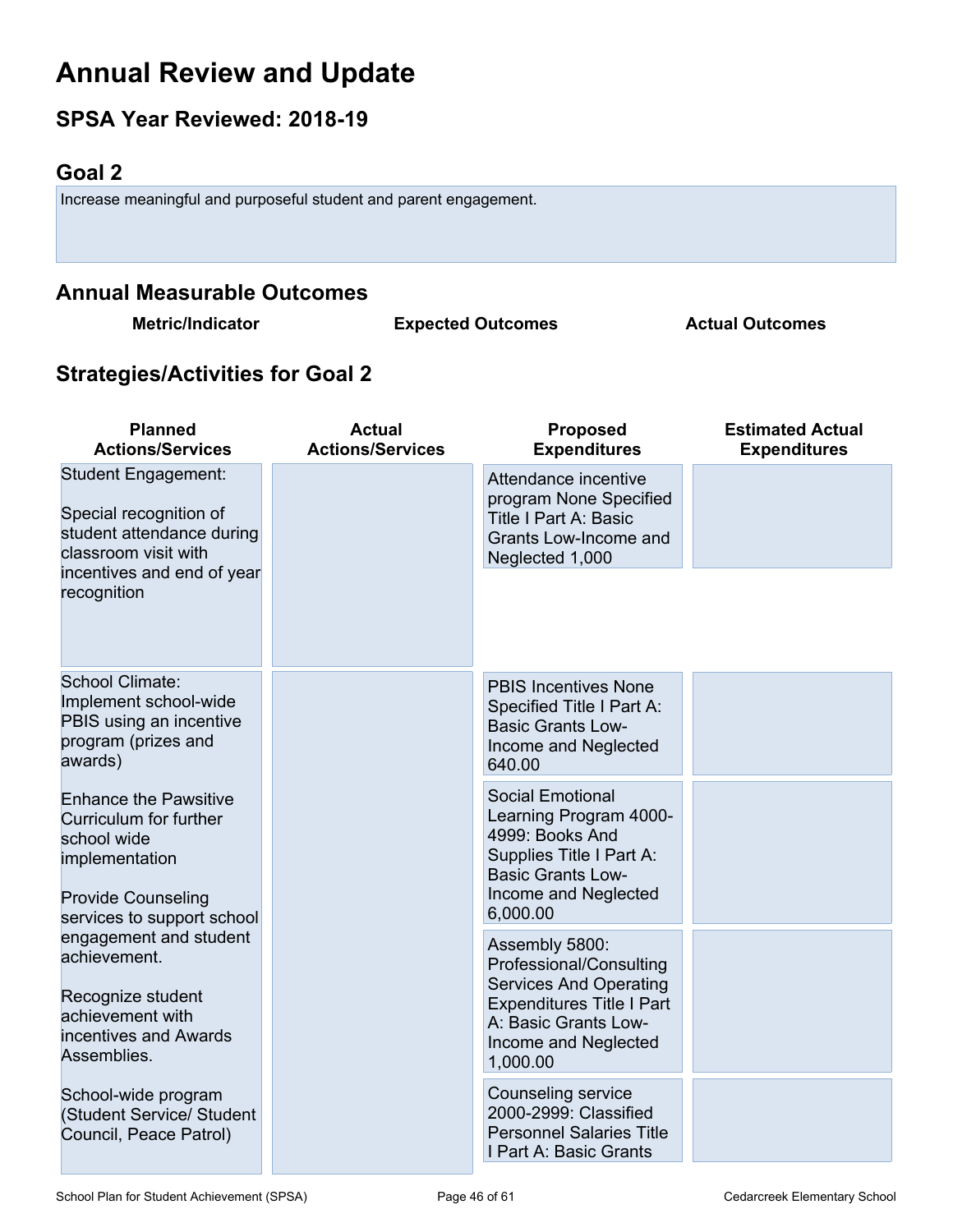## **Annual Review and Update**

## **SPSA Year Reviewed: 2018-19**

## <span id="page-45-0"></span>**Goal 2**

Increase meaningful and purposeful student and parent engagement.

### **Annual Measurable Outcomes**

**Metric/Indicator Expected Outcomes Actual Outcomes**

## **Strategies/Activities for Goal 2**

| <b>Planned</b><br><b>Actions/Services</b>                                                                                        | <b>Actual</b><br><b>Actions/Services</b> | <b>Proposed</b><br><b>Expenditures</b>                                                                                                                   | <b>Estimated Actual</b><br><b>Expenditures</b> |
|----------------------------------------------------------------------------------------------------------------------------------|------------------------------------------|----------------------------------------------------------------------------------------------------------------------------------------------------------|------------------------------------------------|
| Student Engagement:<br>Special recognition of<br>student attendance during<br>classroom visit with<br>incentives and end of year |                                          | Attendance incentive<br>program None Specified<br><b>Title I Part A: Basic</b><br>Grants Low-Income and<br>Neglected 1,000                               |                                                |
| recognition                                                                                                                      |                                          |                                                                                                                                                          |                                                |
| School Climate:<br>Implement school-wide<br>PBIS using an incentive<br>program (prizes and<br>awards)                            |                                          | <b>PBIS Incentives None</b><br>Specified Title I Part A:<br><b>Basic Grants Low-</b><br>Income and Neglected<br>640.00                                   |                                                |
| <b>Enhance the Pawsitive</b><br>Curriculum for further<br>school wide<br>implementation<br><b>Provide Counseling</b>             |                                          | <b>Social Emotional</b><br>Learning Program 4000-<br>4999: Books And<br>Supplies Title I Part A:<br><b>Basic Grants Low-</b><br>Income and Neglected     |                                                |
| services to support school<br>engagement and student                                                                             |                                          | 6,000.00<br>Assembly 5800:                                                                                                                               |                                                |
| achievement.<br>Recognize student<br>achievement with<br>incentives and Awards<br>Assemblies.                                    |                                          | Professional/Consulting<br><b>Services And Operating</b><br><b>Expenditures Title I Part</b><br>A: Basic Grants Low-<br>Income and Neglected<br>1,000.00 |                                                |
| School-wide program<br>(Student Service/ Student<br>Council, Peace Patrol)                                                       |                                          | Counseling service<br>2000-2999: Classified<br><b>Personnel Salaries Title</b><br>I Part A: Basic Grants                                                 |                                                |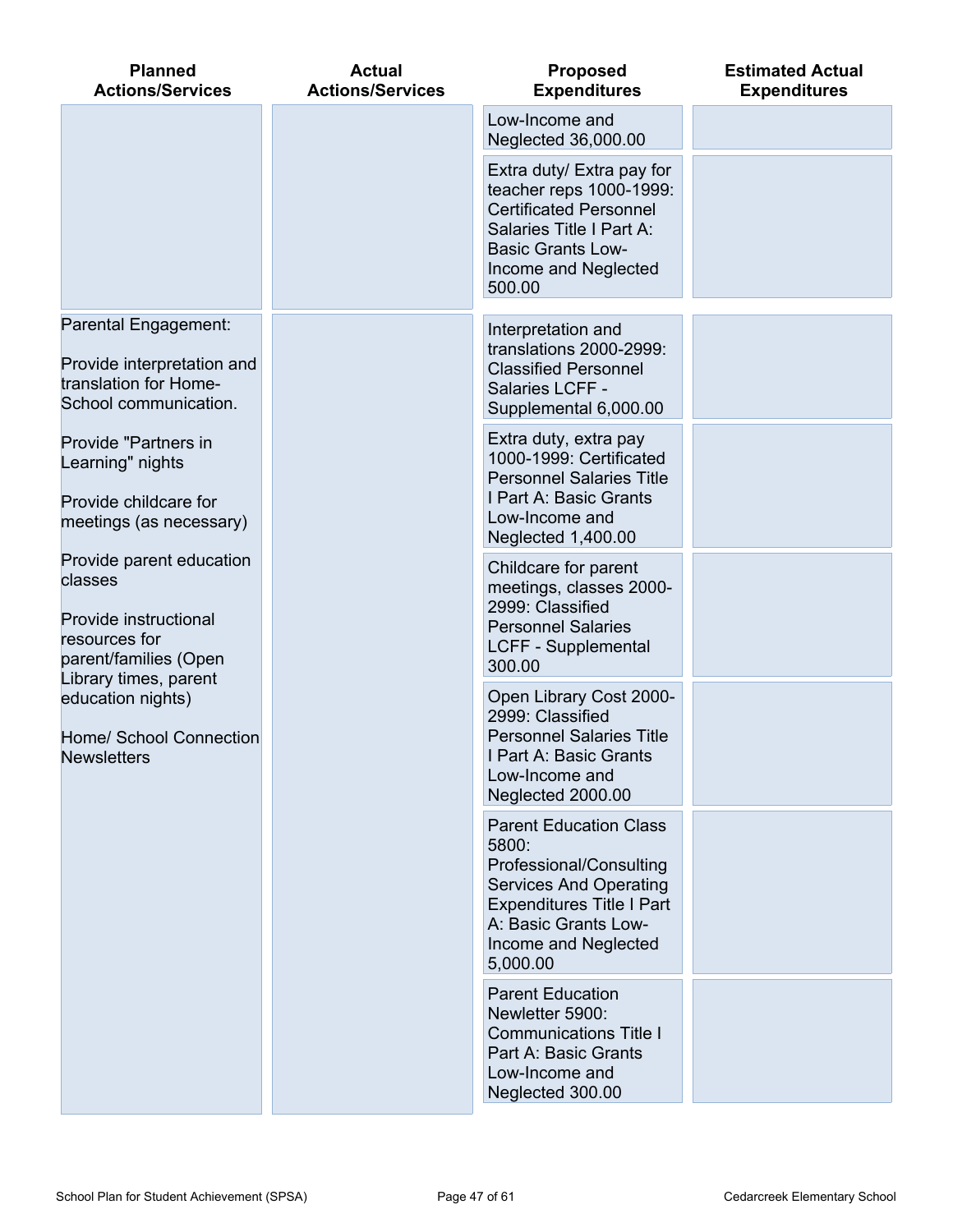| <b>Planned</b><br><b>Actions/Services</b>                                    | <b>Actual</b><br><b>Actions/Services</b> | <b>Proposed</b><br><b>Expenditures</b>                                                                                                                                                             | <b>Estimated Actual</b><br><b>Expenditures</b> |
|------------------------------------------------------------------------------|------------------------------------------|----------------------------------------------------------------------------------------------------------------------------------------------------------------------------------------------------|------------------------------------------------|
|                                                                              |                                          | Low-Income and<br>Neglected 36,000.00                                                                                                                                                              |                                                |
|                                                                              |                                          | Extra duty/ Extra pay for<br>teacher reps 1000-1999:<br><b>Certificated Personnel</b><br>Salaries Title I Part A:<br><b>Basic Grants Low-</b><br>Income and Neglected<br>500.00                    |                                                |
| Parental Engagement:                                                         |                                          | Interpretation and<br>translations 2000-2999:                                                                                                                                                      |                                                |
| Provide interpretation and<br>translation for Home-<br>School communication. |                                          | <b>Classified Personnel</b><br>Salaries LCFF -<br>Supplemental 6,000.00                                                                                                                            |                                                |
| Provide "Partners in<br>Learning" nights<br>Provide childcare for            |                                          | Extra duty, extra pay<br>1000-1999: Certificated<br><b>Personnel Salaries Title</b><br>I Part A: Basic Grants                                                                                      |                                                |
| meetings (as necessary)                                                      |                                          | Low-Income and<br>Neglected 1,400.00                                                                                                                                                               |                                                |
| Provide parent education<br>classes<br>Provide instructional                 |                                          | Childcare for parent<br>meetings, classes 2000-<br>2999: Classified                                                                                                                                |                                                |
| resources for<br>parent/families (Open                                       |                                          | <b>Personnel Salaries</b><br><b>LCFF - Supplemental</b><br>300.00                                                                                                                                  |                                                |
| Library times, parent<br>education nights)                                   |                                          | Open Library Cost 2000-<br>2999: Classified                                                                                                                                                        |                                                |
| Home/ School Connection<br><b>Newsletters</b>                                |                                          | <b>Personnel Salaries Title</b><br>I Part A: Basic Grants<br>Low-Income and<br>Neglected 2000.00                                                                                                   |                                                |
|                                                                              |                                          | <b>Parent Education Class</b><br>5800:<br>Professional/Consulting<br><b>Services And Operating</b><br><b>Expenditures Title I Part</b><br>A: Basic Grants Low-<br>Income and Neglected<br>5,000.00 |                                                |
|                                                                              |                                          | <b>Parent Education</b><br>Newletter 5900:<br><b>Communications Title I</b><br>Part A: Basic Grants<br>Low-Income and<br>Neglected 300.00                                                          |                                                |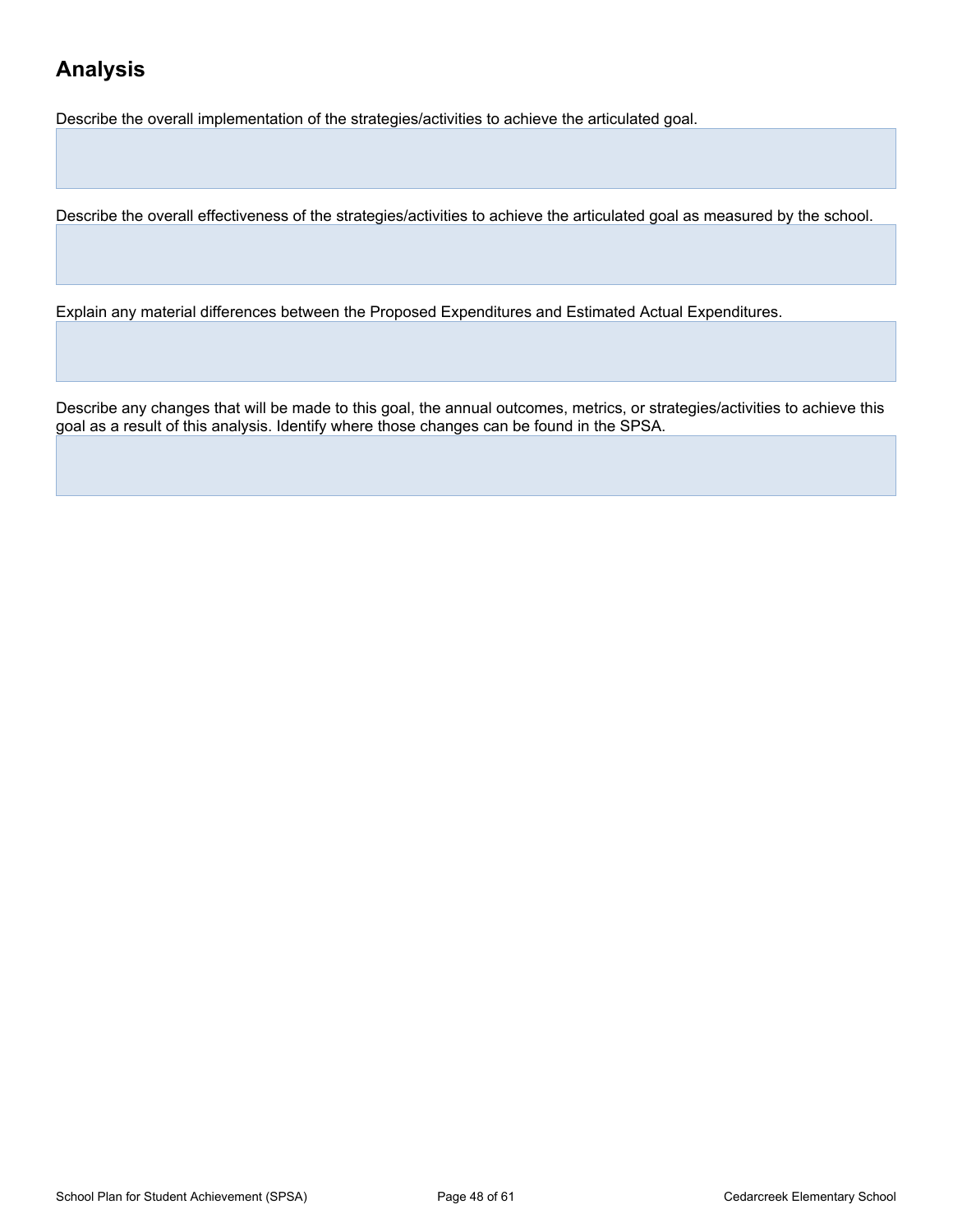## **Analysis**

Describe the overall implementation of the strategies/activities to achieve the articulated goal.

Describe the overall effectiveness of the strategies/activities to achieve the articulated goal as measured by the school.

Explain any material differences between the Proposed Expenditures and Estimated Actual Expenditures.

Describe any changes that will be made to this goal, the annual outcomes, metrics, or strategies/activities to achieve this goal as a result of this analysis. Identify where those changes can be found in the SPSA.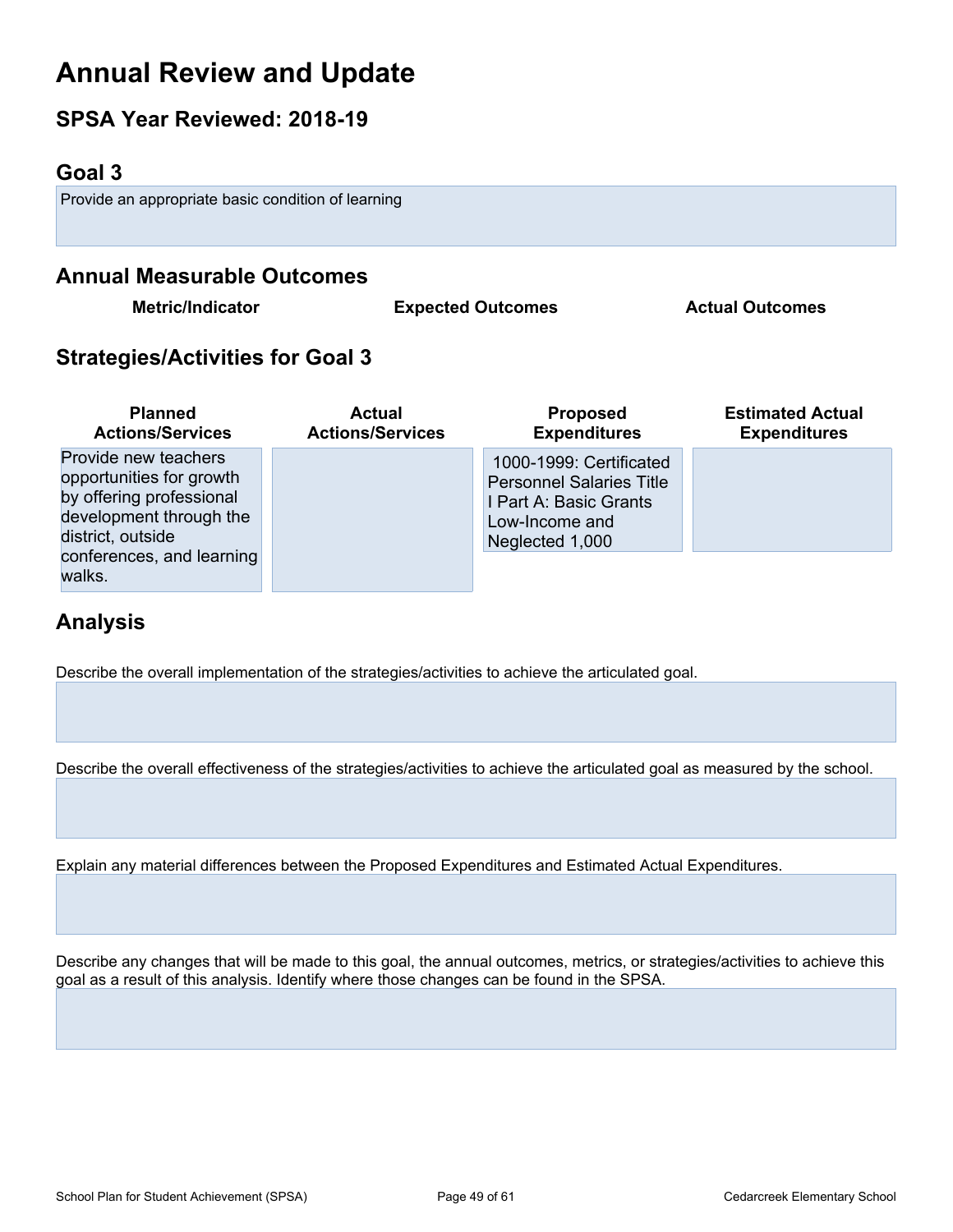## **Annual Review and Update**

## **SPSA Year Reviewed: 2018-19**

### <span id="page-48-0"></span>**Goal 3**

Provide an appropriate basic condition of learning

### **Annual Measurable Outcomes**

**Metric/Indicator Expected Outcomes Actual Outcomes**

## **Strategies/Activities for Goal 3**

| <b>Planned</b>                                                                                                                                                      | <b>Actual</b>           | <b>Proposed</b>                                                                                                           | <b>Estimated Actual</b> |
|---------------------------------------------------------------------------------------------------------------------------------------------------------------------|-------------------------|---------------------------------------------------------------------------------------------------------------------------|-------------------------|
| <b>Actions/Services</b>                                                                                                                                             | <b>Actions/Services</b> | <b>Expenditures</b>                                                                                                       | <b>Expenditures</b>     |
| Provide new teachers<br>opportunities for growth<br>by offering professional<br>development through the<br>district, outside<br>conferences, and learning<br>walks. |                         | 1000-1999: Certificated<br><b>Personnel Salaries Title</b><br>I Part A: Basic Grants<br>Low-Income and<br>Neglected 1,000 |                         |

## **Analysis**

Describe the overall implementation of the strategies/activities to achieve the articulated goal.

Describe the overall effectiveness of the strategies/activities to achieve the articulated goal as measured by the school.

Explain any material differences between the Proposed Expenditures and Estimated Actual Expenditures.

Describe any changes that will be made to this goal, the annual outcomes, metrics, or strategies/activities to achieve this goal as a result of this analysis. Identify where those changes can be found in the SPSA.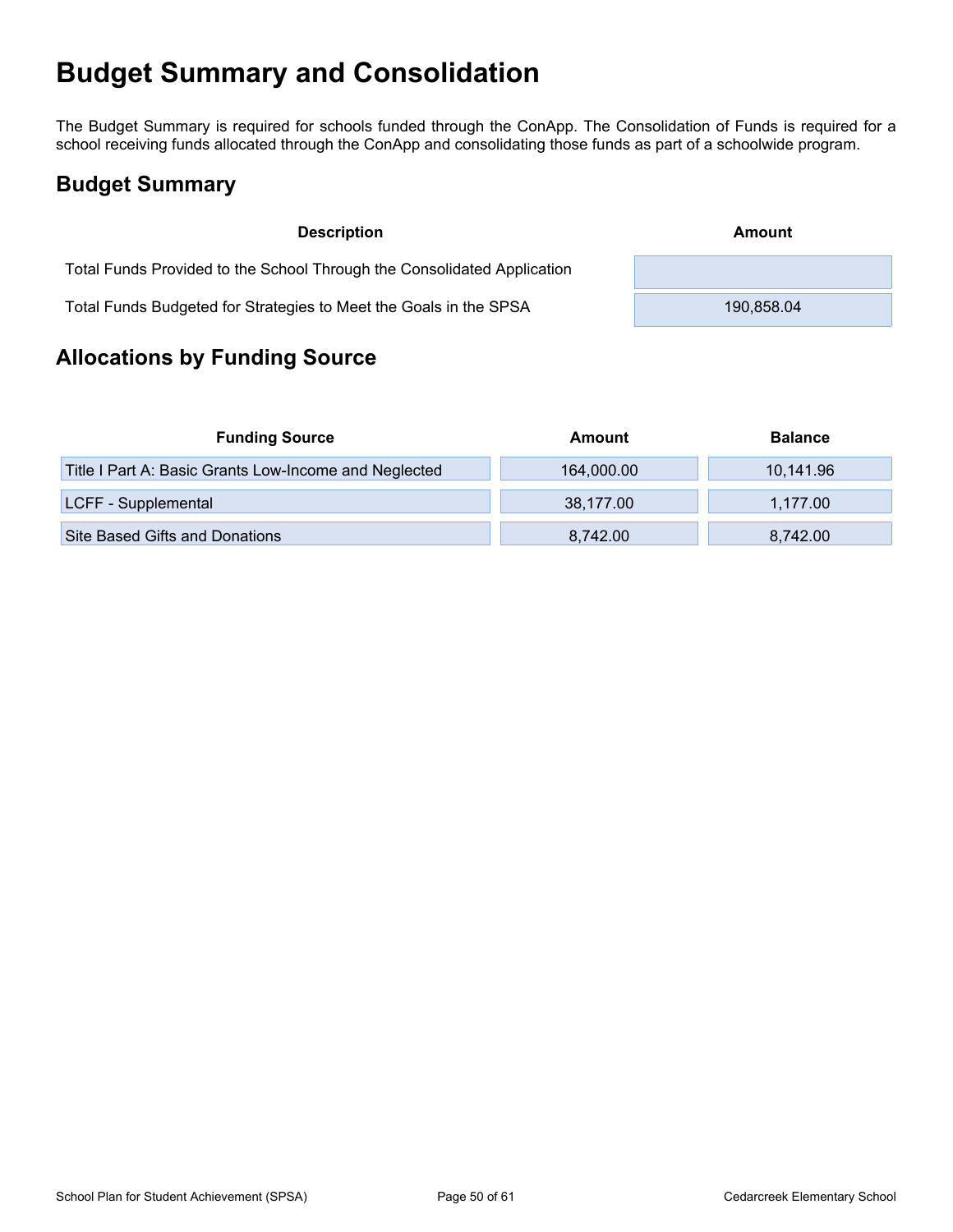## <span id="page-49-0"></span>**Budget Summary and Consolidation**

The Budget Summary is required for schools funded through the ConApp. The Consolidation of Funds is required for a school receiving funds allocated through the ConApp and consolidating those funds as part of a schoolwide program.

## <span id="page-49-1"></span>**Budget Summary**

| <b>Description</b>                                                      | Amount     |
|-------------------------------------------------------------------------|------------|
| Total Funds Provided to the School Through the Consolidated Application |            |
| Total Funds Budgeted for Strategies to Meet the Goals in the SPSA       | 190.858.04 |

## <span id="page-49-2"></span>**Allocations by Funding Source**

| <b>Funding Source</b>                                 | Amount     | <b>Balance</b> |
|-------------------------------------------------------|------------|----------------|
| Title I Part A: Basic Grants Low-Income and Neglected | 164,000.00 | 10,141.96      |
| LCFF - Supplemental                                   | 38,177.00  | 1.177.00       |
| Site Based Gifts and Donations                        | 8.742.00   | 8,742.00       |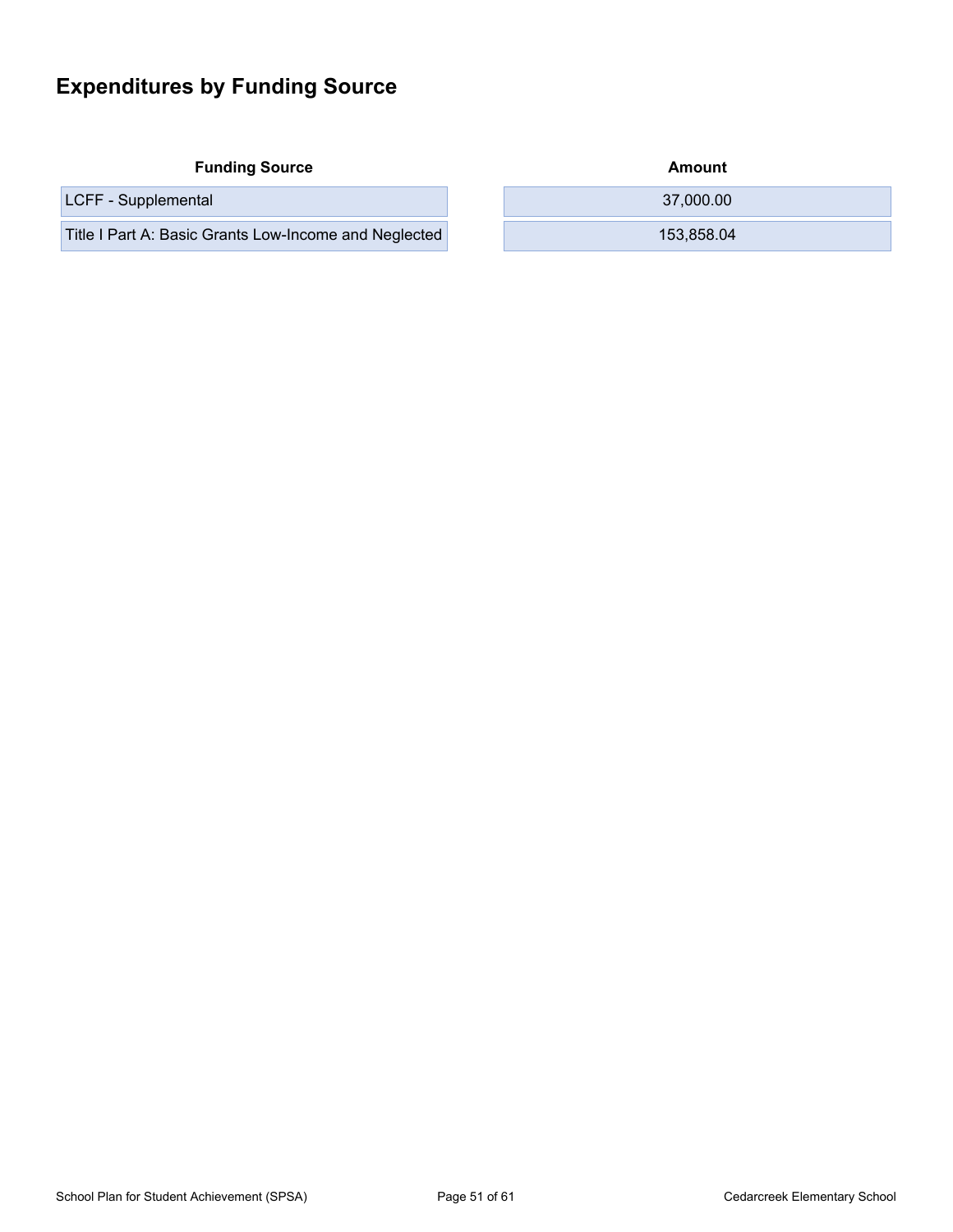## <span id="page-50-0"></span>**Expenditures by Funding Source**

**Funding Source Amount Amount Amount Amount Amount** 

Title I Part A: Basic Grants Low-Income and Neglected 153,858.04

| Amount |  |
|--------|--|
|        |  |

LCFF - Supplemental 37,000.00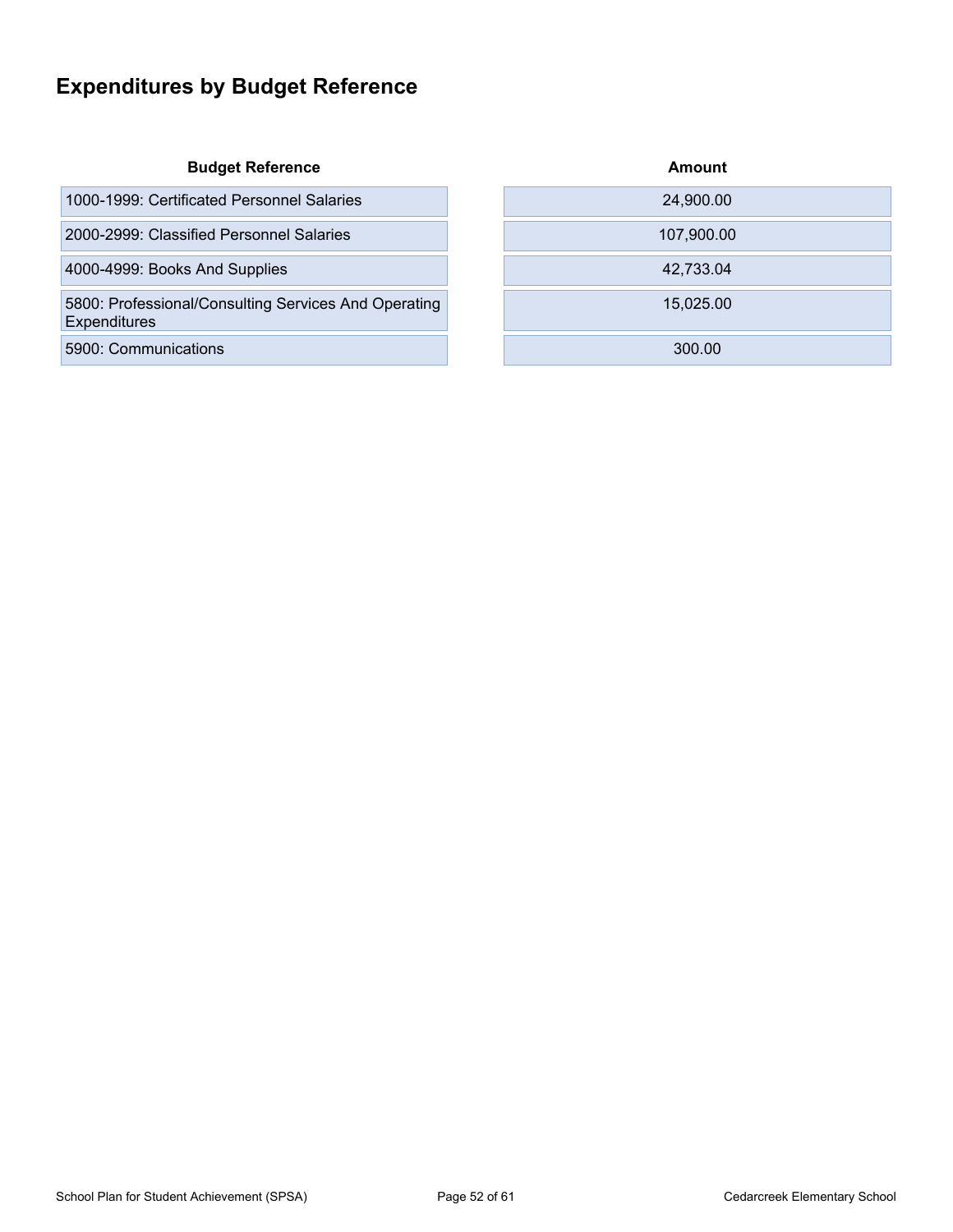## <span id="page-51-0"></span>**Expenditures by Budget Reference**

#### **Budget Reference**

1000-1999: Certificated Personnel Salaries

2000-2999: Classified Personnel Salaries

4000-4999: Books And Supplies

5800: Professional/Consulting Services And Operating Expenditures

5900: Communications

| Amount     |
|------------|
| 24,900.00  |
| 107,900.00 |
| 42,733.04  |
| 15,025.00  |
| 300.00     |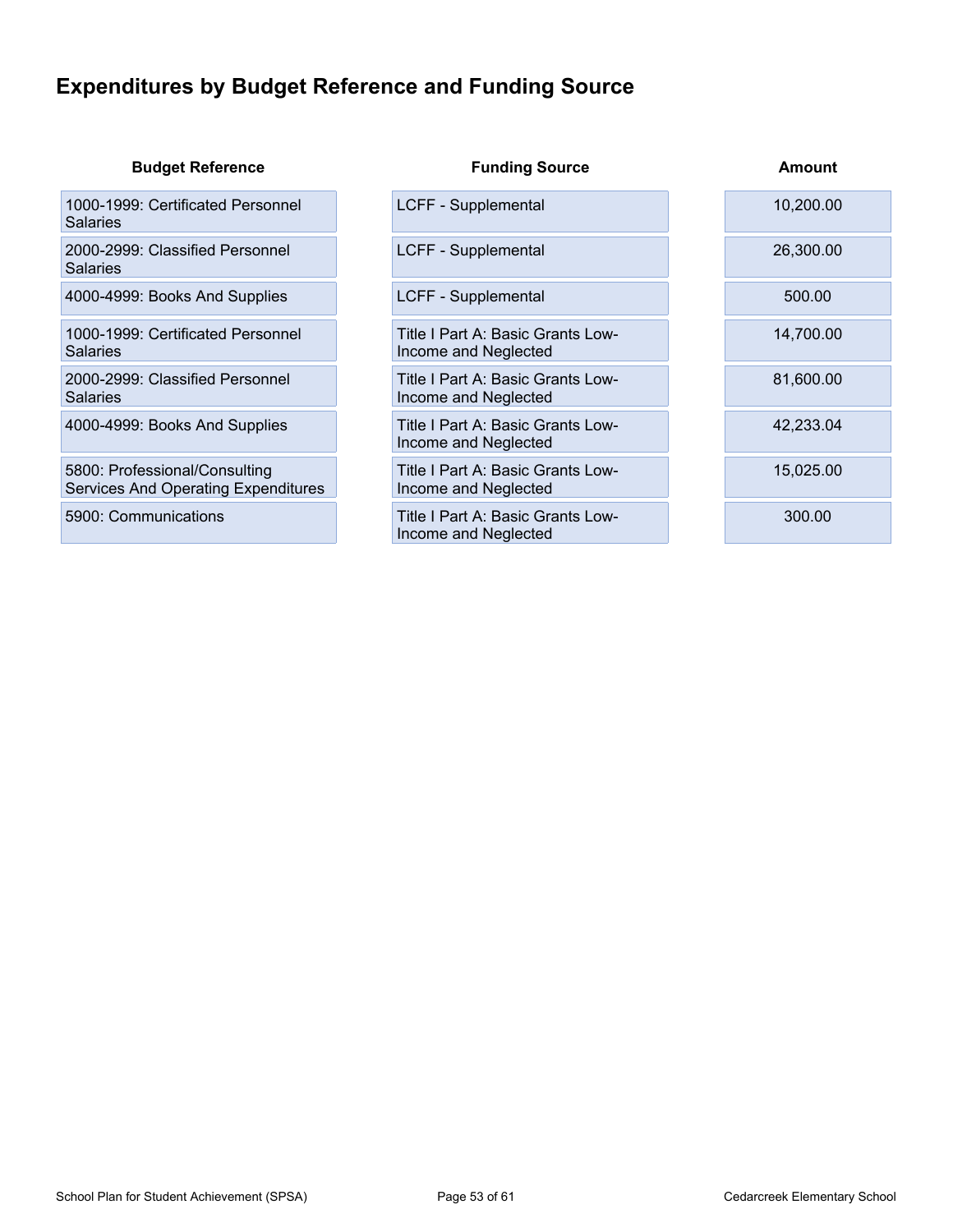## <span id="page-52-0"></span>**Expenditures by Budget Reference and Funding Source**

| <b>Budget Reference</b>                                                     | <b>Funding Source</b>                                     | Amount    |
|-----------------------------------------------------------------------------|-----------------------------------------------------------|-----------|
| 1000-1999: Certificated Personnel<br><b>Salaries</b>                        | LCFF - Supplemental                                       | 10,200.00 |
| 2000-2999: Classified Personnel<br><b>Salaries</b>                          | LCFF - Supplemental                                       | 26,300.00 |
| 4000-4999: Books And Supplies                                               | LCFF - Supplemental                                       | 500.00    |
| 1000-1999: Certificated Personnel<br><b>Salaries</b>                        | Title I Part A: Basic Grants Low-<br>Income and Neglected | 14,700.00 |
| 2000-2999: Classified Personnel<br><b>Salaries</b>                          | Title I Part A: Basic Grants Low-<br>Income and Neglected | 81,600.00 |
| 4000-4999: Books And Supplies                                               | Title I Part A: Basic Grants Low-<br>Income and Neglected | 42,233.04 |
| 5800: Professional/Consulting<br><b>Services And Operating Expenditures</b> | Title I Part A: Basic Grants Low-<br>Income and Neglected | 15,025.00 |
| 5900: Communications                                                        | Title I Part A: Basic Grants Low-<br>Income and Neglected | 300.00    |
|                                                                             |                                                           |           |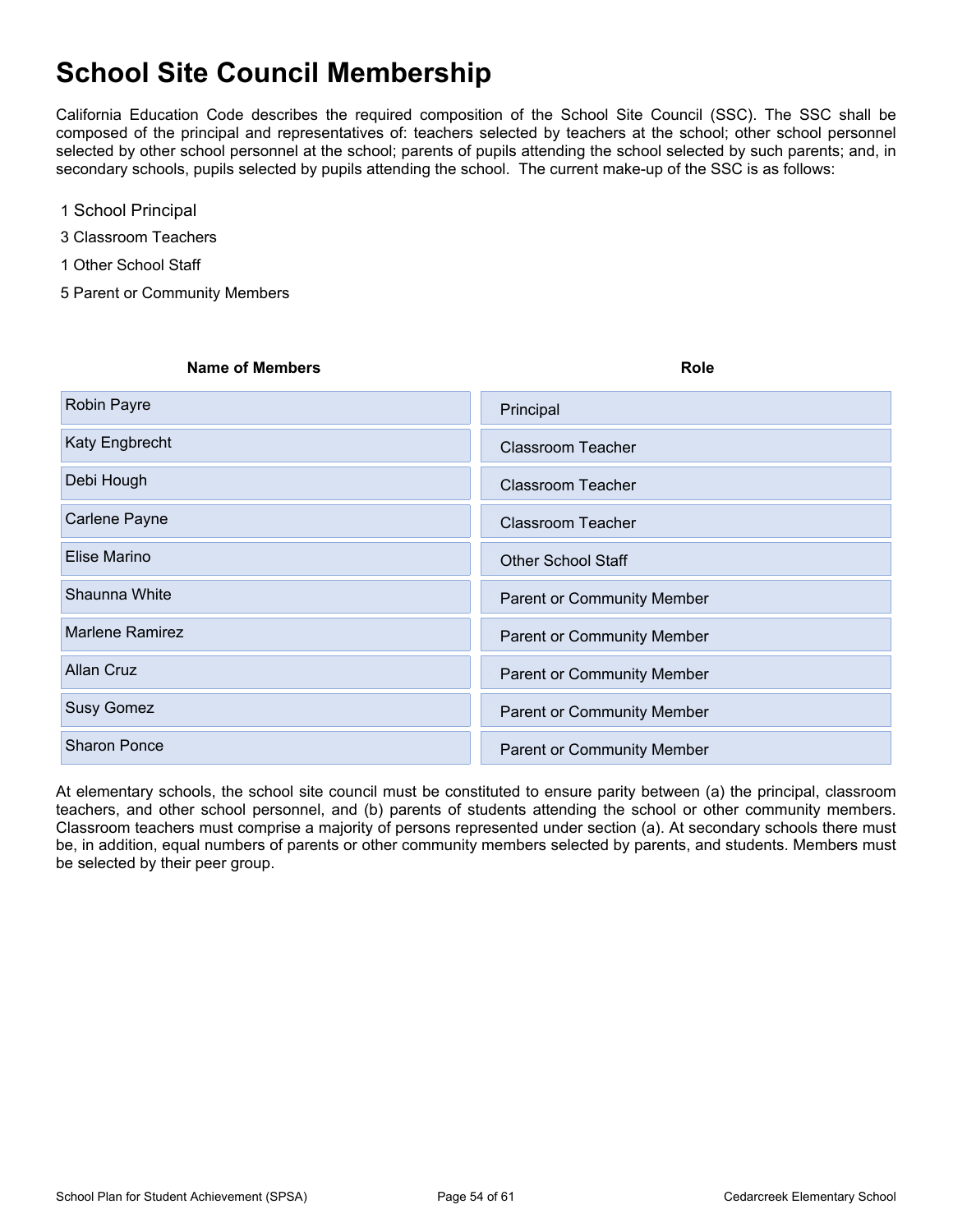## <span id="page-53-0"></span>**School Site Council Membership**

California Education Code describes the required composition of the School Site Council (SSC). The SSC shall be composed of the principal and representatives of: teachers selected by teachers at the school; other school personnel selected by other school personnel at the school; parents of pupils attending the school selected by such parents; and, in secondary schools, pupils selected by pupils attending the school. The current make-up of the SSC is as follows:

- 1 School Principal
- 3 Classroom Teachers
- 1 Other School Staff
- 5 Parent or Community Members

| <b>Name of Members</b> | Role                              |
|------------------------|-----------------------------------|
| Robin Payre            | Principal                         |
| Katy Engbrecht         | Classroom Teacher                 |
| Debi Hough             | <b>Classroom Teacher</b>          |
| Carlene Payne          | Classroom Teacher                 |
| Elise Marino           | <b>Other School Staff</b>         |
| Shaunna White          | <b>Parent or Community Member</b> |
| <b>Marlene Ramirez</b> | <b>Parent or Community Member</b> |
| <b>Allan Cruz</b>      | <b>Parent or Community Member</b> |
| <b>Susy Gomez</b>      | <b>Parent or Community Member</b> |
| <b>Sharon Ponce</b>    | <b>Parent or Community Member</b> |

At elementary schools, the school site council must be constituted to ensure parity between (a) the principal, classroom teachers, and other school personnel, and (b) parents of students attending the school or other community members. Classroom teachers must comprise a majority of persons represented under section (a). At secondary schools there must be, in addition, equal numbers of parents or other community members selected by parents, and students. Members must be selected by their peer group.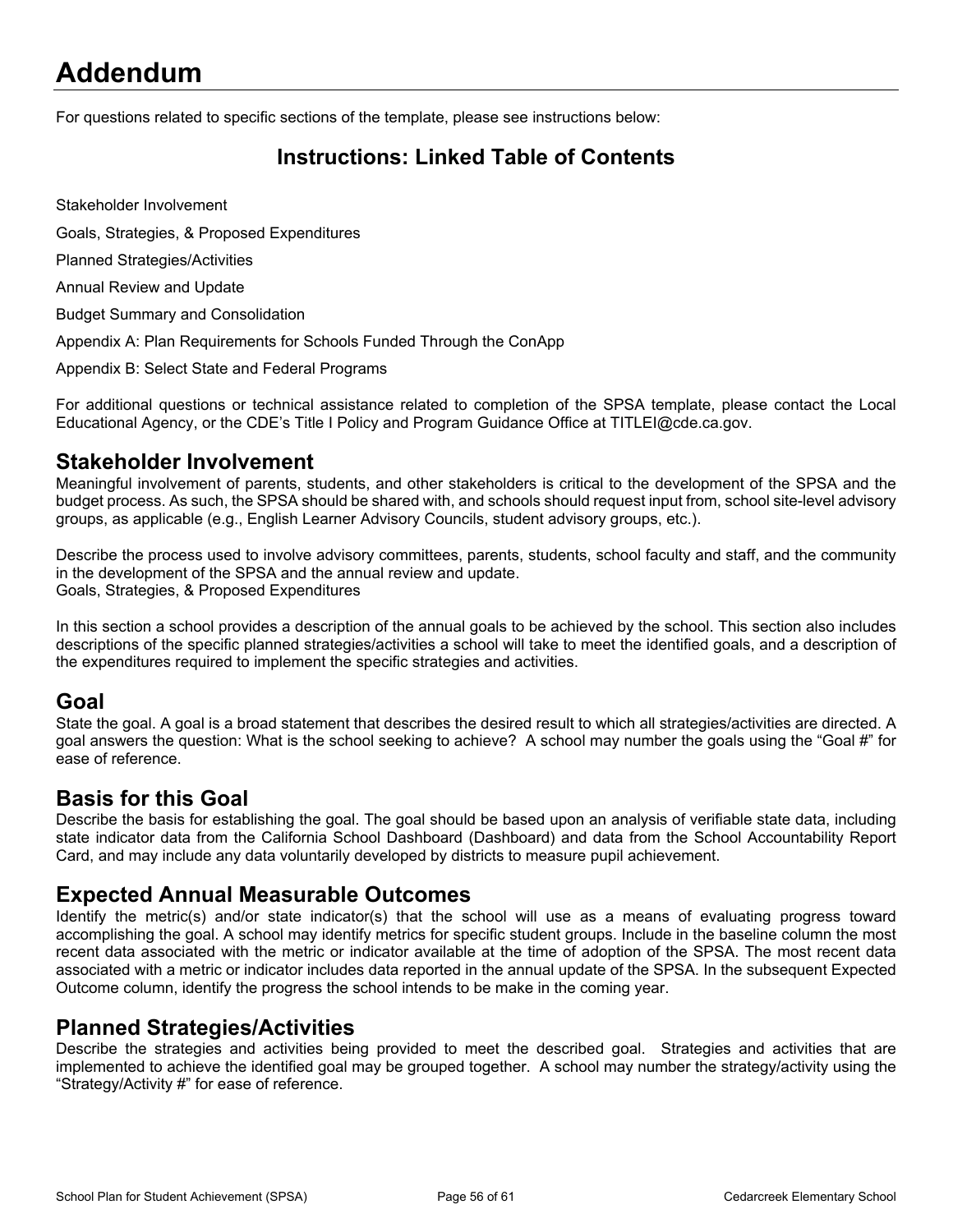## <span id="page-54-0"></span>**Addendum**

For questions related to specific sections of the template, please see instructions below:

### <span id="page-54-1"></span>**Instructions: Linked Table of Contents**

Stakeholder Involvement

Goals, Strategies, & Proposed Expenditures

Planned Strategies/Activities

Annual Review and Update

Budget Summary and Consolidation

Appendix A: Plan Requirements for Schools Funded Through the ConApp

Appendix B: Select State and Federal Programs

For additional questions or technical assistance related to completion of the SPSA template, please contact the Local Educational Agency, or the CDE's Title I Policy and Program Guidance Office at TITLEI@cde.ca.gov.

#### **Stakeholder Involvement**

Meaningful involvement of parents, students, and other stakeholders is critical to the development of the SPSA and the budget process. As such, the SPSA should be shared with, and schools should request input from, school site-level advisory groups, as applicable (e.g., English Learner Advisory Councils, student advisory groups, etc.).

Describe the process used to involve advisory committees, parents, students, school faculty and staff, and the community in the development of the SPSA and the annual review and update. Goals, Strategies, & Proposed Expenditures

In this section a school provides a description of the annual goals to be achieved by the school. This section also includes descriptions of the specific planned strategies/activities a school will take to meet the identified goals, and a description of the expenditures required to implement the specific strategies and activities.

#### **Goal**

State the goal. A goal is a broad statement that describes the desired result to which all strategies/activities are directed. A goal answers the question: What is the school seeking to achieve? A school may number the goals using the "Goal #" for ease of reference.

#### **Basis for this Goal**

Describe the basis for establishing the goal. The goal should be based upon an analysis of verifiable state data, including state indicator data from the California School Dashboard (Dashboard) and data from the School Accountability Report Card, and may include any data voluntarily developed by districts to measure pupil achievement.

#### **Expected Annual Measurable Outcomes**

Identify the metric(s) and/or state indicator(s) that the school will use as a means of evaluating progress toward accomplishing the goal. A school may identify metrics for specific student groups. Include in the baseline column the most recent data associated with the metric or indicator available at the time of adoption of the SPSA. The most recent data associated with a metric or indicator includes data reported in the annual update of the SPSA. In the subsequent Expected Outcome column, identify the progress the school intends to be make in the coming year.

#### **Planned Strategies/Activities**

Describe the strategies and activities being provided to meet the described goal. Strategies and activities that are implemented to achieve the identified goal may be grouped together. A school may number the strategy/activity using the "Strategy/Activity #" for ease of reference.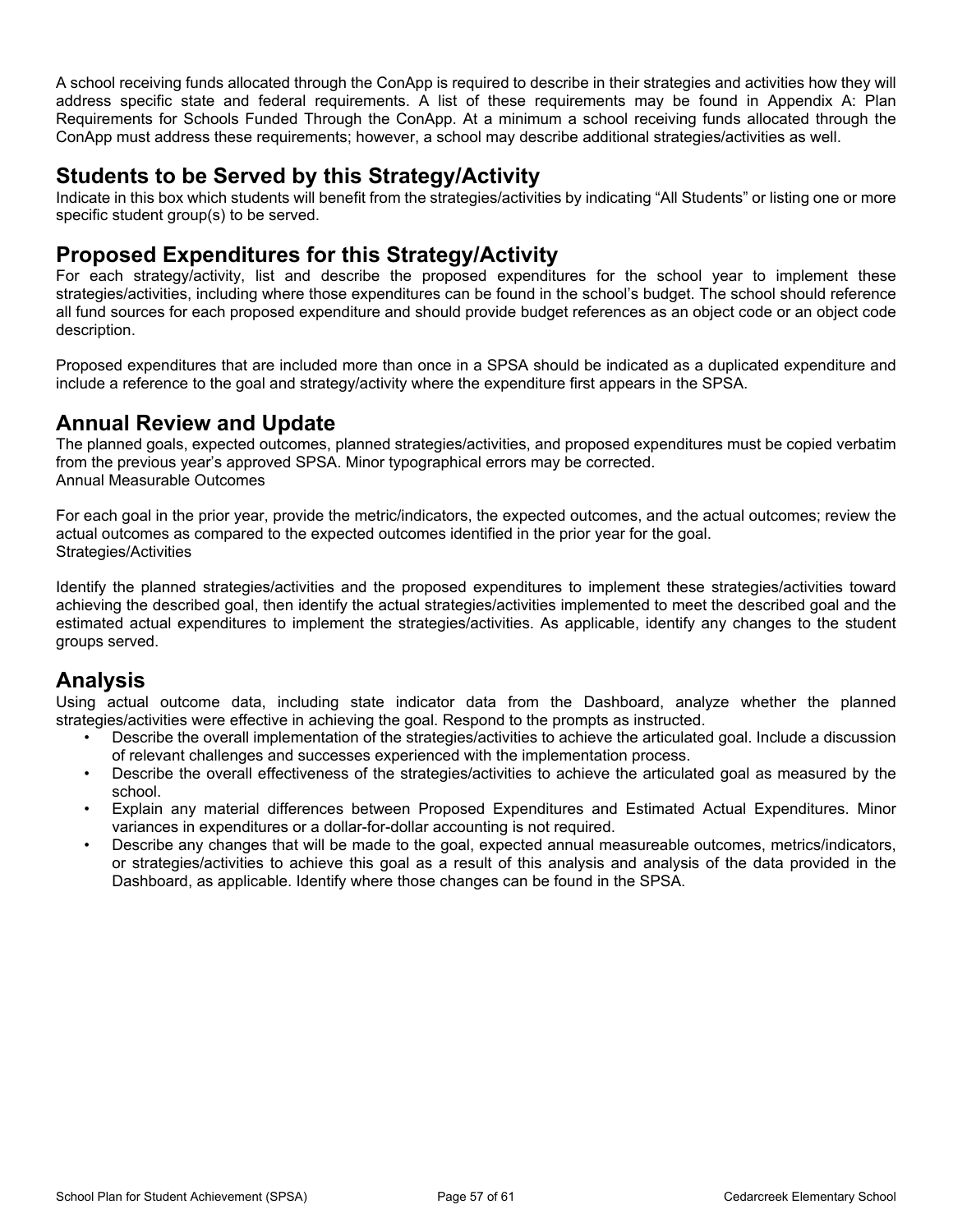A school receiving funds allocated through the ConApp is required to describe in their strategies and activities how they will address specific state and federal requirements. A list of these requirements may be found in Appendix A: Plan Requirements for Schools Funded Through the ConApp. At a minimum a school receiving funds allocated through the ConApp must address these requirements; however, a school may describe additional strategies/activities as well.

#### **Students to be Served by this Strategy/Activity**

Indicate in this box which students will benefit from the strategies/activities by indicating "All Students" or listing one or more specific student group(s) to be served.

#### **Proposed Expenditures for this Strategy/Activity**

For each strategy/activity, list and describe the proposed expenditures for the school year to implement these strategies/activities, including where those expenditures can be found in the school's budget. The school should reference all fund sources for each proposed expenditure and should provide budget references as an object code or an object code description.

Proposed expenditures that are included more than once in a SPSA should be indicated as a duplicated expenditure and include a reference to the goal and strategy/activity where the expenditure first appears in the SPSA.

### **Annual Review and Update**

The planned goals, expected outcomes, planned strategies/activities, and proposed expenditures must be copied verbatim from the previous year's approved SPSA. Minor typographical errors may be corrected. Annual Measurable Outcomes

For each goal in the prior year, provide the metric/indicators, the expected outcomes, and the actual outcomes; review the actual outcomes as compared to the expected outcomes identified in the prior year for the goal. Strategies/Activities

Identify the planned strategies/activities and the proposed expenditures to implement these strategies/activities toward achieving the described goal, then identify the actual strategies/activities implemented to meet the described goal and the estimated actual expenditures to implement the strategies/activities. As applicable, identify any changes to the student groups served.

### **Analysis**

Using actual outcome data, including state indicator data from the Dashboard, analyze whether the planned strategies/activities were effective in achieving the goal. Respond to the prompts as instructed.

- Describe the overall implementation of the strategies/activities to achieve the articulated goal. Include a discussion of relevant challenges and successes experienced with the implementation process.
- Describe the overall effectiveness of the strategies/activities to achieve the articulated goal as measured by the school.
- Explain any material differences between Proposed Expenditures and Estimated Actual Expenditures. Minor variances in expenditures or a dollar-for-dollar accounting is not required.
- Describe any changes that will be made to the goal, expected annual measureable outcomes, metrics/indicators, or strategies/activities to achieve this goal as a result of this analysis and analysis of the data provided in the Dashboard, as applicable. Identify where those changes can be found in the SPSA.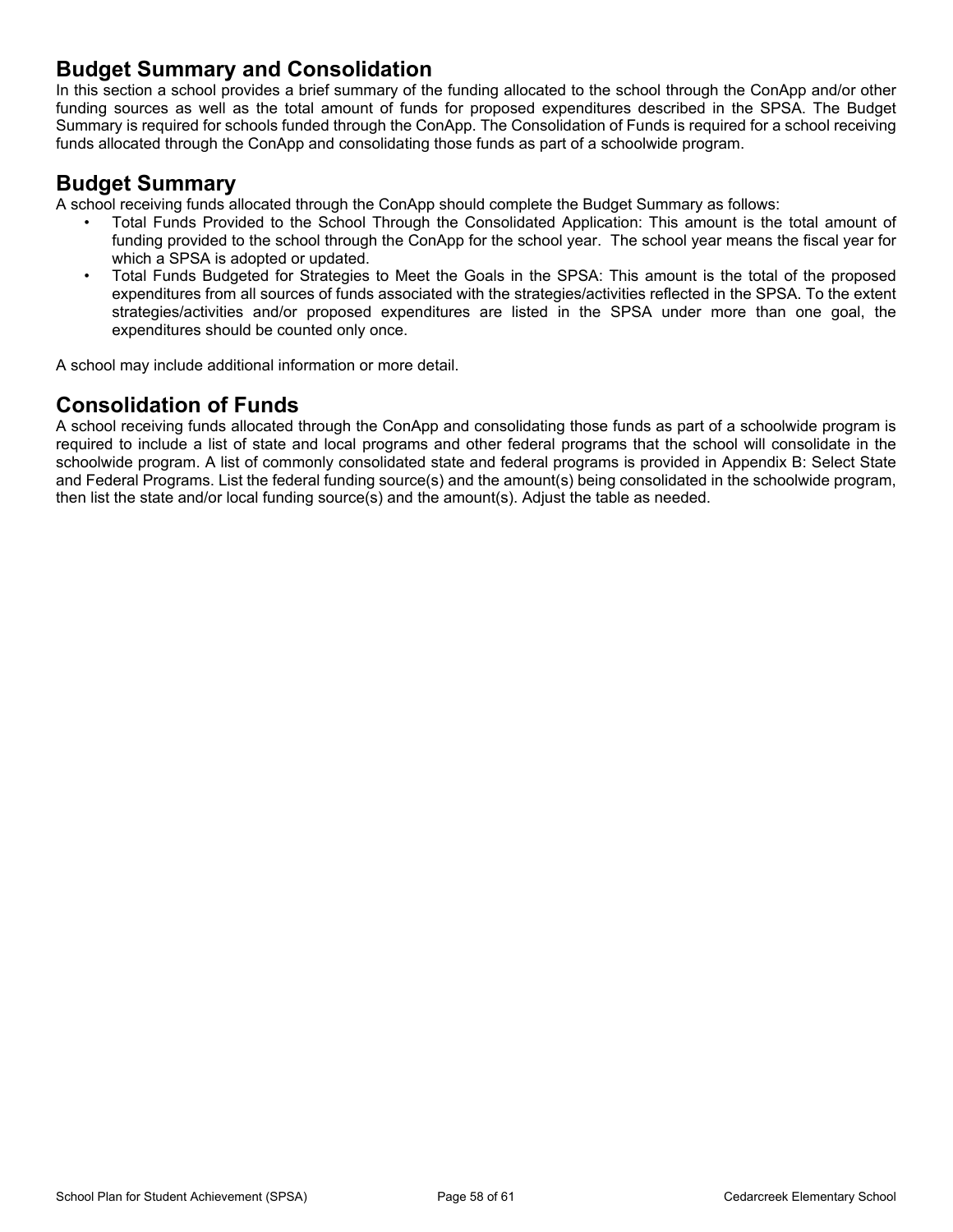### **Budget Summary and Consolidation**

In this section a school provides a brief summary of the funding allocated to the school through the ConApp and/or other funding sources as well as the total amount of funds for proposed expenditures described in the SPSA. The Budget Summary is required for schools funded through the ConApp. The Consolidation of Funds is required for a school receiving funds allocated through the ConApp and consolidating those funds as part of a schoolwide program.

#### **Budget Summary**

A school receiving funds allocated through the ConApp should complete the Budget Summary as follows:

- Total Funds Provided to the School Through the Consolidated Application: This amount is the total amount of funding provided to the school through the ConApp for the school year. The school year means the fiscal year for which a SPSA is adopted or updated.
- Total Funds Budgeted for Strategies to Meet the Goals in the SPSA: This amount is the total of the proposed expenditures from all sources of funds associated with the strategies/activities reflected in the SPSA. To the extent strategies/activities and/or proposed expenditures are listed in the SPSA under more than one goal, the expenditures should be counted only once.

A school may include additional information or more detail.

### **Consolidation of Funds**

A school receiving funds allocated through the ConApp and consolidating those funds as part of a schoolwide program is required to include a list of state and local programs and other federal programs that the school will consolidate in the schoolwide program. A list of commonly consolidated state and federal programs is provided in Appendix B: Select State and Federal Programs. List the federal funding source(s) and the amount(s) being consolidated in the schoolwide program, then list the state and/or local funding source(s) and the amount(s). Adjust the table as needed.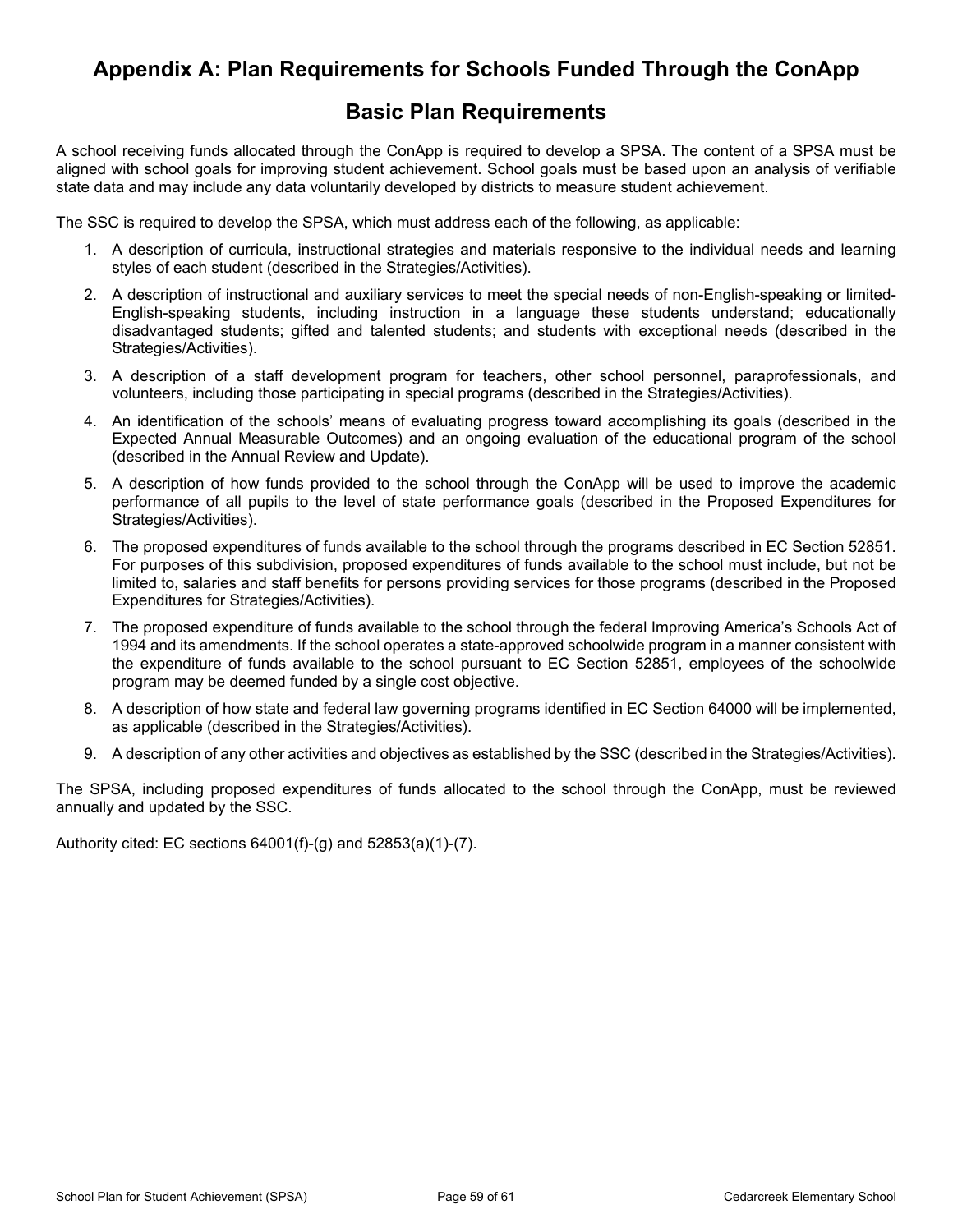### <span id="page-57-0"></span>**Appendix A: Plan Requirements for Schools Funded Through the ConApp**

### **Basic Plan Requirements**

A school receiving funds allocated through the ConApp is required to develop a SPSA. The content of a SPSA must be aligned with school goals for improving student achievement. School goals must be based upon an analysis of verifiable state data and may include any data voluntarily developed by districts to measure student achievement.

The SSC is required to develop the SPSA, which must address each of the following, as applicable:

- 1. A description of curricula, instructional strategies and materials responsive to the individual needs and learning styles of each student (described in the Strategies/Activities).
- 2. A description of instructional and auxiliary services to meet the special needs of non-English-speaking or limited-English-speaking students, including instruction in a language these students understand; educationally disadvantaged students; gifted and talented students; and students with exceptional needs (described in the Strategies/Activities).
- 3. A description of a staff development program for teachers, other school personnel, paraprofessionals, and volunteers, including those participating in special programs (described in the Strategies/Activities).
- 4. An identification of the schools' means of evaluating progress toward accomplishing its goals (described in the Expected Annual Measurable Outcomes) and an ongoing evaluation of the educational program of the school (described in the Annual Review and Update).
- 5. A description of how funds provided to the school through the ConApp will be used to improve the academic performance of all pupils to the level of state performance goals (described in the Proposed Expenditures for Strategies/Activities).
- 6. The proposed expenditures of funds available to the school through the programs described in EC Section 52851. For purposes of this subdivision, proposed expenditures of funds available to the school must include, but not be limited to, salaries and staff benefits for persons providing services for those programs (described in the Proposed Expenditures for Strategies/Activities).
- 7. The proposed expenditure of funds available to the school through the federal Improving America's Schools Act of 1994 and its amendments. If the school operates a state-approved schoolwide program in a manner consistent with the expenditure of funds available to the school pursuant to EC Section 52851, employees of the schoolwide program may be deemed funded by a single cost objective.
- 8. A description of how state and federal law governing programs identified in EC Section 64000 will be implemented, as applicable (described in the Strategies/Activities).
- 9. A description of any other activities and objectives as established by the SSC (described in the Strategies/Activities).

The SPSA, including proposed expenditures of funds allocated to the school through the ConApp, must be reviewed annually and updated by the SSC.

Authority cited: EC sections 64001(f)-(g) and 52853(a)(1)-(7).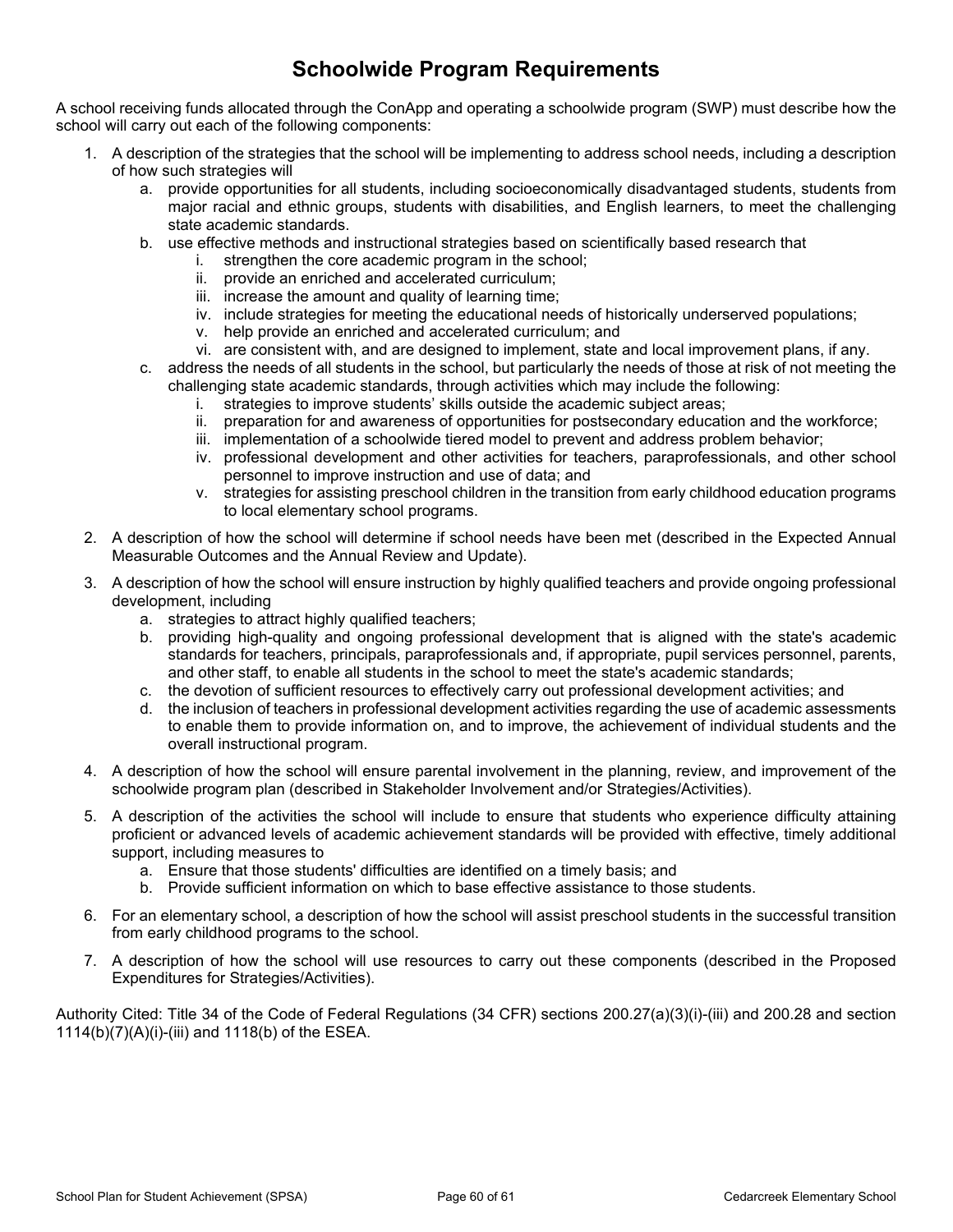## **Schoolwide Program Requirements**

A school receiving funds allocated through the ConApp and operating a schoolwide program (SWP) must describe how the school will carry out each of the following components:

- 1. A description of the strategies that the school will be implementing to address school needs, including a description of how such strategies will
	- a. provide opportunities for all students, including socioeconomically disadvantaged students, students from major racial and ethnic groups, students with disabilities, and English learners, to meet the challenging state academic standards.
	- b. use effective methods and instructional strategies based on scientifically based research that
		- i. strengthen the core academic program in the school;
		- ii. provide an enriched and accelerated curriculum;
		- iii. increase the amount and quality of learning time;
		- iv. include strategies for meeting the educational needs of historically underserved populations;
		- v. help provide an enriched and accelerated curriculum; and
		- vi. are consistent with, and are designed to implement, state and local improvement plans, if any.
	- c. address the needs of all students in the school, but particularly the needs of those at risk of not meeting the challenging state academic standards, through activities which may include the following:
		- i. strategies to improve students' skills outside the academic subject areas;
		- ii. preparation for and awareness of opportunities for postsecondary education and the workforce;
		- iii. implementation of a schoolwide tiered model to prevent and address problem behavior;
		- iv. professional development and other activities for teachers, paraprofessionals, and other school personnel to improve instruction and use of data; and
		- v. strategies for assisting preschool children in the transition from early childhood education programs to local elementary school programs.
- 2. A description of how the school will determine if school needs have been met (described in the Expected Annual Measurable Outcomes and the Annual Review and Update).
- 3. A description of how the school will ensure instruction by highly qualified teachers and provide ongoing professional development, including
	- a. strategies to attract highly qualified teachers;
	- b. providing high-quality and ongoing professional development that is aligned with the state's academic standards for teachers, principals, paraprofessionals and, if appropriate, pupil services personnel, parents, and other staff, to enable all students in the school to meet the state's academic standards;
	- c. the devotion of sufficient resources to effectively carry out professional development activities; and
	- d. the inclusion of teachers in professional development activities regarding the use of academic assessments to enable them to provide information on, and to improve, the achievement of individual students and the overall instructional program.
- 4. A description of how the school will ensure parental involvement in the planning, review, and improvement of the schoolwide program plan (described in Stakeholder Involvement and/or Strategies/Activities).
- 5. A description of the activities the school will include to ensure that students who experience difficulty attaining proficient or advanced levels of academic achievement standards will be provided with effective, timely additional support, including measures to
	- a. Ensure that those students' difficulties are identified on a timely basis; and
	- b. Provide sufficient information on which to base effective assistance to those students.
- 6. For an elementary school, a description of how the school will assist preschool students in the successful transition from early childhood programs to the school.
- 7. A description of how the school will use resources to carry out these components (described in the Proposed Expenditures for Strategies/Activities).

Authority Cited: Title 34 of the Code of Federal Regulations (34 CFR) sections 200.27(a)(3)(i)-(iii) and 200.28 and section 1114(b)(7)(A)(i)-(iii) and 1118(b) of the ESEA.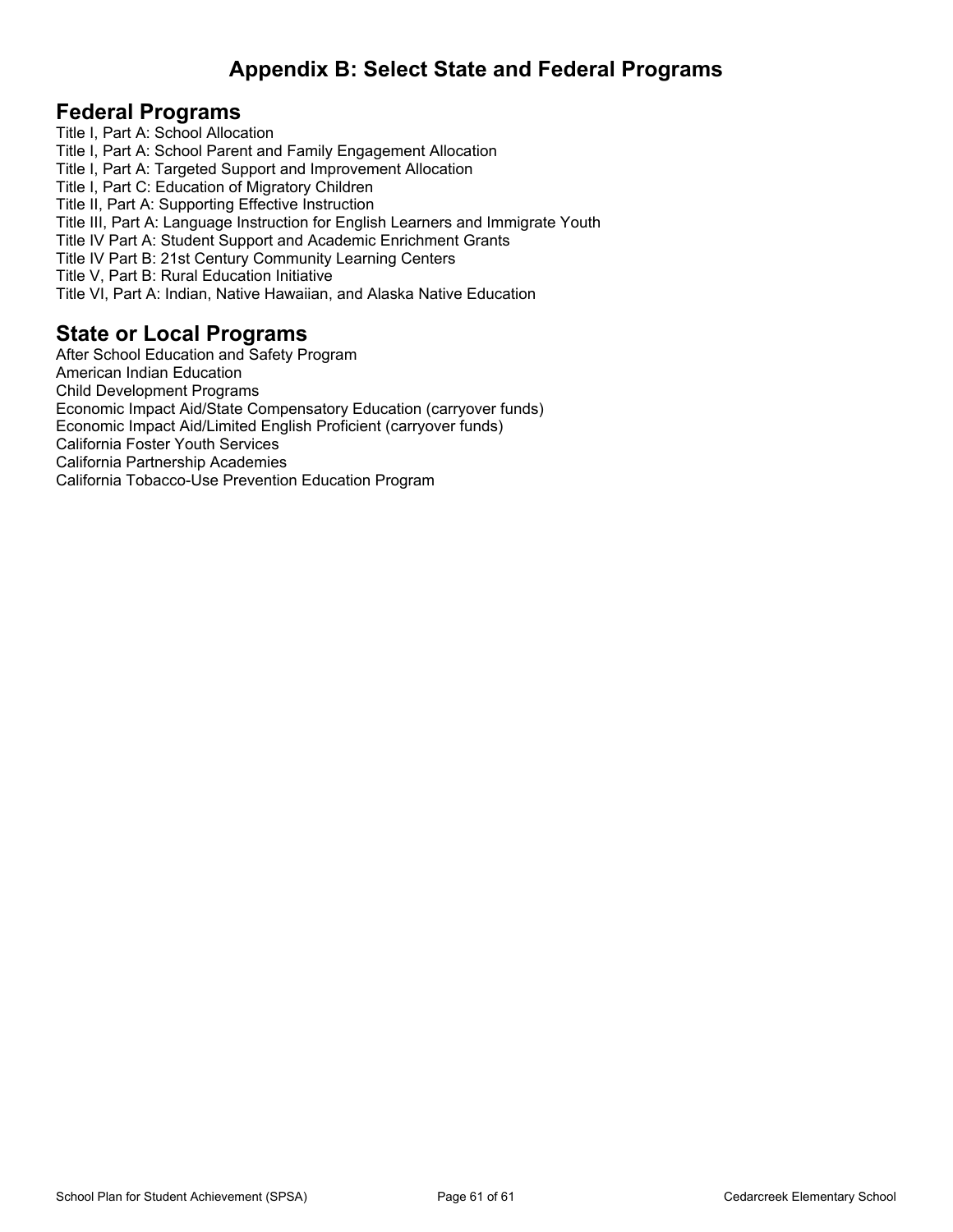## <span id="page-59-0"></span>**Appendix B: Select State and Federal Programs**

#### **Federal Programs**

Title I, Part A: School Allocation Title I, Part A: School Parent and Family Engagement Allocation Title I, Part A: Targeted Support and Improvement Allocation Title I, Part C: Education of Migratory Children Title II, Part A: Supporting Effective Instruction Title III, Part A: Language Instruction for English Learners and Immigrate Youth Title IV Part A: Student Support and Academic Enrichment Grants Title IV Part B: 21st Century Community Learning Centers Title V, Part B: Rural Education Initiative Title VI, Part A: Indian, Native Hawaiian, and Alaska Native Education

#### **State or Local Programs**

After School Education and Safety Program American Indian Education Child Development Programs Economic Impact Aid/State Compensatory Education (carryover funds) Economic Impact Aid/Limited English Proficient (carryover funds) California Foster Youth Services California Partnership Academies California Tobacco-Use Prevention Education Program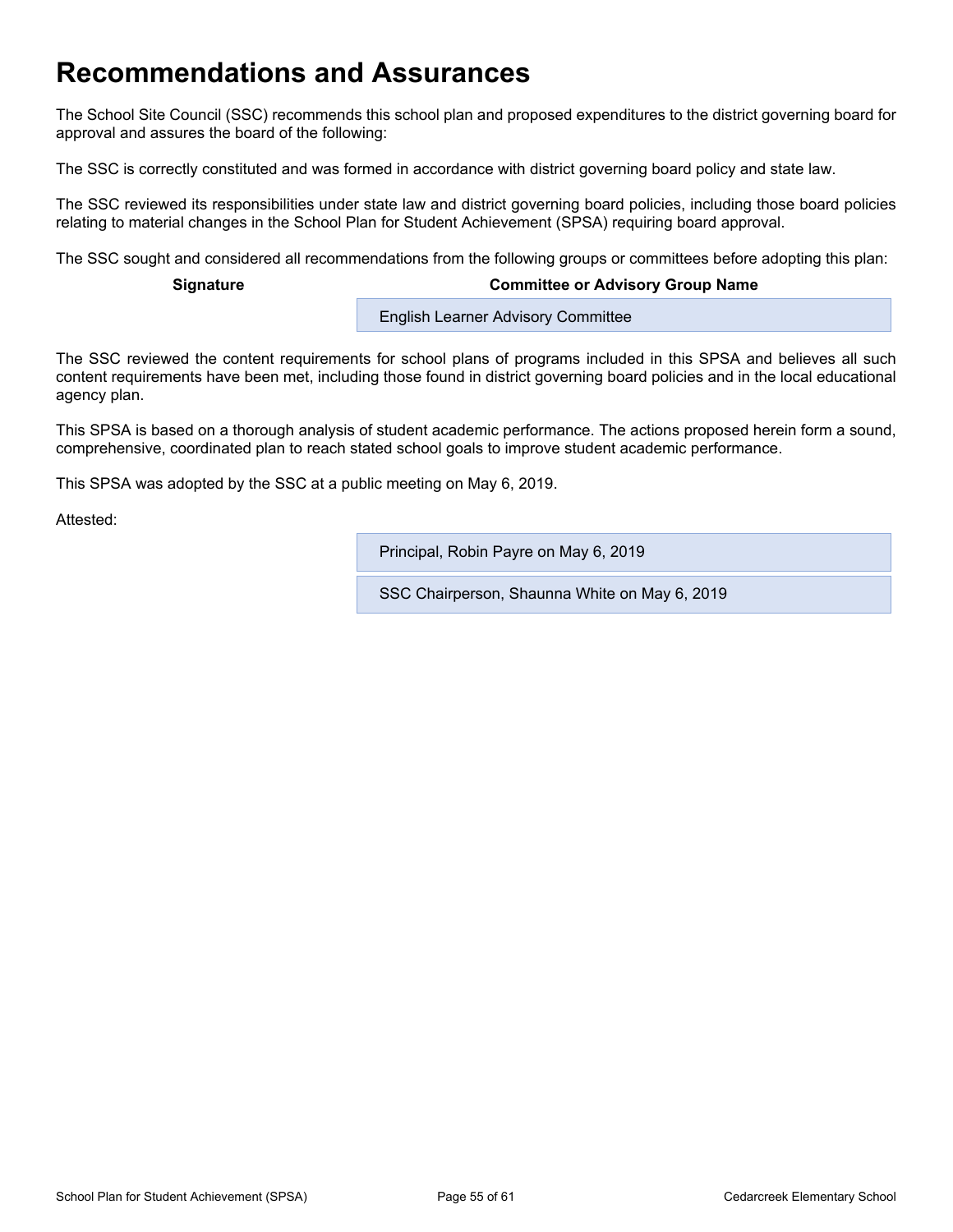## <span id="page-60-0"></span>**Recommendations and Assurances**

The School Site Council (SSC) recommends this school plan and proposed expenditures to the district governing board for approval and assures the board of the following:

The SSC is correctly constituted and was formed in accordance with district governing board policy and state law.

The SSC reviewed its responsibilities under state law and district governing board policies, including those board policies relating to material changes in the School Plan for Student Achievement (SPSA) requiring board approval.

The SSC sought and considered all recommendations from the following groups or committees before adopting this plan:

#### **Signature Committee or Advisory Group Name**

**English Learner Advisory Committee** 

The SSC reviewed the content requirements for school plans of programs included in this SPSA and believes all such content requirements have been met, including those found in district governing board policies and in the local educational agency plan.

This SPSA is based on a thorough analysis of student academic performance. The actions proposed herein form a sound, comprehensive, coordinated plan to reach stated school goals to improve student academic performance.

This SPSA was adopted by the SSC at a public meeting on May 6, 2019.

Attested:

Principal, Robin Payre on May 6, 2019

SSC Chairperson, Shaunna White on May 6, 2019